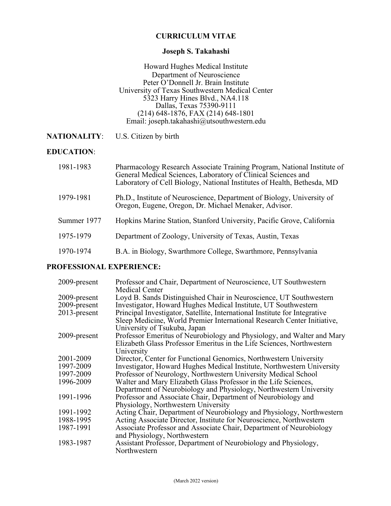### **CURRICULUM VITAE**

### **Joseph S. Takahashi**

Howard Hughes Medical Institute Department of Neuroscience Peter O'Donnell Jr. Brain Institute University of Texas Southwestern Medical Center 5323 Harry Hines Blvd., NA4.118 Dallas, Texas 75390-9111 (214) 648-1876, FAX (214) 648-1801 Email: joseph.takahashi@utsouthwestern.edu

**NATIONALITY**: U.S. Citizen by birth

#### **EDUCATION**:

| 1981-1983   | Pharmacology Research Associate Training Program, National Institute of<br>General Medical Sciences, Laboratory of Clinical Sciences and<br>Laboratory of Cell Biology, National Institutes of Health, Bethesda, MD |
|-------------|---------------------------------------------------------------------------------------------------------------------------------------------------------------------------------------------------------------------|
| 1979-1981   | Ph.D., Institute of Neuroscience, Department of Biology, University of<br>Oregon, Eugene, Oregon, Dr. Michael Menaker, Advisor.                                                                                     |
| Summer 1977 | Hopkins Marine Station, Stanford University, Pacific Grove, California                                                                                                                                              |
| 1975-1979   | Department of Zoology, University of Texas, Austin, Texas                                                                                                                                                           |
| 1970-1974   | B.A. in Biology, Swarthmore College, Swarthmore, Pennsylvania                                                                                                                                                       |

#### **PROFESSIONAL EXPERIENCE:**

| 2009-present | Professor and Chair, Department of Neuroscience, UT Southwestern                                                                                                                      |
|--------------|---------------------------------------------------------------------------------------------------------------------------------------------------------------------------------------|
| 2009-present | <b>Medical Center</b><br>Loyd B. Sands Distinguished Chair in Neuroscience, UT Southwestern                                                                                           |
| 2009-present | Investigator, Howard Hughes Medical Institute, UT Southwestern                                                                                                                        |
| 2013-present | Principal Investigator, Satellite, International Institute for Integrative<br>Sleep Medicine, World Premier International Research Center Initiative,<br>University of Tsukuba, Japan |
| 2009-present | Professor Emeritus of Neurobiology and Physiology, and Walter and Mary<br>Elizabeth Glass Professor Emeritus in the Life Sciences, Northwestern<br>University                         |
| 2001-2009    | Director, Center for Functional Genomics, Northwestern University                                                                                                                     |
| 1997-2009    | Investigator, Howard Hughes Medical Institute, Northwestern University                                                                                                                |
| 1997-2009    | Professor of Neurology, Northwestern University Medical School                                                                                                                        |
| 1996-2009    | Walter and Mary Elizabeth Glass Professor in the Life Sciences,                                                                                                                       |
|              | Department of Neurobiology and Physiology, Northwestern University                                                                                                                    |
| 1991-1996    | Professor and Associate Chair, Department of Neurobiology and<br>Physiology, Northwestern University                                                                                  |
| 1991-1992    | Acting Chair, Department of Neurobiology and Physiology, Northwestern                                                                                                                 |
| 1988-1995    | Acting Associate Director, Institute for Neuroscience, Northwestern                                                                                                                   |
| 1987-1991    | Associate Professor and Associate Chair, Department of Neurobiology<br>and Physiology, Northwestern                                                                                   |
| 1983-1987    | Assistant Professor, Department of Neurobiology and Physiology,<br>Northwestern                                                                                                       |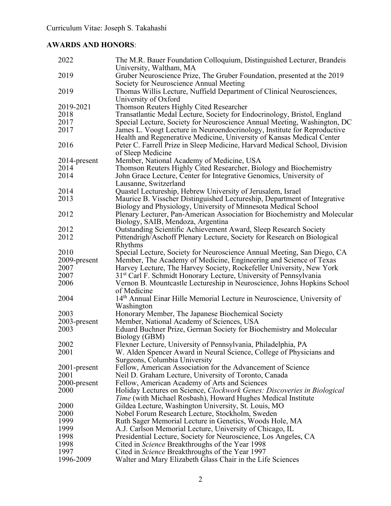# **AWARDS AND HONORS**:

| 2022         | The M.R. Bauer Foundation Colloquium, Distinguished Lecturer, Brandeis<br>University, Waltham, MA                                                 |
|--------------|---------------------------------------------------------------------------------------------------------------------------------------------------|
| 2019         | Gruber Neuroscience Prize, The Gruber Foundation, presented at the 2019<br>Society for Neuroscience Annual Meeting                                |
| 2019         | Thomas Willis Lecture, Nuffield Department of Clinical Neurosciences,                                                                             |
|              |                                                                                                                                                   |
|              | University of Oxford                                                                                                                              |
| 2019-2021    | Thomson Reuters Highly Cited Researcher                                                                                                           |
| 2018         | Transatlantic Medal Lecture, Society for Endocrinology, Bristol, England                                                                          |
| 2017         | Special Lecture, Society for Neuroscience Annual Meeting, Washington, DC                                                                          |
| 2017         | James L. Voogt Lecture in Neuroendocrinology, Institute for Reproductive<br>Health and Regenerative Medicine, University of Kansas Medical Center |
| 2016         | Peter C. Farrell Prize in Sleep Medicine, Harvard Medical School, Division<br>of Sleep Medicine                                                   |
| 2014-present | Member, National Academy of Medicine, USA                                                                                                         |
| 2014         | Thomson Reuters Highly Cited Researcher, Biology and Biochemistry                                                                                 |
| 2014         | John Grace Lecture, Center for Integrative Genomics, University of                                                                                |
|              | Lausanne, Switzerland                                                                                                                             |
| 2014         |                                                                                                                                                   |
|              | Quastel Lectureship, Hebrew University of Jerusalem, Israel                                                                                       |
| 2013         | Maurice B. Visscher Distinguished Lectureship, Department of Integrative                                                                          |
|              | Biology and Physiology, University of Minnesota Medical School                                                                                    |
| 2012         | Plenary Lecturer, Pan-American Association for Biochemistry and Molecular                                                                         |
|              | Biology, SAIB, Mendoza, Argentina                                                                                                                 |
| 2012         | Outstanding Scientific Achievement Award, Sleep Research Society                                                                                  |
| 2012         | Pittendrigh/Aschoff Plenary Lecture, Society for Research on Biological                                                                           |
|              | Rhythms                                                                                                                                           |
| 2010         | Special Lecture, Society for Neuroscience Annual Meeting, San Diego, CA                                                                           |
| 2009-present | Member, The Academy of Medicine, Engineering and Science of Texas                                                                                 |
| 2007         | Harvey Lecture, The Harvey Society, Rockefeller University, New York                                                                              |
| 2007         | 31 <sup>st</sup> Carl F. Schmidt Honorary Lecture, University of Pennsylvania                                                                     |
| 2006         | Vernon B. Mountcastle Lectureship in Neuroscience, Johns Hopkins School                                                                           |
|              | of Medicine                                                                                                                                       |
| 2004         | 14th Annual Einar Hille Memorial Lecture in Neuroscience, University of                                                                           |
|              | Washington                                                                                                                                        |
| 2003         | Honorary Member, The Japanese Biochemical Society                                                                                                 |
| 2003-present | Member, National Academy of Sciences, USA                                                                                                         |
| 2003         | Eduard Buchner Prize, German Society for Biochemistry and Molecular                                                                               |
|              | Biology (GBM)                                                                                                                                     |
| 2002         | Flexner Lecture, University of Pennsylvania, Philadelphia, PA                                                                                     |
| 2001         | W. Alden Spencer Award in Neural Science, College of Physicians and                                                                               |
|              | Surgeons, Columbia University                                                                                                                     |
| 2001-present | Fellow, American Association for the Advancement of Science                                                                                       |
| 2001         | Neil D. Graham Lecture, University of Toronto, Canada                                                                                             |
| 2000-present | Fellow, American Academy of Arts and Sciences                                                                                                     |
| 2000         | Holiday Lectures on Science, Clockwork Genes: Discoveries in Biological                                                                           |
|              | Time (with Michael Rosbash), Howard Hughes Medical Institute                                                                                      |
| 2000         | Gildea Lecture, Washington University, St. Louis, MO                                                                                              |
|              |                                                                                                                                                   |
| 2000         | Nobel Forum Research Lecture, Stockholm, Sweden                                                                                                   |
| 1999         | Ruth Sager Memorial Lecture in Genetics, Woods Hole, MA                                                                                           |
| 1999         | A.J. Carlson Memorial Lecture, University of Chicago, IL                                                                                          |
| 1998         | Presidential Lecture, Society for Neuroscience, Los Angeles, CA                                                                                   |
| 1998         | Cited in <i>Science</i> Breakthroughs of the Year 1998                                                                                            |
| 1997         | Cited in <i>Science</i> Breakthroughs of the Year 1997                                                                                            |
| 1996-2009    | Walter and Mary Elizabeth Glass Chair in the Life Sciences                                                                                        |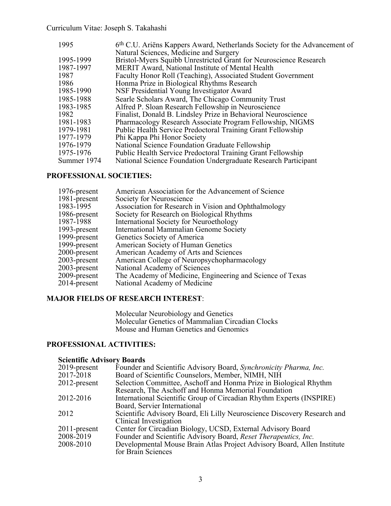| 1995        | 6 <sup>th</sup> C.U. Ariëns Kappers Award, Netherlands Society for the Advancement of |
|-------------|---------------------------------------------------------------------------------------|
|             | Natural Sciences, Medicine and Surgery                                                |
| 1995-1999   | Bristol-Myers Squibb Unrestricted Grant for Neuroscience Research                     |
| 1987-1997   | MERIT Award, National Institute of Mental Health                                      |
| 1987        | Faculty Honor Roll (Teaching), Associated Student Government                          |
| 1986        | Honma Prize in Biological Rhythms Research                                            |
| 1985-1990   | NSF Presidential Young Investigator Award                                             |
| 1985-1988   | Searle Scholars Award, The Chicago Community Trust                                    |
| 1983-1985   | Alfred P. Sloan Research Fellowship in Neuroscience                                   |
| 1982        | Finalist, Donald B. Lindsley Prize in Behavioral Neuroscience                         |
| 1981-1983   | Pharmacology Research Associate Program Fellowship, NIGMS                             |
| 1979-1981   | Public Health Service Predoctoral Training Grant Fellowship                           |
| 1977-1979   | Phi Kappa Phi Honor Society                                                           |
| 1976-1979   | National Science Foundation Graduate Fellowship                                       |
| 1975-1976   | Public Health Service Predoctoral Training Grant Fellowship                           |
| Summer 1974 | National Science Foundation Undergraduate Research Participant                        |

# **PROFESSIONAL SOCIETIES:**

| American Association for the Advancement of Science       |
|-----------------------------------------------------------|
| Society for Neuroscience                                  |
| Association for Research in Vision and Ophthalmology      |
| Society for Research on Biological Rhythms                |
| International Society for Neuroethology                   |
| International Mammalian Genome Society                    |
| Genetics Society of America                               |
| American Society of Human Genetics                        |
| American Academy of Arts and Sciences                     |
| American College of Neuropsychopharmacology               |
| National Academy of Sciences                              |
| The Academy of Medicine, Engineering and Science of Texas |
| National Academy of Medicine                              |
|                                                           |

# **MAJOR FIELDS OF RESEARCH INTEREST**:

Molecular Neurobiology and Genetics Molecular Genetics of Mammalian Circadian Clocks Mouse and Human Genetics and Genomics

# **PROFESSIONAL ACTIVITIES:**

### **Scientific Advisory Boards**

| 2019-present | Founder and Scientific Advisory Board, Synchronicity Pharma, Inc.        |
|--------------|--------------------------------------------------------------------------|
| 2017-2018    | Board of Scientific Counselors, Member, NIMH, NIH                        |
| 2012-present | Selection Committee, Aschoff and Honma Prize in Biological Rhythm        |
|              | Research, The Aschoff and Honma Memorial Foundation                      |
| 2012-2016    | International Scientific Group of Circadian Rhythm Experts (INSPIRE)     |
|              | Board, Servier International                                             |
| 2012         | Scientific Advisory Board, Eli Lilly Neuroscience Discovery Research and |
|              | Clinical Investigation                                                   |
| 2011-present | Center for Circadian Biology, UCSD, External Advisory Board              |
| 2008-2019    | Founder and Scientific Advisory Board, Reset Therapeutics, Inc.          |
| 2008-2010    | Developmental Mouse Brain Atlas Project Advisory Board, Allen Institute  |
|              | for Brain Sciences                                                       |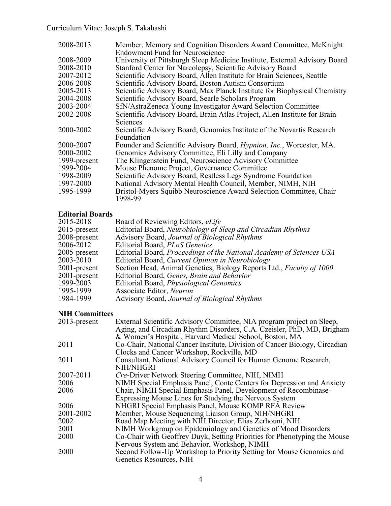| 2008-2013    | Member, Memory and Cognition Disorders Award Committee, McKnight<br><b>Endowment Fund for Neuroscience</b> |
|--------------|------------------------------------------------------------------------------------------------------------|
| 2008-2009    | University of Pittsburgh Sleep Medicine Institute, External Advisory Board                                 |
| 2008-2010    | Stanford Center for Narcolepsy, Scientific Advisory Board                                                  |
| 2007-2012    | Scientific Advisory Board, Allen Institute for Brain Sciences, Seattle                                     |
| 2006-2008    | Scientific Advisory Board, Boston Autism Consortium                                                        |
| 2005-2013    | Scientific Advisory Board, Max Planck Institute for Biophysical Chemistry                                  |
| 2004-2008    | Scientific Advisory Board, Searle Scholars Program                                                         |
| 2003-2004    | SfN/AstraZeneca Young Investigator Award Selection Committee                                               |
| 2002-2008    | Scientific Advisory Board, Brain Atlas Project, Allen Institute for Brain                                  |
|              | Sciences                                                                                                   |
| 2000-2002    | Scientific Advisory Board, Genomics Institute of the Novartis Research                                     |
|              | Foundation                                                                                                 |
| 2000-2007    | Founder and Scientific Advisory Board, <i>Hypnion, Inc.</i> , Worcester, MA.                               |
| 2000-2002    | Genomics Advisory Committee, Eli Lilly and Company                                                         |
| 1999-present | The Klingenstein Fund, Neuroscience Advisory Committee                                                     |
| 1999-2004    | Mouse Phenome Project, Governance Committee                                                                |
| 1998-2009    | Scientific Advisory Board, Restless Legs Syndrome Foundation                                               |
| 1997-2000    | National Advisory Mental Health Council, Member, NIMH, NIH                                                 |
| 1995-1999    | Bristol-Myers Squibb Neuroscience Award Selection Committee, Chair<br>1998-99                              |

# **Editorial Boards**

| 2015-2018       | Board of Reviewing Editors, <i>eLife</i>                             |
|-----------------|----------------------------------------------------------------------|
| $2015$ -present | Editorial Board, Neurobiology of Sleep and Circadian Rhythms         |
| 2008-present    | Advisory Board, Journal of Biological Rhythms                        |
| 2006-2012       | Editorial Board, <i>PLoS Genetics</i>                                |
| $2005$ -present | Editorial Board, Proceedings of the National Academy of Sciences USA |
| 2003-2010       | Editorial Board, Current Opinion in Neurobiology                     |
| 2001-present    | Section Head, Animal Genetics, Biology Reports Ltd., Faculty of 1000 |
| 2001-present    | Editorial Board, Genes, Brain and Behavior                           |
| 1999-2003       | Editorial Board, Physiological Genomics                              |
| 1995-1999       | Associate Editor, Neuron                                             |
| 1984-1999       | Advisory Board, Journal of Biological Rhythms                        |
|                 |                                                                      |

# **NIH Committees**

| 2013-present | External Scientific Advisory Committee, NIA program project on Sleep,      |
|--------------|----------------------------------------------------------------------------|
|              | Aging, and Circadian Rhythm Disorders, C.A. Czeisler, PhD, MD, Brigham     |
|              | & Women's Hospital, Harvard Medical School, Boston, MA                     |
| 2011         | Co-Chair, National Cancer Institute, Division of Cancer Biology, Circadian |
|              | Clocks and Cancer Workshop, Rockville, MD                                  |
| 2011         | Consultant, National Advisory Council for Human Genome Research,           |
|              | <b>NIH/NHGRI</b>                                                           |
| 2007-2011    | <i>Cre-Driver Network Steering Committee, NIH, NIMH</i>                    |
| 2006         | NIMH Special Emphasis Panel, Conte Centers for Depression and Anxiety      |
| 2006         | Chair, NIMH Special Emphasis Panel, Development of Recombinase-            |
|              | Expressing Mouse Lines for Studying the Nervous System                     |
| 2006         | NHGRI Special Emphasis Panel, Mouse KOMP RFA Review                        |
| 2001-2002    | Member, Mouse Sequencing Liaison Group, NIH/NHGRI                          |
| 2002         | Road Map Meeting with NIH Director, Elias Zerhouni, NIH                    |
| 2001         | NIMH Workgroup on Epidemiology and Genetics of Mood Disorders              |
| 2000         | Co-Chair with Geoffrey Duyk, Setting Priorities for Phenotyping the Mouse  |
|              | Nervous System and Behavior, Workshop, NIMH                                |
| 2000         | Second Follow-Up Workshop to Priority Setting for Mouse Genomics and       |
|              | Genetics Resources, NIH                                                    |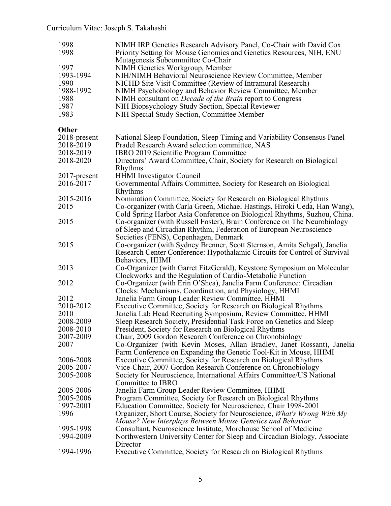| 1998<br>1998<br>1997<br>1993-1994<br>1990<br>1988-1992<br>1988<br>1987<br>1983 | NIMH IRP Genetics Research Advisory Panel, Co-Chair with David Cox<br>Priority Setting for Mouse Genomics and Genetics Resources, NIH, ENU<br>Mutagenesis Subcommittee Co-Chair<br>NIMH Genetics Workgroup, Member<br>NIH/NIMH Behavioral Neuroscience Review Committee, Member<br>NICHD Site Visit Committee (Review of Intramural Research)<br>NIMH Psychobiology and Behavior Review Committee, Member<br>NIMH consultant on <i>Decade of the Brain</i> report to Congress<br>NIH Biopsychology Study Section, Special Reviewer<br>NIH Special Study Section, Committee Member |
|--------------------------------------------------------------------------------|-----------------------------------------------------------------------------------------------------------------------------------------------------------------------------------------------------------------------------------------------------------------------------------------------------------------------------------------------------------------------------------------------------------------------------------------------------------------------------------------------------------------------------------------------------------------------------------|
| <b>Other</b>                                                                   |                                                                                                                                                                                                                                                                                                                                                                                                                                                                                                                                                                                   |
| 2018-present                                                                   | National Sleep Foundation, Sleep Timing and Variability Consensus Panel                                                                                                                                                                                                                                                                                                                                                                                                                                                                                                           |
| 2018-2019                                                                      | Pradel Research Award selection committee, NAS                                                                                                                                                                                                                                                                                                                                                                                                                                                                                                                                    |
| 2018-2019                                                                      | IBRO 2019 Scientific Program Committee                                                                                                                                                                                                                                                                                                                                                                                                                                                                                                                                            |
| 2018-2020                                                                      | Directors' Award Committee, Chair, Society for Research on Biological                                                                                                                                                                                                                                                                                                                                                                                                                                                                                                             |
|                                                                                | Rhythms                                                                                                                                                                                                                                                                                                                                                                                                                                                                                                                                                                           |
| 2017-present                                                                   | <b>HHMI</b> Investigator Council                                                                                                                                                                                                                                                                                                                                                                                                                                                                                                                                                  |
| 2016-2017                                                                      | Governmental Affairs Committee, Society for Research on Biological<br>Rhythms                                                                                                                                                                                                                                                                                                                                                                                                                                                                                                     |
| 2015-2016                                                                      | Nomination Committee, Society for Research on Biological Rhythms                                                                                                                                                                                                                                                                                                                                                                                                                                                                                                                  |
| 2015                                                                           | Co-organizer (with Carla Green, Michael Hastings, Hiroki Ueda, Han Wang),                                                                                                                                                                                                                                                                                                                                                                                                                                                                                                         |
|                                                                                | Cold Spring Harbor Asia Conference on Biological Rhythms, Suzhou, China.                                                                                                                                                                                                                                                                                                                                                                                                                                                                                                          |
| 2015                                                                           | Co-organizer (with Russell Foster), Brain Conference on The Neurobiology                                                                                                                                                                                                                                                                                                                                                                                                                                                                                                          |
|                                                                                | of Sleep and Circadian Rhythm, Federation of European Neuroscience                                                                                                                                                                                                                                                                                                                                                                                                                                                                                                                |
|                                                                                | Societies (FENS), Copenhagen, Denmark                                                                                                                                                                                                                                                                                                                                                                                                                                                                                                                                             |
| 2015                                                                           | Co-organizer (with Sydney Brenner, Scott Sternson, Amita Sehgal), Janelia                                                                                                                                                                                                                                                                                                                                                                                                                                                                                                         |
|                                                                                | Research Center Conference: Hypothalamic Circuits for Control of Survival                                                                                                                                                                                                                                                                                                                                                                                                                                                                                                         |
|                                                                                | Behaviors, HHMI                                                                                                                                                                                                                                                                                                                                                                                                                                                                                                                                                                   |
| 2013                                                                           | Co-Organizer (with Garret FitzGerald), Keystone Symposium on Molecular                                                                                                                                                                                                                                                                                                                                                                                                                                                                                                            |
|                                                                                | Clockworks and the Regulation of Cardio-Metabolic Function                                                                                                                                                                                                                                                                                                                                                                                                                                                                                                                        |
| 2012                                                                           | Co-Organizer (with Erin O'Shea), Janelia Farm Conference: Circadian<br>Clocks: Mechanisms, Coordination, and Physiology, HHMI                                                                                                                                                                                                                                                                                                                                                                                                                                                     |
| 2012                                                                           | Janelia Farm Group Leader Review Committee, HHMI                                                                                                                                                                                                                                                                                                                                                                                                                                                                                                                                  |
| 2010-2012                                                                      | Executive Committee, Society for Research on Biological Rhythms                                                                                                                                                                                                                                                                                                                                                                                                                                                                                                                   |
| 2010                                                                           | Janelia Lab Head Recruiting Symposium, Review Committee, HHMI                                                                                                                                                                                                                                                                                                                                                                                                                                                                                                                     |
| 2008-2009                                                                      | Sleep Research Society, Presidential Task Force on Genetics and Sleep                                                                                                                                                                                                                                                                                                                                                                                                                                                                                                             |
| 2008-2010                                                                      | President, Society for Research on Biological Rhythms                                                                                                                                                                                                                                                                                                                                                                                                                                                                                                                             |
| 2007-2009                                                                      | Chair, 2009 Gordon Research Conference on Chronobiology                                                                                                                                                                                                                                                                                                                                                                                                                                                                                                                           |
| 2007                                                                           | Co-Organizer (with Kevin Moses, Allan Bradley, Janet Rossant), Janelia                                                                                                                                                                                                                                                                                                                                                                                                                                                                                                            |
|                                                                                | Farm Conference on Expanding the Genetic Tool-Kit in Mouse, HHMI                                                                                                                                                                                                                                                                                                                                                                                                                                                                                                                  |
| 2006-2008                                                                      | Executive Committee, Society for Research on Biological Rhythms                                                                                                                                                                                                                                                                                                                                                                                                                                                                                                                   |
| 2005-2007                                                                      | Vice-Chair, 2007 Gordon Research Conference on Chronobiology                                                                                                                                                                                                                                                                                                                                                                                                                                                                                                                      |
| 2005-2008                                                                      | Society for Neuroscience, International Affairs Committee/US National                                                                                                                                                                                                                                                                                                                                                                                                                                                                                                             |
|                                                                                | Committee to IBRO                                                                                                                                                                                                                                                                                                                                                                                                                                                                                                                                                                 |
| 2005-2006                                                                      | Janelia Farm Group Leader Review Committee, HHMI                                                                                                                                                                                                                                                                                                                                                                                                                                                                                                                                  |
| 2005-2006                                                                      | Program Committee, Society for Research on Biological Rhythms                                                                                                                                                                                                                                                                                                                                                                                                                                                                                                                     |
| 1997-2001                                                                      | Education Committee, Society for Neuroscience, Chair 1998-2001                                                                                                                                                                                                                                                                                                                                                                                                                                                                                                                    |
| 1996                                                                           | Organizer, Short Course, Society for Neuroscience, What's Wrong With My                                                                                                                                                                                                                                                                                                                                                                                                                                                                                                           |
| 1995-1998                                                                      | Mouse? New Interplays Between Mouse Genetics and Behavior<br>Consultant, Neuroscience Institute, Morehouse School of Medicine                                                                                                                                                                                                                                                                                                                                                                                                                                                     |
| 1994-2009                                                                      | Northwestern University Center for Sleep and Circadian Biology, Associate                                                                                                                                                                                                                                                                                                                                                                                                                                                                                                         |
|                                                                                | Director                                                                                                                                                                                                                                                                                                                                                                                                                                                                                                                                                                          |
| 1994-1996                                                                      | Executive Committee, Society for Research on Biological Rhythms                                                                                                                                                                                                                                                                                                                                                                                                                                                                                                                   |
|                                                                                |                                                                                                                                                                                                                                                                                                                                                                                                                                                                                                                                                                                   |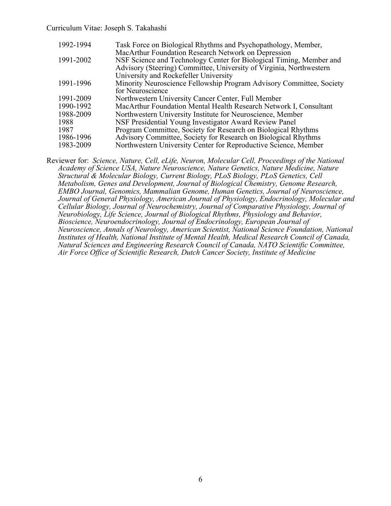| 1992-1994 | Task Force on Biological Rhythms and Psychopathology, Member,        |
|-----------|----------------------------------------------------------------------|
|           | MacArthur Foundation Research Network on Depression                  |
| 1991-2002 | NSF Science and Technology Center for Biological Timing, Member and  |
|           | Advisory (Steering) Committee, University of Virginia, Northwestern  |
|           | University and Rockefeller University                                |
| 1991-1996 | Minority Neuroscience Fellowship Program Advisory Committee, Society |
|           | for Neuroscience                                                     |
| 1991-2009 | Northwestern University Cancer Center, Full Member                   |
| 1990-1992 | MacArthur Foundation Mental Health Research Network I, Consultant    |
| 1988-2009 | Northwestern University Institute for Neuroscience, Member           |
| 1988      | NSF Presidential Young Investigator Award Review Panel               |
| 1987      | Program Committee, Society for Research on Biological Rhythms        |
| 1986-1996 | Advisory Committee, Society for Research on Biological Rhythms       |
| 1983-2009 | Northwestern University Center for Reproductive Science, Member      |

Reviewer for: *Science, Nature, Cell, eLife, Neuron, Molecular Cell, Proceedings of the National Academy of Science USA, Nature Neuroscience, Nature Genetics, Nature Medicine, Nature Structural & Molecular Biology, Current Biology, PLoS Biology, PLoS Genetics, Cell Metabolism, Genes and Development, Journal of Biological Chemistry, Genome Research, EMBO Journal, Genomics, Mammalian Genome, Human Genetics, Journal of Neuroscience, Journal of General Physiology, American Journal of Physiology, Endocrinology, Molecular and Cellular Biology, Journal of Neurochemistry, Journal of Comparative Physiology, Journal of Neurobiology, Life Science, Journal of Biological Rhythms, Physiology and Behavior, Bioscience, Neuroendocrinology, Journal of Endocrinology, European Journal of Neuroscience, Annals of Neurology, American Scientist, National Science Foundation, National Institutes of Health, National Institute of Mental Health, Medical Research Council of Canada, Natural Sciences and Engineering Research Council of Canada, NATO Scientific Committee, Air Force Office of Scientific Research, Dutch Cancer Society, Institute of Medicine*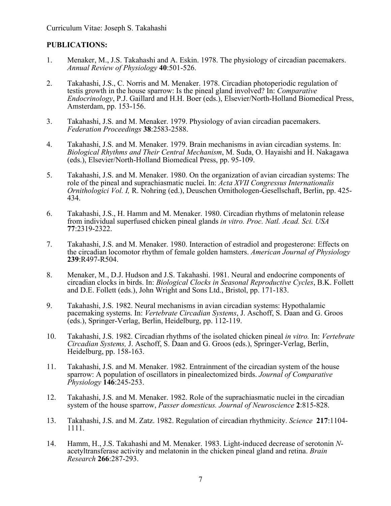### **PUBLICATIONS:**

- 1. Menaker, M., J.S. Takahashi and A. Eskin. 1978. The physiology of circadian pacemakers. *Annual Review of Physiology* **40**:501-526.
- 2. Takahashi, J.S., C. Norris and M. Menaker. 1978. Circadian photoperiodic regulation of testis growth in the house sparrow: Is the pineal gland involved? In: *Comparative Endocrinology*, P.J. Gaillard and H.H. Boer (eds.), Elsevier/North-Holland Biomedical Press, Amsterdam, pp. 153-156.
- 3. Takahashi, J.S. and M. Menaker. 1979. Physiology of avian circadian pacemakers. *Federation Proceedings* **38**:2583-2588.
- 4. Takahashi, J.S. and M. Menaker. 1979. Brain mechanisms in avian circadian systems. In: *Biological Rhythms and Their Central Mechanism*, M. Suda, O. Hayaishi and H. Nakagawa (eds.), Elsevier/North-Holland Biomedical Press, pp. 95-109.
- 5. Takahashi, J.S. and M. Menaker. 1980. On the organization of avian circadian systems: The role of the pineal and suprachiasmatic nuclei. In: *Acta XVII Congressus Internationalis Ornithologici Vol. I,* R. Nohring (ed.), Deuschen Ornithologen-Gesellschaft, Berlin, pp. 425- 434.
- 6. Takahashi, J.S., H. Hamm and M. Menaker. 1980. Circadian rhythms of melatonin release from individual superfused chicken pineal glands *in vitro. Proc. Natl. Acad. Sci. USA* **77**:2319-2322.
- 7. Takahashi, J.S. and M. Menaker. 1980. Interaction of estradiol and progesterone: Effects on the circadian locomotor rhythm of female golden hamsters. *American Journal of Physiology*  **239**:R497-R504.
- 8. Menaker, M., D.J. Hudson and J.S. Takahashi. 1981. Neural and endocrine components of circadian clocks in birds. In: *Biological Clocks in Seasonal Reproductive Cycles*, B.K. Follett and D.E. Follett (eds.), John Wright and Sons Ltd., Bristol, pp. 171-183.
- 9. Takahashi, J.S. 1982. Neural mechanisms in avian circadian systems: Hypothalamic pacemaking systems. In: *Vertebrate Circadian Systems*, J. Aschoff, S. Daan and G. Groos (eds.), Springer-Verlag, Berlin, Heidelburg, pp. 112-119.
- 10. Takahashi, J.S. 1982. Circadian rhythms of the isolated chicken pineal *in vitro.* In: *Vertebrate Circadian Systems,* J. Aschoff, S. Daan and G. Groos (eds.), Springer-Verlag, Berlin, Heidelburg, pp. 158-163.
- 11. Takahashi, J.S. and M. Menaker. 1982. Entrainment of the circadian system of the house sparrow: A population of oscillators in pinealectomized birds. *Journal of Comparative Physiology* **146**:245-253.
- 12. Takahashi, J.S. and M. Menaker. 1982. Role of the suprachiasmatic nuclei in the circadian system of the house sparrow, *Passer domesticus. Journal of Neuroscience* **2**:815-828.
- 13. Takahashi, J.S. and M. Zatz. 1982. Regulation of circadian rhythmicity. *Science* **217**:1104- 1111.
- 14. Hamm, H., J.S. Takahashi and M. Menaker. 1983. Light-induced decrease of serotonin *N* acetyltransferase activity and melatonin in the chicken pineal gland and retina. *Brain Research* **266**:287-293.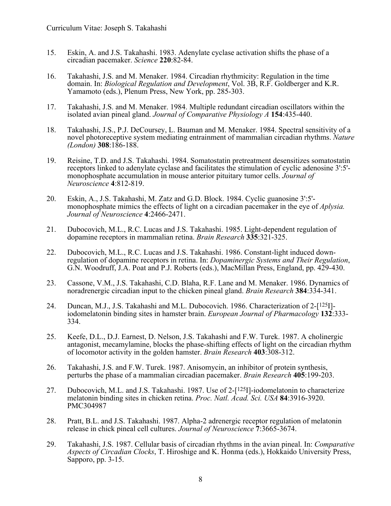- 15. Eskin, A. and J.S. Takahashi. 1983. Adenylate cyclase activation shifts the phase of a circadian pacemaker. *Science* **220**:82-84.
- 16. Takahashi, J.S. and M. Menaker. 1984. Circadian rhythmicity: Regulation in the time domain. In: *Biological Regulation and Development*, Vol. 3B, R.F. Goldberger and K.R. Yamamoto (eds.), Plenum Press, New York, pp. 285-303.
- 17. Takahashi, J.S. and M. Menaker. 1984. Multiple redundant circadian oscillators within the isolated avian pineal gland. *Journal of Comparative Physiology A* **154**:435-440.
- 18. Takahashi, J.S., P.J. DeCoursey, L. Bauman and M. Menaker. 1984. Spectral sensitivity of a novel photoreceptive system mediating entrainment of mammalian circadian rhythms. *Nature (London)* **308**:186-188.
- 19. Reisine, T.D. and J.S. Takahashi. 1984. Somatostatin pretreatment desensitizes somatostatin receptors linked to adenylate cyclase and facilitates the stimulation of cyclic adenosine 3':5' monophosphate accumulation in mouse anterior pituitary tumor cells. *Journal of Neuroscience* **4**:812-819.
- 20. Eskin, A., J.S. Takahashi, M. Zatz and G.D. Block. 1984. Cyclic guanosine 3':5'- monophosphate mimics the effects of light on a circadian pacemaker in the eye of *Aplysia. Journal of Neuroscience* **4**:2466-2471.
- 21. Dubocovich, M.L., R.C. Lucas and J.S. Takahashi. 1985. Light-dependent regulation of dopamine receptors in mammalian retina. *Brain Research* **335**:321-325.
- 22. Dubocovich, M.L., R.C. Lucas and J.S. Takahashi. 1986. Constant-light induced down-<br>regulation of dopamine receptors in retina. In: *Dopaminergic Systems and Their Regulation*,<br>G.N. Woodruff, J.A. Poat and P.J. Roberts
- 23. Cassone, V.M., J.S. Takahashi, C.D. Blaha, R.F. Lane and M. Menaker. 1986. Dynamics of noradrenergic circadian input to the chicken pineal gland. *Brain Research* **384**:334-341.
- 24. Duncan, M.J., J.S. Takahashi and M.L. Dubocovich. 1986. Characterization of 2-[125I]- iodomelatonin binding sites in hamster brain. *European Journal of Pharmacology* **<sup>132</sup>**:333- 334.
- 25. Keefe, D.L., D.J. Earnest, D. Nelson, J.S. Takahashi and F.W. Turek. 1987. A cholinergic antagonist, mecamylamine, blocks the phase-shifting effects of light on the circadian rhythm of locomotor activity in the golden hamster. *Brain Research* **403**:308-312.
- 26. Takahashi, J.S. and F.W. Turek. 1987. Anisomycin, an inhibitor of protein synthesis, perturbs the phase of a mammalian circadian pacemaker. *Brain Research* **405**:199-203.
- 27. Dubocovich, M.L. and J.S. Takahashi. 1987. Use of 2-[125]]-iodomelatonin to characterize melatonin binding sites in chicken retina. *Proc. Natl. Acad. Sci. USA* **84**:3916-3920. PMC304987
- 28. Pratt, B.L. and J.S. Takahashi. 1987. Alpha-2 adrenergic receptor regulation of melatonin release in chick pineal cell cultures. *Journal of Neuroscience* **7**:3665-3674.
- 29. Takahashi, J.S. 1987. Cellular basis of circadian rhythms in the avian pineal. In: *Comparative Aspects of Circadian Clocks*, T. Hiroshige and K. Honma (eds.), Hokkaido University Press, Sapporo, pp. 3-15.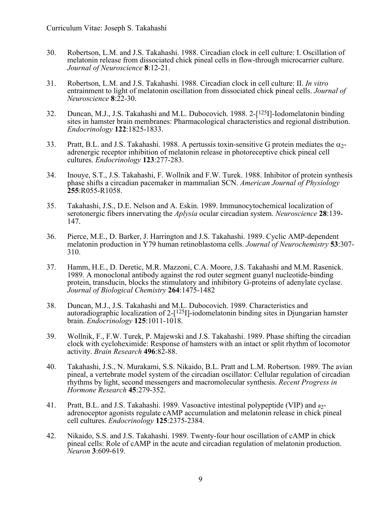- 30. Robertson, L.M. and J.S. Takahashi. 1988. Circadian clock in cell culture: I. Oscillation of melatonin release from dissociated chick pineal cells in flow-through microcarrier culture. *Journal of Neuroscience* **8**:12-21.
- 31. Robertson, L.M. and J.S. Takahashi. 1988. Circadian clock in cell culture: II. *In vitro* entrainment to light of melatonin oscillation from dissociated chick pineal cells. *Journal of Neuroscience* **8**:22-30.
- 32. Duncan, M.J., J.S. Takahashi and M.L. Dubocovich. 1988. 2-[125I]-Iodomelatonin binding sites in hamster brain membranes: Pharmacological characteristics and regional distribution. *Endocrinology* **122**:1825-1833.
- 33. Pratt, B.L. and J.S. Takahashi. 1988. A pertussis toxin-sensitive G protein mediates the  $\alpha$ <sub>2</sub>adrenergic receptor inhibition of melatonin release in photoreceptive chick pineal cell cultures. *Endocrinology* **123**:277-283.
- 34. Inouye, S.T., J.S. Takahashi, F. Wollnik and F.W. Turek. 1988. Inhibitor of protein synthesis phase shifts a circadian pacemaker in mammalian SCN. *American Journal of Physiology* **255**:R055-R1058.
- 35. Takahashi, J.S., D.E. Nelson and A. Eskin. 1989. Immunocytochemical localization of serotonergic fibers innervating the *Aplysia* ocular circadian system. *Neuroscience* **28**:139- 147.
- 36. Pierce, M.E., D. Barker, J. Harrington and J.S. Takahashi. 1989. Cyclic AMP-dependent melatonin production in Y79 human retinoblastoma cells. *Journal of Neurochemistry* **53**:307- 310.
- 37. Hamm, H.E., D. Deretic, M.R. Mazzoni, C.A. Moore, J.S. Takahashi and M.M. Rasenick. 1989. A monoclonal antibody against the rod outer segment guanyl nucleotide-binding protein, transducin, blocks the stimulatory and inhibitory G-proteins of adenylate cyclase. *Journal of Biological Chemistry* **264**:1475-1482
- 38. Duncan, M.J., J.S. Takahashi and M.L. Dubocovich. 1989. Characteristics and autoradiographic localization of  $2-[1^{25}]]$ -iodomelatonin binding sites in Djungarian hamster brain. *Endocrinology* **125**:1011-1018.
- 39. Wollnik, F., F.W. Turek, P. Majewski and J.S. Takahashi. 1989. Phase shifting the circadian clock with cycloheximide: Response of hamsters with an intact or split rhythm of locomotor activity. *Brain Research* **496**:82-88.
- 40. Takahashi, J.S., N. Murakami, S.S. Nikaido, B.L. Pratt and L.M. Robertson. 1989. The avian pineal, a vertebrate model system of the circadian oscillator: Cellular regulation of circadian rhythms by light, second messengers and macromolecular synthesis. *Recent Progress in Hormone Research* **45**:279-352.
- 41. Pratt, B.L. and J.S. Takahashi. 1989. Vasoactive intestinal polypeptide (VIP) and a2 adrenoceptor agonists regulate cAMP accumulation and melatonin release in chick pineal cell cultures. *Endocrinology* **125**:2375-2384.
- 42. Nikaido, S.S. and J.S. Takahashi. 1989. Twenty-four hour oscillation of cAMP in chick pineal cells: Role of cAMP in the acute and circadian regulation of melatonin production. *Neuron* **3**:609-619.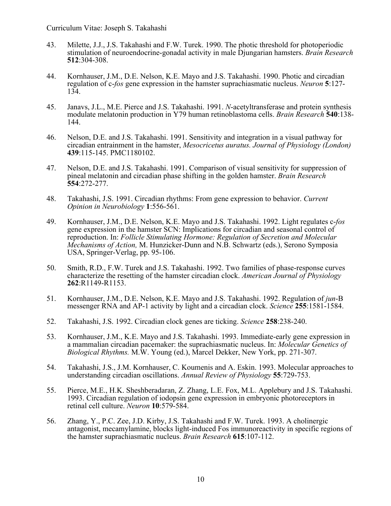- 43. Milette, J.J., J.S. Takahashi and F.W. Turek. 1990. The photic threshold for photoperiodic stimulation of neuroendocrine-gonadal activity in male Djungarian hamsters. *Brain Research* **512**:304-308.
- 44. Kornhauser, J.M., D.E. Nelson, K.E. Mayo and J.S. Takahashi. 1990. Photic and circadian regulation of c-*fos* gene expression in the hamster suprachiasmatic nucleus. *Neuron* **5**:127- 134.
- 45. Janavs, J.L., M.E. Pierce and J.S. Takahashi. 1991. *N*-acetyltransferase and protein synthesis modulate melatonin production in Y79 human retinoblastoma cells. *Brain Research* **540**:138- 144.
- 46. Nelson, D.E. and J.S. Takahashi. 1991. Sensitivity and integration in a visual pathway for circadian entrainment in the hamster, *Mesocricetus auratus. Journal of Physiology (London)*  **439**:115-145. PMC1180102.
- 47. Nelson, D.E. and J.S. Takahashi. 1991. Comparison of visual sensitivity for suppression of pineal melatonin and circadian phase shifting in the golden hamster. *Brain Research* **554**:272-277.
- 48. Takahashi, J.S. 1991. Circadian rhythms: From gene expression to behavior. *Current Opinion in Neurobiology* **1**:556-561.
- 49. Kornhauser, J.M., D.E. Nelson, K.E. Mayo and J.S. Takahashi. 1992. Light regulates c-*fos* gene expression in the hamster SCN: Implications for circadian and seasonal control of reproduction. In: *Follicle Stimulating Hormone: Regulation of Secretion and Molecular Mechanisms of Action,* M. Hunzicker-Dunn and N.B. Schwartz (eds.), Serono Symposia USA, Springer-Verlag, pp. 95-106.
- 50. Smith, R.D., F.W. Turek and J.S. Takahashi. 1992. Two families of phase-response curves characterize the resetting of the hamster circadian clock. *American Journal of Physiology* **262**:R1149-R1153.
- 51. Kornhauser, J.M., D.E. Nelson, K.E. Mayo and J.S. Takahashi. 1992. Regulation of *jun*-B messenger RNA and AP-1 activity by light and a circadian clock. *Science* **255**:1581-1584.
- 52. Takahashi, J.S. 1992. Circadian clock genes are ticking. *Science* **258**:238-240.
- 53. Kornhauser, J.M., K.E. Mayo and J.S. Takahashi. 1993. Immediate-early gene expression in a mammalian circadian pacemaker: the suprachiasmatic nucleus. In: *Molecular Genetics of Biological Rhythms.* M.W. Young (ed.), Marcel Dekker, New York, pp. 271-307.
- 54. Takahashi, J.S., J.M. Kornhauser, C. Koumenis and A. Eskin. 1993. Molecular approaches to understanding circadian oscillations. *Annual Review of Physiology* **55**:729-753.
- 55. Pierce, M.E., H.K. Sheshberadaran, Z. Zhang, L.E. Fox, M.L. Applebury and J.S. Takahashi. 1993. Circadian regulation of iodopsin gene expression in embryonic photoreceptors in retinal cell culture. *Neuron* **10**:579-584.
- 56. Zhang, Y., P.C. Zee, J.D. Kirby, J.S. Takahashi and F.W. Turek. 1993. A cholinergic antagonist, mecamylamine, blocks light-induced Fos immunoreactivity in specific regions of the hamster suprachiasmatic nucleus. *Brain Research* **615**:107-112.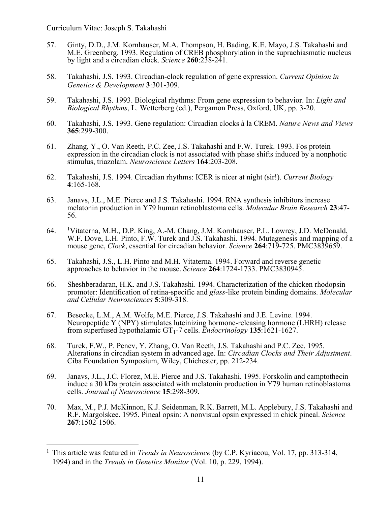- 57. Ginty, D.D., J.M. Kornhauser, M.A. Thompson, H. Bading, K.E. Mayo, J.S. Takahashi and M.E. Greenberg. 1993. Regulation of CREB phosphorylation in the suprachiasmatic nucleus by light and a circadian clock. *Science* **260**:238-241.
- 58. Takahashi, J.S. 1993. Circadian-clock regulation of gene expression. *Current Opinion in Genetics & Development* **3**:301-309.
- 59. Takahashi, J.S. 1993. Biological rhythms: From gene expression to behavior. In: *Light and Biological Rhythms*, L. Wetterberg (ed.), Pergamon Press, Oxford, UK, pp. 3-20.
- 60. Takahashi, J.S. 1993. Gene regulation: Circadian clocks à la CREM. *Nature News and Views* **365**:299-300.
- 61. Zhang, Y., O. Van Reeth, P.C. Zee, J.S. Takahashi and F.W. Turek. 1993. Fos protein expression in the circadian clock is not associated with phase shifts induced by a nonphotic stimulus, triazolam. *Neuroscience Letters* **164**:203-208.
- 62. Takahashi, J.S. 1994. Circadian rhythms: ICER is nicer at night (sir!). *Current Biology* **4**:165-168.
- 63. Janavs, J.L., M.E. Pierce and J.S. Takahashi. 1994. RNA synthesis inhibitors increase melatonin production in Y79 human retinoblastoma cells. *Molecular Brain Research* **23**:47- 56.
- 64. Vitaterna, M.H., D.P. King, A.-M. Chang, J.M. Kornhauser, P.L. Lowrey, J.D. McDonald, W.F. Dove, L.H. Pinto, F.W. Turek and J.S. Takahashi. 1994. Mutagenesis and mapping of a mouse gene, *Clock*, essential for circadian behavior. *Science* **264**:719-725. PMC3839659.
- 65. Takahashi, J.S., L.H. Pinto and M.H. Vitaterna. 1994. Forward and reverse genetic approaches to behavior in the mouse. *Science* **264**:1724-1733. PMC3830945.
- 66. Sheshberadaran, H.K. and J.S. Takahashi. 1994. Characterization of the chicken rhodopsin promoter: Identification of retina-specific and *glass*-like protein binding domains. *Molecular and Cellular Neurosciences* **5**:309-318.
- 67. Besecke, L.M., A.M. Wolfe, M.E. Pierce, J.S. Takahashi and J.E. Levine. 1994. Neuropeptide Y (NPY) stimulates luteinizing hormone-releasing hormone (LHRH) release from superfused hypothalamic GT1-7 cells. *Endocrinology* **135**:1621-1627.
- 68. Turek, F.W., P. Penev, Y. Zhang, O. Van Reeth, J.S. Takahashi and P.C. Zee. 1995. Alterations in circadian system in advanced age. In: *Circadian Clocks and Their Adjustment*. Ciba Foundation Symposium, Wiley, Chichester, pp. 212-234.
- 69. Janavs, J.L., J.C. Florez, M.E. Pierce and J.S. Takahashi. 1995. Forskolin and camptothecin induce a 30 kDa protein associated with melatonin production in Y79 human retinoblastoma cells. *Journal of Neuroscience* **15**:298-309.
- 70. Max, M., P.J. McKinnon, K.J. Seidenman, R.K. Barrett, M.L. Applebury, J.S. Takahashi and R.F. Margolskee. 1995. Pineal opsin: A nonvisual opsin expressed in chick pineal. *Science* **267**:1502-1506.

<sup>1</sup> This article was featured in *Trends in Neuroscience* (by C.P. Kyriacou, Vol. 17, pp. 313-314, 1994) and in the *Trends in Genetics Monitor* (Vol. 10, p. 229, 1994).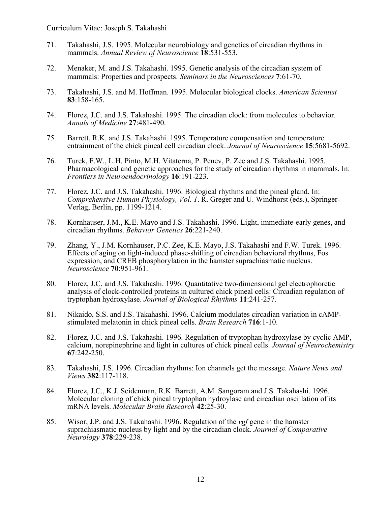- 71. Takahashi, J.S. 1995. Molecular neurobiology and genetics of circadian rhythms in mammals. *Annual Review of Neuroscience* **18**:531-553.
- 72. Menaker, M. and J.S. Takahashi. 1995. Genetic analysis of the circadian system of mammals: Properties and prospects. *Seminars in the Neurosciences* **7**:61-70.
- 73. Takahashi, J.S. and M. Hoffman. 1995. Molecular biological clocks. *American Scientist* **83**:158-165.
- 74. Florez, J.C. and J.S. Takahashi. 1995. The circadian clock: from molecules to behavior. *Annals of Medicine* **27**:481-490.
- 75. Barrett, R.K. and J.S. Takahashi. 1995. Temperature compensation and temperature entrainment of the chick pineal cell circadian clock. *Journal of Neuroscience* **15**:5681-5692.
- 76. Turek, F.W., L.H. Pinto, M.H. Vitaterna, P. Penev, P. Zee and J.S. Takahashi. 1995. Pharmacological and genetic approaches for the study of circadian rhythms in mammals. In: *Frontiers in Neuroendocrinology* **16**:191-223.
- 77. Florez, J.C. and J.S. Takahashi. 1996. Biological rhythms and the pineal gland. In: *Comprehensive Human Physiology, Vol. 1*. R. Greger and U. Windhorst (eds.), Springer-Verlag, Berlin, pp. 1199-1214.
- 78. Kornhauser, J.M., K.E. Mayo and J.S. Takahashi. 1996. Light, immediate-early genes, and circadian rhythms. *Behavior Genetics* **26**:221-240.
- 79. Zhang, Y., J.M. Kornhauser, P.C. Zee, K.E. Mayo, J.S. Takahashi and F.W. Turek. 1996. Effects of aging on light-induced phase-shifting of circadian behavioral rhythms, Fos expression, and CREB phosphorylation in the hamster suprachiasmatic nucleus. *Neuroscience* **70**:951-961.
- 80. Florez, J.C. and J.S. Takahashi. 1996. Quantitative two-dimensional gel electrophoretic analysis of clock-controlled proteins in cultured chick pineal cells: Circadian regulation of tryptophan hydroxylase. *Journal of Biological Rhythms* **11**:241-257.
- 81. Nikaido, S.S. and J.S. Takahashi. 1996. Calcium modulates circadian variation in cAMPstimulated melatonin in chick pineal cells. *Brain Research* **716**:1-10.
- 82. Florez, J.C. and J.S. Takahashi. 1996. Regulation of tryptophan hydroxylase by cyclic AMP, calcium, norepinephrine and light in cultures of chick pineal cells. *Journal of Neurochemistry* **67**:242-250.
- 83. Takahashi, J.S. 1996. Circadian rhythms: Ion channels get the message. *Nature News and Views* **382**:117-118.
- 84. Florez, J.C., K.J. Seidenman, R.K. Barrett, A.M. Sangoram and J.S. Takahashi. 1996. Molecular cloning of chick pineal tryptophan hydroylase and circadian oscillation of its mRNA levels. *Molecular Brain Research* **42**:25-30.
- 85. Wisor, J.P. and J.S. Takahashi. 1996. Regulation of the *vgf* gene in the hamster suprachiasmatic nucleus by light and by the circadian clock. *Journal of Comparative Neurology* **378**:229-238.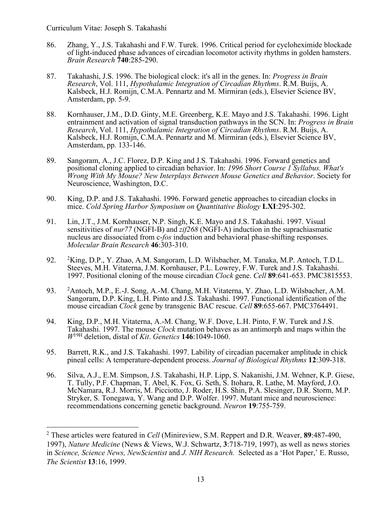- 86. Zhang, Y., J.S. Takahashi and F.W. Turek. 1996. Critical period for cycloheximide blockade of light-induced phase advances of circadian locomotor activity rhythms in golden hamsters. *Brain Research* **740**:285-290.
- 87. Takahashi, J.S. 1996. The biological clock: it's all in the genes. In: *Progress in Brain Research*, Vol. 111, *Hypothalamic Integration of Circadian Rhythms*. R.M. Buijs, A. Kalsbeck, H.J. Romijn, C.M.A. Pennartz and M. Mirmiran (eds.), Elsevier Science BV, Amsterdam, pp. 5-9.
- 88. Kornhauser, J.M., D.D. Ginty, M.E. Greenberg, K.E. Mayo and J.S. Takahashi. 1996. Light entrainment and activation of signal transduction pathways in the SCN. In: *Progress in Brain Research*, Vol. 111, *Hypothalamic Integration of Circadian Rhythms*. R.M. Buijs, A. Kalsbeck, H.J. Romijn, C.M.A. Pennartz and M. Mirmiran (eds.), Elsevier Science BV, Amsterdam, pp. 133-146.
- 89. Sangoram, A., J.C. Florez, D.P. King and J.S. Takahashi. 1996. Forward genetics and positional cloning applied to circadian behavior. In: *1996 Short Course 1 Syllabus. What's Wrong With My Mouse? New Interplays Between Mouse Genetics and Behavior*. Society for Neuroscience, Washington, D.C.
- 90. King, D.P. and J.S. Takahashi. 1996. Forward genetic approaches to circadian clocks in mice. *Cold Spring Harbor Symposium on Quantitative Biology* **LXI**:295-302.
- 91. Lin, J.T., J.M. Kornhauser, N.P. Singh, K.E. Mayo and J.S. Takahashi. 1997. Visual sensitivities of *nur77* (NGFI-B) and *zif268* (NGFI-A) induction in the suprachiasmatic nucleus are dissociated from c-*fos* induction and behavioral phase-shifting responses. *Molecular Brain Research* **46**:303-310.
- 92. <sup>2</sup>King, D.P., Y. Zhao, A.M. Sangoram, L.D. Wilsbacher, M. Tanaka, M.P. Antoch, T.D.L. Steeves, M.H. Vitaterna, J.M. Kornhauser, P.L. Lowrey, F.W. Turek and J.S. Takahashi. 1997. Positional cloning of the mouse circadian *Clock* gene. *Cell* **89**:641-653. PMC3815553.
- 93. <sup>2</sup>Antoch, M.P., E.-J. Song, A.-M. Chang, M.H. Vitaterna, Y. Zhao, L.D. Wilsbacher, A.M. Sangoram, D.P. King, L.H. Pinto and J.S. Takahashi. 1997. Functional identification of the mouse circadian *Clock* gene by transgenic BAC rescue. *Cell* **89**:655-667. PMC3764491.
- 94. King, D.P., M.H. Vitaterna, A.-M. Chang, W.F. Dove, L.H. Pinto, F.W. Turek and J.S. Takahashi. 1997. The mouse *Clock* mutation behaves as an antimorph and maps within the *W*19H deletion, distal of *Kit*. *Genetics* **146**:1049-1060.
- 95. Barrett, R.K., and J.S. Takahashi. 1997. Lability of circadian pacemaker amplitude in chick pineal cells: A temperature-dependent process. *Journal of Biological Rhythms* **12**:309-318.
- 96. Silva, A.J., E.M. Simpson, J.S. Takahashi, H.P. Lipp, S. Nakanishi, J.M. Wehner, K.P. Giese, T. Tully, P.F. Chapman, T. Abel, K. Fox, G. Seth, S. Itohara, R. Lathe, M. Mayford, J.O. McNamara, R.J. Morris, M. Picciotto, J. Roder, H.S. Shin, P.A. Slesinger, D.R. Storm, M.P. Stryker, S. Tonegawa, Y. Wang and D.P. Wolfer. 1997. Mutant mice and neuroscience: recommendations concerning genetic background. *Neuron* **19**:755-759.

<sup>2</sup> These articles were featured in *Cell* (Minireview, S.M. Reppert and D.R. Weaver, **89**:487-490, 1997), *Nature Medicine* (News & Views, W.J. Schwartz, **3**:718-719, 1997), as well as news stories in *Science, Science News, NewScientist* and *J. NIH Research.* Selected as a 'Hot Paper,' E. Russo, *The Scientist* **13**:16, 1999.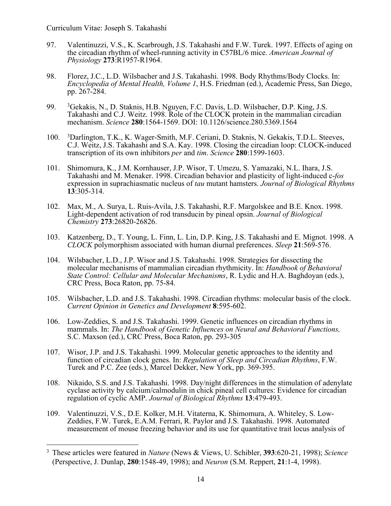- 97. Valentinuzzi, V.S., K. Scarbrough, J.S. Takahashi and F.W. Turek. 1997. Effects of aging on the circadian rhythm of wheel-running activity in C57BL/6 mice. *American Journal of Physiology* **273**:R1957-R1964.
- 98. Florez, J.C., L.D. Wilsbacher and J.S. Takahashi. 1998. Body Rhythms/Body Clocks. In: *Encyclopedia of Mental Health, Volume 1*, H.S. Friedman (ed.), Academic Press, San Diego, pp. 267-284.
- 99. 3Gekakis, N., D. Staknis, H.B. Nguyen, F.C. Davis, L.D. Wilsbacher, D.P. King, J.S. Takahashi and C.J. Weitz. 1998. Role of the CLOCK protein in the mammalian circadian mechanism. *Science* **280**:1564-1569. DOI: 10.1126/science.280.5369.1564
- 100. Darlington, T.K., K. Wager-Smith, M.F. Ceriani, D. Staknis, N. Gekakis, T.D.L. Steeves, C.J. Weitz, J.S. Takahashi and S.A. Kay. 1998. Closing the circadian loop: CLOCK-induced transcription of its own inhibitors *per* and *tim*. *Science* **280**:1599-1603.
- 101. Shimomura, K., J.M. Kornhauser, J.P. Wisor, T. Umezu, S. Yamazaki, N.L. Ihara, J.S. Takahashi and M. Menaker. 1998. Circadian behavior and plasticity of light-induced c-*fos* expression in suprachiasmatic nucleus of *tau* mutant hamsters. *Journal of Biological Rhythms* **13**:305-314.
- 102. Max, M., A. Surya, L. Ruis-Avila, J.S. Takahashi, R.F. Margolskee and B.E. Knox. 1998. Light-dependent activation of rod transducin by pineal opsin. *Journal of Biological Chemistry* **273**:26820-26826.
- 103. Katzenberg, D., T. Young, L. Finn, L. Lin, D.P. King, J.S. Takahashi and E. Mignot. 1998. A *CLOCK* polymorphism associated with human diurnal preferences. *Sleep* **21**:569-576.
- 104. Wilsbacher, L.D., J.P. Wisor and J.S. Takahashi. 1998. Strategies for dissecting the molecular mechanisms of mammalian circadian rhythmicity. In: *Handbook of Behavioral State Control: Cellular and Molecular Mechanisms*, R. Lydic and H.A. Baghdoyan (eds.), CRC Press, Boca Raton, pp. 75-84.
- 105. Wilsbacher, L.D. and J.S. Takahashi. 1998. Circadian rhythms: molecular basis of the clock. *Current Opinion in Genetics and Development* **8**:595-602.
- 106. Low-Zeddies, S. and J.S. Takahashi. 1999. Genetic influences on circadian rhythms in mammals. In: *The Handbook of Genetic Influences on Neural and Behavioral Functions,*  S.C. Maxson (ed.), CRC Press, Boca Raton, pp. 293-305
- 107. Wisor, J.P. and J.S. Takahashi. 1999. Molecular genetic approaches to the identity and function of circadian clock genes. In: *Regulation of Sleep and Circadian Rhythms*, F.W. Turek and P.C. Zee (eds.), Marcel Dekker, New York, pp. 369-395.
- 108. Nikaido, S.S. and J.S. Takahashi. 1998. Day/night differences in the stimulation of adenylate cyclase activity by calcium/calmodulin in chick pineal cell cultures: Evidence for circadian regulation of cyclic AMP. *Journal of Biological Rhythms* **13**:479-493.
- 109. Valentinuzzi, V.S., D.E. Kolker, M.H. Vitaterna, K. Shimomura, A. Whiteley, S. Low-Zeddies, F.W. Turek, E.A.M. Ferrari, R. Paylor and J.S. Takahashi. 1998. Automated measurement of mouse freezing behavior and its use for quantitative trait locus analysis of

<sup>3</sup> These articles were featured in *Nature* (News & Views, U. Schibler, **393**:620-21, 1998); *Science* (Perspective, J. Dunlap, **280**:1548-49, 1998); and *Neuron* (S.M. Reppert, **21**:1-4, 1998).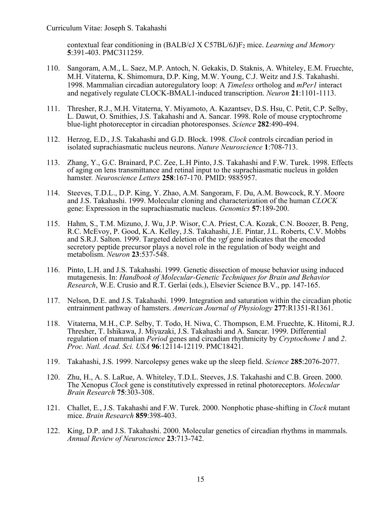contextual fear conditioning in (BALB/cJ X C57BL/6J)F2 mice. *Learning and Memory* **5**:391-403. PMC311259.

- 110. Sangoram, A.M., L. Saez, M.P. Antoch, N. Gekakis, D. Staknis, A. Whiteley, E.M. Fruechte, M.H. Vitaterna, K. Shimomura, D.P. King, M.W. Young, C.J. Weitz and J.S. Takahashi. 1998. Mammalian circadian autoregulatory loop: A *Timeless* ortholog and *mPer1* interact and negatively regulate CLOCK-BMAL1-induced transcription. *Neuron* **21**:1101-1113.
- 111. Thresher, R.J., M.H. Vitaterna, Y. Miyamoto, A. Kazantsev, D.S. Hsu, C. Petit, C.P. Selby, L. Dawut, O. Smithies, J.S. Takahashi and A. Sancar. 1998. Role of mouse cryptochrome blue-light photoreceptor in circadian photoresponses. *Science* **282**:490-494.
- 112. Herzog, E.D., J.S. Takahashi and G.D. Block. 1998. *Clock* controls circadian period in isolated suprachiasmatic nucleus neurons. *Nature Neuroscience* **1**:708-713.
- 113. Zhang, Y., G.C. Brainard, P.C. Zee, L.H Pinto, J.S. Takahashi and F.W. Turek. 1998. Effects of aging on lens transmittance and retinal input to the suprachiasmatic nucleus in golden hamster*. Neuroscience Letters* **258**:167-170. PMID: 9885957.
- 114. Steeves, T.D.L., D.P. King, Y. Zhao, A.M. Sangoram, F. Du, A.M. Bowcock, R.Y. Moore and J.S. Takahashi. 1999. Molecular cloning and characterization of the human *CLOCK* gene: Expression in the suprachiasmatic nucleus. *Genomics* **57**:189-200.
- 115. Hahm, S., T.M. Mizuno, J. Wu, J.P. Wisor, C.A. Priest, C.A. Kozak, C.N. Boozer, B. Peng, R.C. McEvoy, P. Good, K.A. Kelley, J.S. Takahashi, J.E. Pintar, J.L. Roberts, C.V. Mobbs and S.R.J. Salton. 1999. Targeted deletion of the *vgf* gene indicates that the encoded secretory peptide precursor plays a novel role in the regulation of body weight and metabolism. *Neuron* **23**:537-548.
- 116. Pinto, L.H. and J.S. Takahashi. 1999. Genetic dissection of mouse behavior using induced mutagenesis. In: *Handbook of Molecular-Genetic Techniques for Brain and Behavior Research*, W.E. Crusio and R.T. Gerlai (eds.), Elsevier Science B.V., pp. 147-165.
- 117. Nelson, D.E. and J.S. Takahashi. 1999. Integration and saturation within the circadian photic entrainment pathway of hamsters. *American Journal of Physiology* **277**:R1351-R1361.
- 118. Vitaterna, M.H., C.P. Selby, T. Todo, H. Niwa, C. Thompson, E.M. Fruechte, K. Hitomi, R.J. Thresher, T. Ishikawa, J. Miyazaki, J.S. Takahashi and A. Sancar. 1999. Differential regulation of mammalian *Period* genes and circadian rhythmicity by *Cryptochome 1* and *2*. *Proc. Natl. Acad. Sci. USA* **96**:12114-12119. PMC18421.
- 119. Takahashi, J.S. 1999. Narcolepsy genes wake up the sleep field. *Science* **285**:2076-2077.
- 120. Zhu, H., A. S. LaRue, A. Whiteley, T.D.L. Steeves, J.S. Takahashi and C.B. Green. 2000. The Xenopus *Clock* gene is constitutively expressed in retinal photoreceptors. *Molecular Brain Research* **75**:303-308.
- 121. Challet, E., J.S. Takahashi and F.W. Turek. 2000. Nonphotic phase-shifting in *Clock* mutant mice. *Brain Research* **859**:398-403.
- 122. King, D.P. and J.S. Takahashi. 2000. Molecular genetics of circadian rhythms in mammals. *Annual Review of Neuroscience* **23**:713-742.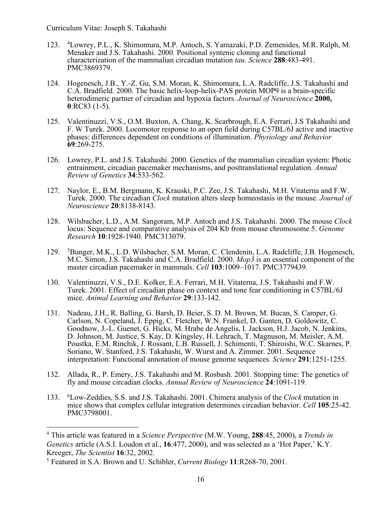- 123. <sup>4</sup> Lowrey, P.L., K. Shimomura, M.P. Antoch, S. Yamazaki, P.D. Zemenides, M.R. Ralph, M. Menaker and J.S. Takahashi. 2000. Positional syntenic cloning and functional characterization of the mammalian circadian mutation *tau*. *Science* **288**:483-491. PMC3869379.
- 124. Hogenesch, J.B., Y.-Z. Gu, S.M. Moran, K. Shimomura, L.A. Radcliffe, J.S. Takahashi and C.A. Bradfield. 2000. The basic helix-loop-helix-PAS protein MOP9 is a brain-specific heterodimeric partner of circadian and hypoxia factors. *Journal of Neuroscience* **2000, 0**:RC83 (1-5).
- 125. Valentinuzzi, V.S., O.M. Buxton, A. Chang, K. Scarbrough, E.A. Ferrari, J.S Takahashi and F. W Turek. 2000. Locomotor response to an open field during C57BL/6J active and inactive phases: differences dependent on conditions of illumination. *Physiology and Behavior* **69**:269-275.
- 126. Lowrey, P.L. and J.S. Takahashi. 2000. Genetics of the mammalian circadian system: Photic entrainment, circadian pacemaker mechanisms, and posttranslational regulation. *Annual Review of Genetics* **34**:533-562.
- 127. Naylor, E., B.M. Bergmann, K. Krauski, P.C. Zee, J.S. Takahashi, M.H. Vitaterna and F.W. Turek. 2000. The circadian *Clock* mutation alters sleep homeostasis in the mouse. *Journal of Neuroscience* **20**:8138-8143.
- 128. Wilsbacher, L.D., A.M. Sangoram, M.P. Antoch and J.S. Takahashi. 2000. The mouse *Clock*  locus: Sequence and comparative analysis of 204 Kb from mouse chromosome 5. *Genome Research* **10**:1928-1940. PMC313079.
- 129. <sup>5</sup>Bunger, M.K., L.D. Wilsbacher, S.M. Moran, C. Clendenin, L.A. Radcliffe, J.B. Hogenesch, M.C. Simon, J.S. Takahashi and C.A. Bradfield. 2000. *Mop3* is an essential component of the master circadian pacemaker in mammals. *Cell* **103**:1009–1017. PMC3779439.
- 130. Valentinuzzi, V.S., D.E. Kolker, E.A. Ferrari, M.H. Vitaterna, J.S. Takahashi and F.W. Turek. 2001. Effect of circadian phase on context and tone fear conditioning in C57BL/6J mice. *Animal Learning and Behavior* **29**:133-142.
- 131. Nadeau, J.H., R. Balling, G. Barsh, D. Beier, S. D. M. Brown, M. Bucan, S. Camper, G. Carlson, N. Copeland, J. Eppig, C. Fletcher, W.N. Frankel, D. Ganten, D. Goldowitz, C. Goodnow, J.-L. Guenet, G. Hicks, M. Hrabe de Angelis, I. Jackson, H.J. Jacob, N. Jenkins, D. Johnson, M. Justice, S. Kay, D. Kingsley, H. Lehrach, T. Magnuson, M. Meisler, A.M. Poustka, E.M. Rinchik, J. Rossant, L.B. Russell, J. Schimenti, T. Shiroishi, W.C. Skarnes, P. Soriano, W. Stanford, J.S. Takahashi, W. Wurst and A. Zimmer. 2001. Sequence interpretation: Functional annotation of mouse genome sequences. *Science* **291**:1251-1255.
- 132. Allada, R., P. Emery, J.S. Takahashi and M. Rosbash. 2001. Stopping time: The genetics of fly and mouse circadian clocks. *Annual Review of Neuroscience* **24**:1091-119.
- 133. Low-Zeddies, S.S. and J.S. Takahashi. 2001. Chimera analysis of the *Clock* mutation in mice shows that complex cellular integration determines circadian behavior. *Cell* **105**:25-42. PMC3798001.

<sup>4</sup> This article was featured in a *Science Perspective* (M.W. Young, **288**:45, 2000), a *Trends in Genetics* article (A.S.I. Loudon et al., **16**:477, 2000), and was selected as a 'Hot Paper,' K.Y. Kreeger, *The Scientist* **16**:32, 2002.

<sup>5</sup> Featured in S.A. Brown and U. Schibler, *Current Biology* **11**:R268-70, 2001.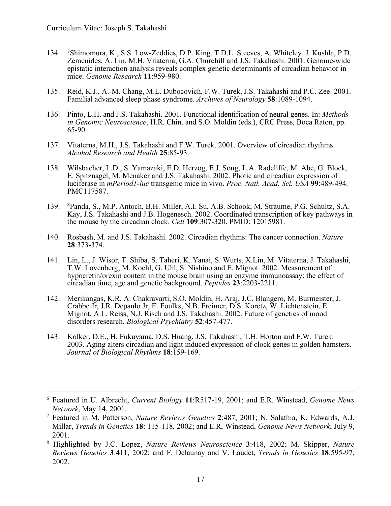- 134. Shimomura, K., S.S. Low-Zeddies, D.P. King, T.D.L. Steeves, A. Whiteley, J. Kushla, P.D. Zemenides, A. Lin, M.H. Vitaterna, G.A. Churchill and J.S. Takahashi. 2001. Genome-wide epistatic interaction analysis reveals complex genetic determinants of circadian behavior in mice. *Genome Research* **11**:959-980.
- 135. Reid, K.J., A.-M. Chang, M.L. Dubocovich, F.W. Turek, J.S. Takahashi and P.C. Zee. 2001. Familial advanced sleep phase syndrome. *Archives of Neurology* **58**:1089-1094.
- 136. Pinto, L.H. and J.S. Takahashi. 2001. Functional identification of neural genes. In: *Methods in Genomic Neuroscience*, H.R. Chin. and S.O. Moldin (eds.), CRC Press, Boca Raton, pp. 65-90.
- 137. Vitaterna, M.H., J.S. Takahashi and F.W. Turek. 2001. Overview of circadian rhythms. *Alcohol Research and Health* **25**:85-93.
- 138. Wilsbacher, L.D., S. Yamazaki, E.D. Herzog, E.J. Song, L.A. Radcliffe, M. Abe, G. Block, E. Spitznagel, M. Menaker and J.S. Takahashi. 2002. Photic and circadian expression of luciferase in *mPeriod1-luc* transgenic mice in vivo. *Proc. Natl. Acad. Sci. USA* **99**:489-494. PMC117587.
- 139. <sup>8</sup> Panda, S., M.P. Antoch, B.H. Miller, A.I. Su, A.B. Schook, M. Straume, P.G. Schultz, S.A. Kay, J.S. Takahashi and J.B. Hogenesch. 2002. Coordinated transcription of key pathways in the mouse by the circadian clock. *Cell* **109**:307-320. PMID: 12015981.
- 140. Rosbash, M. and J.S. Takahashi. 2002. Circadian rhythms: The cancer connection. *Nature* **28**:373-374.
- 141. Lin, L., J. Wisor, T. Shiba, S. Taheri, K. Yanai, S. Wurts, X.Lin, M. Vitaterna, J. Takahashi, T.W. Lovenberg, M. Koehl, G. Uhl, S. Nishino and E. Mignot. 2002. Measurement of hypocretin/orexin content in the mouse brain using an enzyme immunoassay: the effect of circadian time, age and genetic background. *Peptides* **23**:2203-2211.
- 142. Merikangas, K.R, A. Chakravarti, S.O. Moldin, H. Araj, J.C. Blangero, M. Burmeister, J. Crabbe Jr, J.R. Depaulo Jr, E. Foulks, N.B. Freimer, D.S. Koretz, W. Lichtenstein, E. Mignot, A.L. Reiss, N.J. Risch and J.S. Takahashi. 2002. Future of genetics of mood disorders research. *Biological Psychiatry* **52**:457-477.
- 143. Kolker, D.E., H. Fukuyama, D.S. Huang, J.S. Takahashi, T.H. Horton and F.W. Turek. 2003. Aging alters circadian and light induced expression of clock genes in golden hamsters. *Journal of Biological Rhythms* **18**:159-169.

<sup>6</sup> Featured in U. Albrecht, *Current Biology* **11**:R517-19, 2001; and E.R. Winstead, *Genome News Network*, May 14, 2001.

<sup>7</sup> Featured in M. Patterson, *Nature Reviews Genetics* **2**:487, 2001; N. Salathia, K. Edwards, A.J. Millar, *Trends in Genetics* **18**: 115-118, 2002; and E.R, Winstead, *Genome News Network*, July 9, 2001.

<sup>8</sup> Highlighted by J.C. Lopez, *Nature Reviews Neuroscience* **3**:418, 2002; M. Skipper, *Nature Reviews Genetics* **3**:411, 2002; and F. Delaunay and V. Laudet, *Trends in Genetics* **18**:595-97, 2002.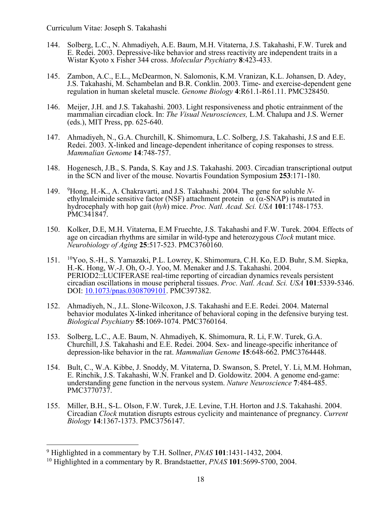- 144. Solberg, L.C., N. Ahmadiyeh, A.E. Baum, M.H. Vitaterna, J.S. Takahashi, F.W. Turek and E. Redei. 2003. Depressive-like behavior and stress reactivity are independent traits in a Wistar Kyoto x Fisher 344 cross. *Molecular Psychiatry* **8**:423-433*.*
- 145. Zambon, A.C., E.L., McDearmon, N. Salomonis, K.M. Vranizan, K.L. Johansen, D. Adey, J.S. Takahashi, M. Schambelan and B.R. Conklin. 2003. Time- and exercise-dependent gene regulation in human skeletal muscle. *Genome Biology* **4**:R61.1-R61.11. PMC328450.
- 146. Meijer, J.H. and J.S. Takahashi. 2003. Light responsiveness and photic entrainment of the mammalian circadian clock. In: *The Visual Neurosciences,* L.M. Chalupa and J.S. Werner (eds.), MIT Press, pp. 625-640.
- 147. Ahmadiyeh, N., G.A. Churchill, K. Shimomura, L.C. Solberg, J.S. Takahashi, J.S and E.E. Redei. 2003. X-linked and lineage-dependent inheritance of coping responses to stress. *Mammalian Genome* **14**:748-757.
- 148. Hogenesch, J.B., S. Panda, S. Kay and J.S. Takahashi. 2003. Circadian transcriptional output in the SCN and liver of the mouse. Novartis Foundation Symposium **253**:171-180.
- 149. <sup>9</sup>Hong, H.-K., A. Chakravarti, and J.S. Takahashi. 2004. The gene for soluble Nethylmaleimide sensitive factor (NSF) attachment protein  $\alpha$  ( $\alpha$ -SNAP) is mutated in hydrocephaly with hop gait (*hyh*) mice. *Proc. Natl. Acad. Sci. USA* **101**:1748-1753. PMC341847.
- 150. Kolker, D.E, M.H. Vitaterna, E.M Fruechte, J.S. Takahashi and F.W. Turek. 2004. Effects of age on circadian rhythms are similar in wild-type and heterozygous *Clock* mutant mice. *Neurobiology of Aging* **25**:517-523. PMC3760160.
- 151. 10Yoo, S.-H., S. Yamazaki, P.L. Lowrey, K. Shimomura, C.H. Ko, E.D. Buhr, S.M. Siepka, H.-K. Hong, W.-J. Oh, O.-J. Yoo, M. Menaker and J.S. Takahashi. 2004. PERIOD2::LUCIFERASE real-time reporting of circadian dynamics reveals persistent circadian oscillations in mouse peripheral tissues. *Proc. Natl. Acad. Sci. USA* **101**:5339-5346. DOI: 10.1073/pnas.0308709101. PMC397382.
- 152. Ahmadiyeh, N., J.L. Slone-Wilcoxon, J.S. Takahashi and E.E. Redei. 2004. Maternal behavior modulates X-linked inheritance of behavioral coping in the defensive burying test. *Biological Psychiatry* **55**:1069-1074. PMC3760164.
- 153. Solberg, L.C., A.E. Baum, N. Ahmadiyeh, K. Shimomura, R. Li, F.W. Turek, G.A. Churchill, J.S. Takahashi and E.E. Redei. 2004. Sex- and lineage-specific inheritance of depression-like behavior in the rat. *Mammalian Genome* **15**:648-662. PMC3764448.
- 154. Bult, C., W.A. Kibbe, J. Snoddy, M. Vitaterna, D. Swanson, S. Pretel, Y. Li, M.M. Hohman, E. Rinchik, J.S. Takahashi, W.N. Frankel and D. Goldowitz. 2004. A genome end-game: understanding gene function in the nervous system. *Nature Neuroscience* **7**:484-485. PMC3770737.
- 155. Miller, B.H., S-L. Olson, F.W. Turek, J.E. Levine, T.H. Horton and J.S. Takahashi. 2004. Circadian *Clock* mutation disrupts estrous cyclicity and maintenance of pregnancy. *Current Biology* **14**:1367-1373. PMC3756147.

<sup>9</sup> Highlighted in a commentary by T.H. Sollner, *PNAS* **101**:1431-1432, 2004.

<sup>10</sup> Highlighted in a commentary by R. Brandstaetter, *PNAS* **101**:5699-5700, 2004.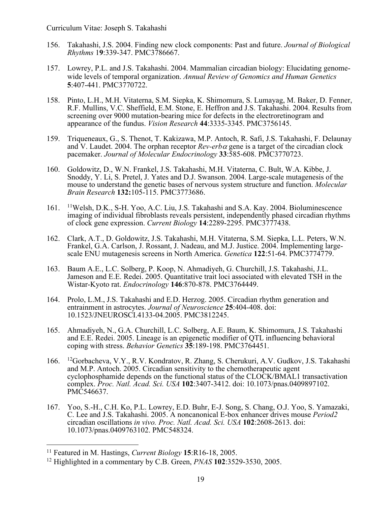- 156. Takahashi, J.S. 2004. Finding new clock components: Past and future. *Journal of Biological Rhythms* 1**9**:339-347. PMC3786667.
- 157. Lowrey, P.L. and J.S. Takahashi. 2004. Mammalian circadian biology: Elucidating genomewide levels of temporal organization. *Annual Review of Genomics and Human Genetics* **5**:407-441. PMC3770722.
- 158. Pinto, L.H., M.H. Vitaterna, S.M. Siepka, K. Shimomura, S. Lumayag, M. Baker, D. Fenner, R.F. Mullins, V.C. Sheffield, E.M. Stone, E. Heffron and J.S. Takahashi. 2004. Results from screening over 9000 mutation-bearing mice for defects in the electroretinogram and appearance of the fundus. *Vision Research* **44**:3335-3345. PMC3756145.
- 159. Triqueneaux, G., S. Thenot, T. Kakizawa, M.P. Antoch, R. Safi, J.S. Takahashi, F. Delaunay and V. Laudet. 2004. The orphan receptor *Rev-erb*<sup>a</sup> gene is a target of the circadian clock pacemaker. *Journal of Molecular Endocrinology* **33**:585-608. PMC3770723.
- 160. Goldowitz, D., W.N. Frankel, J.S. Takahashi, M.H. Vitaterna, C. Bult, W.A. Kibbe, J. Snoddy, Y. Li, S. Pretel, J. Yates and D.J. Swanson. 2004. Large-scale mutagenesis of the mouse to understand the genetic bases of nervous system structure and function. *Molecular Brain Research* **132:**105-115. PMC3773686.
- 161. 11Welsh, D.K., S-H. Yoo, A.C. Liu, J.S. Takahashi and S.A. Kay. 2004. Bioluminescence imaging of individual fibroblasts reveals persistent, independently phased circadian rhythms of clock gene expression. *Current Biology* **14**:2289-2295. PMC3777438.
- 162. Clark, A.T., D. Goldowitz, J.S. Takahashi, M.H. Vitaterna, S.M. Siepka, L.L. Peters, W.N. Frankel, G.A. Carlson, J. Rossant, J. Nadeau, and M.J. Justice. 2004. Implementing largescale ENU mutagenesis screens in North America. *Genetica* **122**:51-64. PMC3774779.
- 163. Baum A.E., L.C. Solberg, P. Koop, N. Ahmadiyeh, G. Churchill, J.S. Takahashi, J.L. Jameson and E.E. Redei. 2005. Quantitative trait loci associated with elevated TSH in the Wistar-Kyoto rat. *Endocrinology* **146**:870-878. PMC3764449.
- 164. Prolo, L.M., J.S. Takahashi and E.D. Herzog. 2005. Circadian rhythm generation and entrainment in astrocytes. *Journal of Neuroscience* **25**:404-408. doi: 10.1523/JNEUROSCI.4133-04.2005. PMC3812245.
- 165. Ahmadiyeh, N., G.A. Churchill, L.C. Solberg, A.E. Baum, K. Shimomura, J.S. Takahashi and E.E. Redei. 2005. Lineage is an epigenetic modifier of QTL influencing behavioral coping with stress. *Behavior Genetics* **35**:189-198. PMC3764451.
- 166. 12Gorbacheva, V.Y., R.V. Kondratov, R. Zhang, S. Cherukuri, A.V. Gudkov, J.S. Takahashi and M.P. Antoch. 2005. Circadian sensitivity to the chemotherapeutic agent cyclophosphamide depends on the functional status of the CLOCK/BMAL1 transactivation complex. *Proc. Natl. Acad. Sci. USA* **102**:3407-3412. doi: 10.1073/pnas.0409897102. PMC546637.
- 167. Yoo, S.-H., C.H. Ko, P.L. Lowrey, E.D. Buhr, E-J. Song, S. Chang, O.J. Yoo, S. Yamazaki, C. Lee and J.S. Takahashi. 2005. A noncanonical E-box enhancer drives mouse *Period2* circadian oscillations *in vivo. Proc. Natl. Acad. Sci. USA* **102**:2608-2613. doi: 10.1073/pnas.0409763102. PMC548324.

<sup>11</sup> Featured in M. Hastings, *Current Biology* **15**:R16-18, 2005.

<sup>12</sup> Highlighted in a commentary by C.B. Green, *PNAS* **102**:3529-3530, 2005.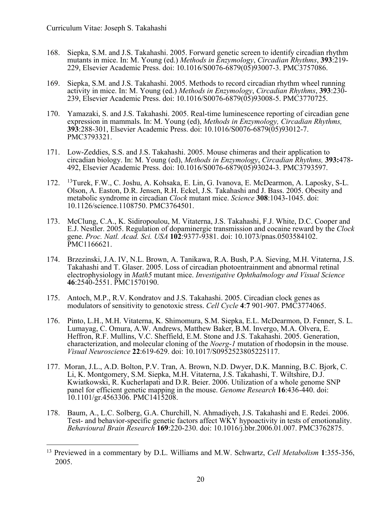- 168. Siepka, S.M. and J.S. Takahashi. 2005. Forward genetic screen to identify circadian rhythm mutants in mice. In: M. Young (ed.) *Methods in Enzymology*, *Circadian Rhythms*, **393**:219- 229, Elsevier Academic Press. doi: 10.1016/S0076-6879(05)93007-3. PMC3757086.
- 169. Siepka, S.M. and J.S. Takahashi. 2005. Methods to record circadian rhythm wheel running activity in mice. In: M. Young (ed.) *Methods in Enzymology*, *Circadian Rhythms*, **393**:230- 239, Elsevier Academic Press. doi: 10.1016/S0076-6879(05)93008-5. PMC3770725.
- 170. Yamazaki, S. and J.S. Takahashi. 2005. Real-time luminescence reporting of circadian gene expression in mammals. In: M. Young (ed), *Methods in Enzymology, Circadian Rhythms,* **393**:288-301, Elsevier Academic Press. doi: 10.1016/S0076-6879(05)93012-7. PMC3793321.
- 171. Low-Zeddies, S.S. and J.S. Takahashi. 2005. Mouse chimeras and their application to circadian biology. In: M. Young (ed), *Methods in Enzymology*, *Circadian Rhythms,* **393:**478- 492, Elsevier Academic Press. doi: 10.1016/S0076-6879(05)93024-3. PMC3793597.
- 172. 13Turek, F.W., C. Joshu, A. Kohsaka, E. Lin, G. Ivanova, E. McDearmon, A. Laposky, S-L. Olson, A. Easton, D.R. Jensen, R.H. Eckel, J.S. Takahashi and J. Bass. 2005. Obesity and metabolic syndrome in circadian *Clock* mutant mice. *Science* **308**:1043-1045. doi: 10.1126/science.1108750. PMC3764501.
- 173. McClung, C.A., K. Sidiropoulou, M. Vitaterna, J.S. Takahashi, F.J. White, D.C. Cooper and E.J. Nestler. 2005. Regulation of dopaminergic transmission and cocaine reward by the *Clock* gene. *Proc. Natl. Acad. Sci. USA* **102**:9377-9381. doi: 10.1073/pnas.0503584102. PMC1166621.
- 174. Brzezinski, J.A. IV, N.L. Brown, A. Tanikawa, R.A. Bush, P.A. Sieving, M.H. Vitaterna, J.S. Takahashi and T. Glaser. 2005. Loss of circadian photoentrainment and abnormal retinal electrophysiology in *Math5* mutant mice. *Investigative Ophthalmology and Visual Science* **46**:2540-2551. PMC1570190.
- 175. Antoch, M.P., R.V. Kondratov and J.S. Takahashi. 2005. Circadian clock genes as modulators of sensitivity to genotoxic stress. *Cell Cycle* **4**:**7** 901-907. PMC3774065.
- 176. Pinto, L.H., M.H. Vitaterna, K. Shimomura, S.M. Siepka, E.L. McDearmon, D. Fenner, S. L. Lumayag, C. Omura, A.W. Andrews, Matthew Baker, B.M. Invergo, M.A. Olvera, E. Heffron, R.F. Mullins, V.C. Sheffield, E.M. Stone and J.S. Takahashi. 2005. Generation, characterization, and molecular cloning of the *Noerg-1* mutation of rhodopsin in the mouse. *Visual Neuroscience* **22**:619-629. doi: 10.1017/S0952523805225117.
- 177. Moran, J.L., A.D. Bolton, P.V. Tran, A. Brown, N.D. Dwyer, D.K. Manning, B.C. Bjork, C. Li, K. Montgomery, S.M. Siepka, M.H. Vitaterna, J.S. Takahashi, T. Wiltshire, D.J. Kwiatkowski, R. Kucherlapati and D.R. Beier. 2006. Utilization of a whole genome SNP panel for efficient genetic mapping in the mouse. *Genome Research* **16**:436-440. doi: 10.1101/gr.4563306. PMC1415208.
- 178. Baum, A., L.C. Solberg, G.A. Churchill, N. Ahmadiyeh, J.S. Takahashi and E. Redei. 2006. Test- and behavior-specific genetic factors affect WKY hypoactivity in tests of emotionality. *Behavioural Brain Research* **169**:220-230. doi: 10.1016/j.bbr.2006.01.007. PMC3762875.

<sup>13</sup> Previewed in a commentary by D.L. Williams and M.W. Schwartz, *Cell Metabolism* **1**:355-356, 2005.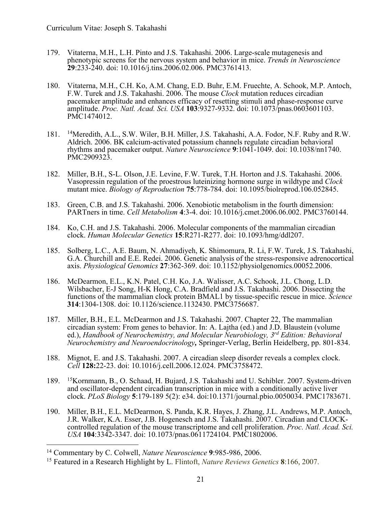- 179. Vitaterna, M.H., L.H. Pinto and J.S. Takahashi. 2006. Large-scale mutagenesis and phenotypic screens for the nervous system and behavior in mice. *Trends in Neuroscience* **29**:233-240. doi: 10.1016/j.tins.2006.02.006. PMC3761413.
- 180. Vitaterna, M.H., C.H. Ko, A.M. Chang, E.D. Buhr, E.M. Fruechte, A. Schook, M.P. Antoch, F.W. Turek and J.S. Takahashi. 2006. The mouse *Clock* mutation reduces circadian pacemaker amplitude and enhances efficacy of resetting stimuli and phase-response curve amplitude. *Proc. Natl. Acad. Sci. USA* **103**:9327-9332. doi: 10.1073/pnas.0603601103. PMC1474012.
- 181. 14Meredith, A.L., S.W. Wiler, B.H. Miller, J.S. Takahashi, A.A. Fodor, N.F. Ruby and R.W. Aldrich. 2006. BK calcium-activated potassium channels regulate circadian behavioral rhythms and pacemaker output. *Nature Neuroscience* **9**:1041-1049. doi: 10.1038/nn1740. PMC2909323.
- 182. Miller, B.H., S-L. Olson, J.E. Levine, F.W. Turek, T.H. Horton and J.S. Takahashi. 2006. Vasopressin regulation of the proestrous luteinizing hormone surge in wildtype and *Clock* mutant mice. *Biology of Reproduction* **75**:778-784. doi: 10.1095/biolreprod.106.052845.
- 183. Green, C.B. and J.S. Takahashi. 2006. Xenobiotic metabolism in the fourth dimension: PARTners in time. *Cell Metabolism* **4**:3-4. doi: 10.1016/j.cmet.2006.06.002. PMC3760144.
- 184. Ko, C.H. and J.S. Takahashi. 2006. Molecular components of the mammalian circadian clock. *Human Molecular Genetics* **15**:R271-R277. doi: 10.1093/hmg/ddl207.
- 185. Solberg, L.C., A.E. Baum, N. Ahmadiyeh, K. Shimomura, R. Li, F.W. Turek, J.S. Takahashi, G.A. Churchill and E.E. Redei. 2006. Genetic analysis of the stress-responsive adrenocortical axis. *Physiological Genomics* **27**:362-369. doi: 10.1152/physiolgenomics.00052.2006.
- 186. McDearmon, E.L., K.N. Patel, C.H. Ko, J.A. Walisser, A.C. Schook, J.L. Chong, L.D. Wilsbacher, E-J Song, H-K Hong, C.A. Bradfield and J.S. Takahashi. 2006. Dissecting the functions of the mammalian clock protein BMAL1 by tissue-specific rescue in mice. *Science* **314**:1304-1308. doi: 10.1126/science.1132430. PMC3756687.
- 187. Miller, B.H., E.L. McDearmon and J.S. Takahashi. 2007. Chapter 22, The mammalian circadian system: From genes to behavior. In: A. Lajtha (ed.) and J.D. Blaustein (volume ed.), *Handbook of Neurochemistry, and Molecular Neurobiology, 3rd Edition: Behavioral Neurochemistry and Neuroendocrinology,* Springer-Verlag, Berlin Heidelberg, pp. 801-834.
- 188. Mignot, E. and J.S. Takahashi. 2007. A circadian sleep disorder reveals a complex clock. *Cell* **128:**22-23. doi: 10.1016/j.cell.2006.12.024. PMC3758472.
- 189. 15Kornmann, B., O. Schaad, H. Bujard, J.S. Takahashi and U. Schibler. 2007. System-driven and oscillator-dependent circadian transcription in mice with a conditionally active liver clock. *PLoS Biology* **5**:179-189 5(2): e34. doi:10.1371/journal.pbio.0050034. PMC1783671.
- 190. Miller, B.H., E.L. McDearmon, S. Panda, K.R. Hayes, J. Zhang, J.L. Andrews, M.P. Antoch, J.R. Walker, K.A. Esser, J.B. Hogenesch and J.S. Takahashi. 2007. Circadian and CLOCK- controlled regulation of the mouse transcriptome and cell proliferation. *Proc. Natl. Acad. Sci. USA* **104**:3342-3347. doi: 10.1073/pnas.0611724104. PMC1802006.

<sup>14</sup> Commentary by C. Colwell, *Nature Neuroscience* **9**:985-986, 2006.

<sup>15</sup> Featured in a Research Highlight by L. Flintoft, *Nature Reviews Genetics* **8**:166, 2007.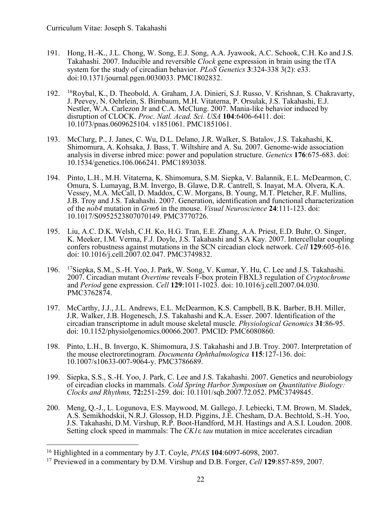- 191. Hong, H.-K., J.L. Chong, W. Song, E.J. Song, A.A. Jyawook, A.C. Schook, C.H. Ko and J.S. Takahashi. 2007. Inducible and reversible *Clock* gene expression in brain using the tTA system for the study of circadian behavior. *PLoS Genetics* **3**:324-338 3(2): e33. doi:10.1371/journal.pgen.0030033. PMC1802832.
- 192. 16Roybal, K., D. Theobold, A. Graham, J.A. Dinieri, S.J. Russo, V. Krishnan, S. Chakravarty, J. Peevey, N. Oehrlein, S. Birnbaum, M.H. Vitaterna, P. Orsulak, J.S. Takahashi, E.J. Nestler, W.A. Carlezon Jr and C.A. McClung. 2007. Mania-like behavior induced by disruption of CLOCK. *Proc. Natl. Acad. Sci. USA* **104**:6406-6411. doi: 10.1073/pnas.0609625104. v1851061. PMC1851061.
- 193. McClurg, P., J. Janes, C. Wu, D.L. Delano, J.R. Walker, S. Batalov, J.S. Takahashi, K. Shimomura, A. Kohsaka, J. Bass, T. Wiltshire and A. Su. 2007. Genome-wide association analysis in diverse inbred mice: power and population structure. *Genetics* **176**:675-683. doi: 10.1534/genetics.106.066241. PMC1893038.
- 194. Pinto, L.H., M.H. Vitaterna, K. Shimomura, S.M. Siepka, V. Balannik, E.L. McDearmon, C. Omura, S. Lumayag, B.M. Invergo, B. Glawe, D.R. Cantrell, S. Inayat, M.A. Olvera, K.A. Vessey, M.A. McCall, D. Maddox, C.W. Morgans, B. Young, M.T. Pletcher, R.F. Mullins, J.B. Troy and J.S. Takahashi. 2007. Generation, identification and functional characterization of the *nob4* mutation in *Grm6* in the mouse. *Visual Neuroscience* **24**:111-123. doi: 10.1017/S0952523807070149. PMC3770726.
- 195. Liu, A.C. D.K. Welsh, C.H. Ko, H.G. Tran, E.E. Zhang, A.A. Priest, E.D. Buhr, O. Singer, K. Meeker, I.M. Verma, F.J. Doyle, J.S. Takahashi and S.A Kay. 2007. Intercellular coupling confers robustness against mutations in the SCN circadian clock network. *Cell* **129**:605-616. doi: 10.1016/j.cell.2007.02.047. PMC3749832.
- 196. 17Siepka, S.M., S.-H. Yoo, J. Park, W. Song, V. Kumar, Y. Hu, C. Lee and J.S. Takahashi. 2007. Circadian mutant *Overtime* reveals F-box protein FBXL3 regulation of *Cryptochrome*  and *Period* gene expression. *Cell* **129**:1011-1023. doi: 10.1016/j.cell.2007.04.030. PMC3762874.
- 197. McCarthy, J.J., J.L. Andrews, E.L. McDearmon, K.S. Campbell, B.K. Barber, B.H. Miller, J.R. Walker, J.B. Hogenesch, J.S. Takahashi and K.A. Esser. 2007. Identification of the circadian transcriptome in adult mouse skeletal muscle. *Physiological Genomics* **31**:86-95. doi: 10.1152/physiolgenomics.00066.2007. PMCID: PMC6080860.
- 198. Pinto, L.H., B. Invergo, K. Shimomura, J.S. Takahashi and J.B. Troy. 2007. Interpretation of the mouse electroretinogram. *Documenta Ophthalmologica* **115**:127-136. doi: 10.1007/s10633-007-9064-y. PMC3786689.
- 199. Siepka, S.S., S.-H. Yoo, J. Park, C. Lee and J.S. Takahashi. 2007. Genetics and neurobiology of circadian clocks in mammals. *Cold Spring Harbor Symposium on Quantitative Biology: Clocks and Rhythms,* **72:**251-259. doi: 10.1101/sqb.2007.72.052. PMC3749845.
- 200. Meng, Q.-J., L. Logunova, E.S. Maywood, M. Gallego, J. Lebiecki, T.M. Brown, M. Sladek, A.S. Semikhodskii, N.R.J. Glossop, H.D. Piggins, J.E. Chesham, D.A. Bechtold, S.-H. Yoo, J.S. Takahashi, D.M. Virshup, R.P. Boot-Handford, M.H. Hastings and A.S.I. Loudon. 2008. Setting clock speed in mammals: The *CK1*e *tau* mutation in mice accelerates circadian

<sup>16</sup> Highlighted in a commentary by J.T. Coyle, *PNAS* **104**:6097-6098, 2007.

<sup>17</sup> Previewed in a commentary by D.M. Virshup and D.B. Forger, *Cell* **129**:857-859, 2007.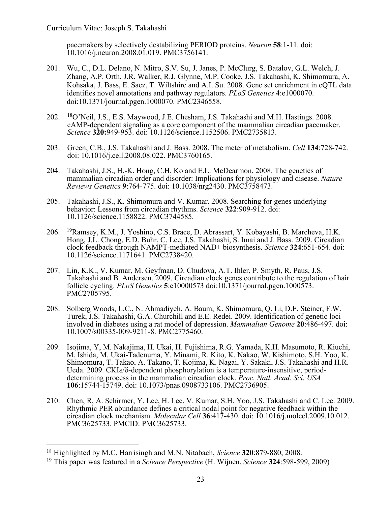pacemakers by selectively destabilizing PERIOD proteins. *Neuron* **58**:1-11. doi: 10.1016/j.neuron.2008.01.019. PMC3756141.

- 201. Wu, C., D.L. Delano, N. Mitro, S.V. Su, J. Janes, P. McClurg, S. Batalov, G.L. Welch, J. Zhang, A.P. Orth, J.R. Walker, R.J. Glynne, M.P. Cooke, J.S. Takahashi, K. Shimomura, A. Kohsaka, J. Bass, E. Saez, T. Wiltshire and A.I. Su. 2008. Gene set enrichment in eQTL data identifies novel annotations and pathway regulators. *PLoS Genetics* **4**:e1000070. doi:10.1371/journal.pgen.1000070. PMC2346558.
- 202. 18O'Neil, J.S., E.S. Maywood, J.E. Chesham, J.S. Takahashi and M.H. Hastings. 2008. cAMP-dependent signaling as a core component of the mammalian circadian pacemaker. *Science* **320:**949-953. doi: 10.1126/science.1152506. PMC2735813.
- 203. Green, C.B., J.S. Takahashi and J. Bass. 2008. The meter of metabolism. *Cell* **134**:728-742. doi: 10.1016/j.cell.2008.08.022. PMC3760165.
- 204. Takahashi, J.S., H.-K. Hong, C.H. Ko and E.L. McDearmon. 2008. The genetics of mammalian circadian order and disorder: Implications for physiology and disease. *Nature Reviews Genetics* **9**:764-775. doi: 10.1038/nrg2430. PMC3758473.
- 205. Takahashi, J.S., K. Shimomura and V. Kumar. 2008. Searching for genes underlying behavior: Lessons from circadian rhythms. *Science* **322**:909-912. doi: 10.1126/science.1158822. PMC3744585.
- 206. 19Ramsey, K.M., J. Yoshino, C.S. Brace, D. Abrassart, Y. Kobayashi, B. Marcheva, H.K. Hong, J.L. Chong, E.D. Buhr, C. Lee, J.S. Takahashi, S. Imai and J. Bass. 2009. Circadian clock feedback through NAMPT-mediated NAD+ biosynthesis. *Science* **324**:651-654. doi: 10.1126/science.1171641. PMC2738420.
- 207. Lin, K.K., V. Kumar, M. Geyfman, D. Chudova, A.T. Ihler, P. Smyth, R. Paus, J.S. Takahashi and B. Andersen. 2009. Circadian clock genes contribute to the regulation of hair follicle cycling. *PLoS Genetics* **5**:e10000573 doi:10.1371/journal.pgen.1000573. PMC2705795.
- 208. Solberg Woods, L.C., N. Ahmadiyeh, A. Baum, K. Shimomura, Q. Li, D.F. Steiner, F.W. Turek, J.S. Takahashi, G.A. Churchill and E.E. Redei. 2009. Identification of genetic loci involved in diabetes using a rat model of depression. *Mammalian Genome* **20**:486-497. doi: 10.1007/s00335-009-9211-8. PMC2775460.
- 209. Isojima, Y, M. Nakajima, H. Ukai, H. Fujishima, R.G. Yamada, K.H. Masumoto, R. Kiuchi, M. Ishida, M. Ukai-Tadenuma, Y. Minami, R. Kito, K. Nakao, W. Kishimoto, S.H. Yoo, K. Shimomura, T. Takao, A. Takano, T. Kojima, K. Nagai, Y. Sakaki, J.S. Takahashi and H.R. Ueda. 2009. CKI $\varepsilon/\delta$ -dependent phosphorylation is a temperature-insensitive, perioddetermining process in the mammalian circadian clock. *Proc. Natl. Acad. Sci. USA* **106**:15744-15749. doi: 10.1073/pnas.0908733106. PMC2736905.
- 210. Chen, R, A. Schirmer, Y. Lee, H. Lee, V. Kumar, S.H. Yoo, J.S. Takahashi and C. Lee. 2009. Rhythmic PER abundance defines a critical nodal point for negative feedback within the circadian clock mechanism. *Molecular Cell* **36**:417-430. doi: 10.1016/j.molcel.2009.10.012. PMC3625733. PMCID: PMC3625733.

<sup>18</sup> Highlighted by M.C. Harrisingh and M.N. Nitabach, *Science* **320**:879-880, 2008.

<sup>19</sup> This paper was featured in a *Science Perspective* (H. Wijnen, *Science* **324**:598-599, 2009)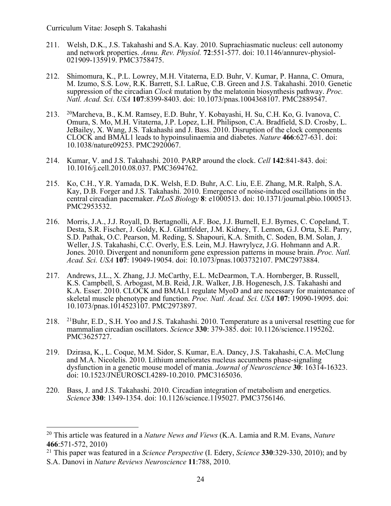- 211. Welsh, D.K., J.S. Takahashi and S.A. Kay. 2010. Suprachiasmatic nucleus: cell autonomy and network properties. *Annu. Rev. Physiol.* **72**:551-577. doi: 10.1146/annurev-physiol-021909-135919. PMC3758475.
- 212. Shimomura, K., P.L. Lowrey, M.H. Vitaterna, E.D. Buhr, V. Kumar, P. Hanna, C. Omura, M. Izumo, S.S. Low, R.K. Barrett, S.I. LaRue, C.B. Green and J.S. Takahashi. 2010. Genetic suppression of the circadian *Clock* mutation by the melatonin biosynthesis pathway. *Proc. Natl. Acad. Sci. USA* **107**:8399-8403. doi: 10.1073/pnas.1004368107. PMC2889547.
- 213. 20Marcheva, B., K.M. Ramsey, E.D. Buhr, Y. Kobayashi, H. Su, C.H. Ko, G. Ivanova, C. Omura, S. Mo, M.H. Vitaterna, J.P. Lopez, L.H. Philipson, C.A. Bradfield, S.D. Crosby, L. JeBailey, X. Wang, J.S. Takahashi and J. Bass. 2010. Disruption of the clock components CLOCK and BMAL1 leads to hypoinsulinaemia and diabetes. *Nature* **466**:627-631. doi: 10.1038/nature09253. PMC2920067.
- 214. Kumar, V. and J.S. Takahashi. 2010. PARP around the clock. *Cell* **142**:841-843. doi: 10.1016/j.cell.2010.08.037. PMC3694762.
- 215. Ko, C.H., Y.R. Yamada, D.K. Welsh, E.D. Buhr, A.C. Liu, E.E. Zhang, M.R. Ralph, S.A. Kay, D.B. Forger and J.S. Takahashi. 2010. Emergence of noise-induced oscillations in the central circadian pacemaker. *PLoS Biology* **8**: e1000513. doi: 10.1371/journal.pbio.1000513. PMC2953532.
- 216. Morris, J.A., J.J. Royall, D. Bertagnolli, A.F. Boe, J.J. Burnell, E.J. Byrnes, C. Copeland, T. Desta, S.R. Fischer, J. Goldy, K.J. Glattfelder, J.M. Kidney, T. Lemon, G.J. Orta, S.E. Parry, S.D. Pathak, O.C. Pearson, M. Reding, S. Shapouri, K.A. Smith, C. Soden, B.M. Solan, J. Weller, J.S. Takahashi, C.C. Overly, E.S. Lein, M.J. Hawrylycz, J.G. Hohmann and A.R. Jones. 2010. Divergent and nonuniform gene expression patterns in mouse brain. *Proc. Natl. Acad. Sci. USA* **<sup>107</sup>**: 19049-19054. doi: 10.1073/pnas.1003732107. PMC2973884.
- 217. Andrews, J.L., X. Zhang, J.J. McCarthy, E.L. McDearmon, T.A. Hornberger, B. Russell, K.S. Campbell, S. Arbogast, M.B. Reid, J.R. Walker, J.B. Hogenesch, J.S. Takahashi and K.A. Esser. 2010. CLOCK and BMAL1 regulate MyoD and are necessary for maintenance of skeletal muscle phenotype and function. *Proc. Natl. Acad. Sci. USA* **107**: 19090-19095. doi: 10.1073/pnas.1014523107. PMC2973897.
- 218. 21Buhr, E.D., S.H. Yoo and J.S. Takahashi. 2010. Temperature as a universal resetting cue for mammalian circadian oscillators. *Science* **330**: 379-385. doi: 10.1126/science.1195262. PMC3625727.
- 219. Dzirasa, K., L. Coque, M.M. Sidor, S. Kumar, E.A. Dancy, J.S. Takahashi, C.A. McClung and M.A. Nicolelis. 2010. Lithium ameliorates nucleus accumbens phase-signaling dysfunction in a genetic mouse model of mania. *Journal of Neuroscience* **30**: 16314-16323. doi: 10.1523/JNEUROSCI.4289-10.2010. PMC3165036.
- 220. Bass, J. and J.S. Takahashi. 2010. Circadian integration of metabolism and energetics. *Science* **330**: 1349-1354. doi: 10.1126/science.1195027. PMC3756146.

<sup>20</sup> This article was featured in a *Nature News and Views* (K.A. Lamia and R.M. Evans, *Nature* **466**:571-572, 2010)

<sup>21</sup> This paper was featured in a *Science Perspective* (I. Edery, *Science* **330**:329-330, 2010); and by S.A. Danovi in *Nature Reviews Neuroscience* **11**:788, 2010.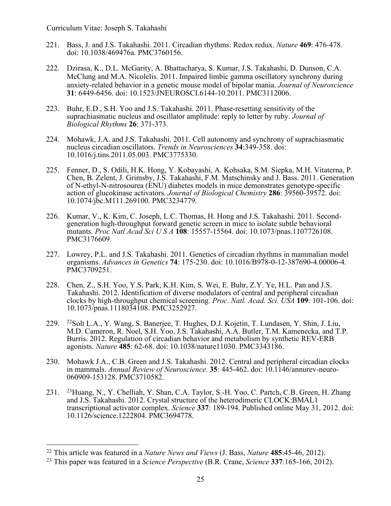- 221. Bass, J. and J.S. Takahashi. 2011. Circadian rhythms: Redox redux. *Nature* **469**: 476-478. doi: 10.1038/469476a. PMC3760156.
- 222. Dzirasa, K., D.L. McGarity, A. Bhattacharya, S. Kumar, J.S. Takahashi, D. Dunson, C.A. McClung and M.A. Nicolelis. 2011. Impaired limbic gamma oscillatory synchrony during anxiety-related behavior in a genetic mouse model of bipolar mania. *Journal of Neuroscience* **31**: 6449-6456. doi: 10.1523/JNEUROSCI.6144-10.2011. PMC3112006.
- 223. Buhr, E.D., S.H. Yoo and J.S. Takahashi. 2011. Phase-resetting sensitivity of the suprachiasmatic nucleus and oscillator amplitude: reply to letter by ruby. *Journal of Biological Rhythms* **26**: 371-373.
- 224. Mohawk, J.A. and J.S. Takahashi. 2011. Cell autonomy and synchrony of suprachiasmatic nucleus circadian oscillators. *Trends in Neurosciences* **34**:349-358. doi: 10.1016/j.tins.2011.05.003. PMC3775330.
- 225. Fenner, D., S. Odili, H.K. Hong, Y. Kobayashi, A. Kohsaka, S.M. Siepka, M.H. Vitaterna, P. Chen, B. Zelent, J. Grimsby, J.S. Takahashi, F.M. Matschinsky and J. Bass. 2011. Generation of N-ethyl-N-nitrosourea (ENU) diabetes models in mice demonstrates genotype-specific action of glucokinase activators. *Journal of Biological Chemistry* **286**: 39560-39572. doi: 10.1074/jbc.M111.269100. PMC3234779.
- 226. Kumar, V., K. Kim, C. Joseph, L.C. Thomas, H. Hong and J.S. Takahashi. 2011. Secondgeneration high-throughput forward genetic screen in mice to isolate subtle behavioral mutants. *Proc Natl Acad Sci U S A* **108**: 15557-15564. doi: 10.1073/pnas.1107726108. PMC3176609.
- 227. Lowrey, P.L. and J.S. Takahashi. 2011. Genetics of circadian rhythms in mammalian model organisms. *Advances in Genetics* **74**: 175-230. doi: 10.1016/B978-0-12-387690-4.00006-4. PMC3709251.
- 228. Chen, Z., S.H. Yoo, Y.S. Park, K.H. Kim, S. Wei, E. Buhr, Z.Y. Ye, H.L. Pan and J.S. Takahashi. 2012. Identification of diverse modulators of central and peripheral circadian clocks by high-throughput chemical screening. *Proc. Natl. Acad. Sci. USA* **109**: 101-106. doi: 10.1073/pnas.1118034108. PMC3252927.
- 229. 22Solt L.A., Y. Wang, S. Banerjee, T. Hughes, D.J. Kojetin, T. Lundasen, Y. Shin, J. Liu, M.D. Cameron, R. Noel, S.H. Yoo, J.S. Takahashi, A.A. Butler, T.M. Kamenecka, and T.P. Burris. 2012. Regulation of circadian behavior and metabolism by synthetic REV-ERB agonists. *Nature* **485**: 62-68. doi: 10.1038/nature11030. PMC3343186.
- 230. Mohawk J.A., C.B. Green and J.S. Takahashi. 2012. Central and peripheral circadian clocks in mammals. *Annual Review of Neuroscience*. **35**: 445-462. doi: 10.1146/annurev-neuro-060909-153128. PMC3710582.
- 231. 23Huang, N., Y. Chelliah, Y. Shan, C.A. Taylor, S.-H. Yoo, C. Partch, C.B. Green, H. Zhang and J.S. Takahashi. 2012. Crystal structure of the heterodimeric CLOCK:BMAL1 transcriptional activator complex. *Science* **337**: 189-194. Published online May 31, 2012. doi: 10.1126/science.1222804. PMC3694778.

<sup>22</sup> This article was featured in a *Nature News and Views* (J. Bass, *Nature* **485**:45-46, 2012).

<sup>23</sup> This paper was featured in a *Science Perspective* (B.R. Crane, *Science* **337**:165-166, 2012).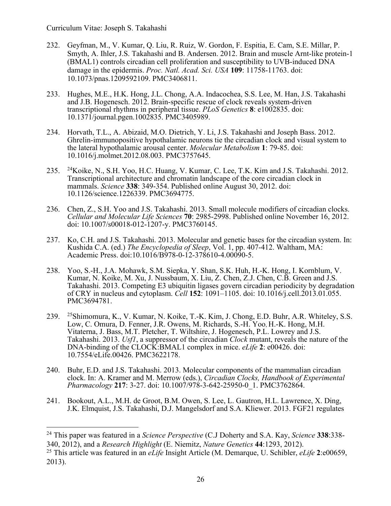- 232. Geyfman, M., V. Kumar, Q. Liu, R. Ruiz, W. Gordon, F. Espitia, E. Cam, S.E. Millar, P. Smyth, A. Ihler, J.S. Takahashi and B. Andersen. 2012. Brain and muscle Arnt-like protein-1 (BMAL1) controls circadian cell proliferation and susceptibility to UVB-induced DNA damage in the epidermis. *Proc. Natl. Acad. Sci. USA* **109**: 11758-11763. doi: 10.1073/pnas.1209592109. PMC3406811.
- 233. Hughes, M.E., H.K. Hong, J.L. Chong, A.A. Indacochea, S.S. Lee, M. Han, J.S. Takahashi and J.B. Hogenesch. 2012. Brain-specific rescue of clock reveals system-driven transcriptional rhythms in peripheral tissue. *PLoS Genetics* **8**: e1002835. doi: 10.1371/journal.pgen.1002835. PMC3405989.
- 234. Horvath, T.L., A. Abizaid, M.O. Dietrich, Y. Li, J.S. Takahashi and Joseph Bass. 2012. Ghrelin-immunopositive hypothalamic neurons tie the circadian clock and visual system to the lateral hypothalamic arousal center. *Molecular Metabolism* **1**: 79-85. doi: 10.1016/j.molmet.2012.08.003. PMC3757645.
- 235. 24Koike, N., S.H. Yoo, H.C. Huang, V. Kumar, C. Lee, T.K. Kim and J.S. Takahashi. 2012. Transcriptional architecture and chromatin landscape of the core circadian clock in mammals. *Science* **338**: 349-354. Published online August 30, 2012. doi: 10.1126/science.1226339. PMC3694775.
- 236. Chen, Z., S.H. Yoo and J.S. Takahashi. 2013. Small molecule modifiers of circadian clocks. *Cellular and Molecular Life Sciences* **70**: 2985-2998. Published online November 16, 2012. doi: 10.1007/s00018-012-1207-y. PMC3760145.
- 237. Ko, C.H. and J.S. Takahashi. 2013. Molecular and genetic bases for the circadian system. In: Kushida C.A. (ed.) *The Encyclopedia of Sleep*, Vol. 1, pp. 407-412. Waltham, MA: Academic Press. doi:10.1016/B978-0-12-378610-4.00090-5.
- 238. Yoo, S.-H., J.A. Mohawk, S.M. Siepka, Y. Shan, S.K. Huh, H.-K. Hong, I. Kornblum, V. Kumar, N. Koike, M. Xu, J. Nussbaum, X. Liu, Z. Chen, Z.J. Chen, C.B. Green and J.S. Takahashi. 2013. Competing E3 ubiquitin ligases govern circadian periodicity by degradation of CRY in nucleus and cytoplasm. *Cell* **152**: 1091–1105. doi: 10.1016/j.cell.2013.01.055. PMC3694781.
- 239. 25Shimomura, K., V. Kumar, N. Koike, T.-K. Kim, J. Chong, E.D. Buhr, A.R. Whiteley, S.S. Low, C. Omura, D. Fenner, J.R. Owens, M. Richards, S.-H. Yoo, H.-K. Hong, M.H. Vitaterna, J. Bass, M.T. Pletcher, T. Wiltshire, J. Hogenesch, P.L. Lowrey and J.S. Takahashi. 2013. *Usf1*, a suppressor of the circadian *Clock* mutant, reveals the nature of the DNA-binding of the CLOCK:BMAL1 complex in mice. *eLife* **2**: e00426. doi: 10.7554/eLife.00426. PMC3622178.
- 240. Buhr, E.D. and J.S. Takahashi. 2013. Molecular components of the mammalian circadian clock. In: A. Kramer and M. Merrow (eds.), *Circadian Clocks, Handbook of Experimental Pharmacology* **217**: 3-27. doi: 10.1007/978-3-642-25950-0\_1. PMC3762864.
- 241. Bookout, A.L., M.H. de Groot, B.M. Owen, S. Lee, L. Gautron, H.L. Lawrence, X. Ding, J.K. Elmquist, J.S. Takahashi, D.J. Mangelsdorf and S.A. Kliewer. 2013. FGF21 regulates

<sup>24</sup> This paper was featured in a *Science Perspective* (C.J Doherty and S.A. Kay, *Science* **338**:338- 340, 2012), and a *Research Highlight* (E. Niemitz, *Nature Genetics* **44**:1293, 2012).

<sup>25</sup> This article was featured in an *eLife* Insight Article (M. Demarque, U. Schibler, *eLife* **2**:e00659, 2013).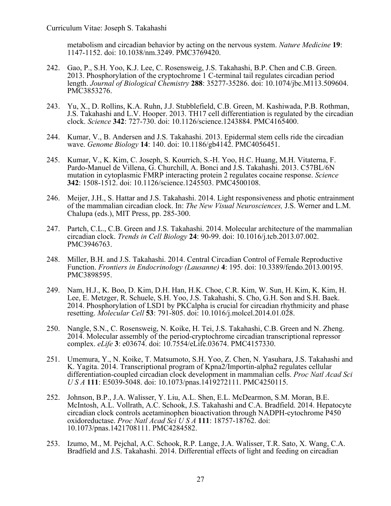metabolism and circadian behavior by acting on the nervous system. *Nature Medicine* **19**: 1147-1152. doi: 10.1038/nm.3249. PMC3769420.

- 242. Gao, P., S.H. Yoo, K.J. Lee, C. Rosensweig, J.S. Takahashi, B.P. Chen and C.B. Green. 2013. Phosphorylation of the cryptochrome 1 C-terminal tail regulates circadian period length. *Journal of Biological Chemistry* **288**: 35277-35286. doi: 10.1074/jbc.M113.509604. PMC3853276.
- 243. Yu, X., D. Rollins, K.A. Ruhn, J.J. Stubblefield, C.B. Green, M. Kashiwada, P.B. Rothman, J.S. Takahashi and L.V. Hooper. 2013. TH17 cell differentiation is regulated by the circadian clock. *Science* **342**: 727-730. doi: 10.1126/science.1243884. PMC4165400.
- 244. Kumar, V., B. Andersen and J.S. Takahashi. 2013. Epidermal stem cells ride the circadian wave. *Genome Biology* **14**: 140. doi: 10.1186/gb4142. PMC4056451.
- 245. Kumar, V., K. Kim, C. Joseph, S. Kourrich, S.-H. Yoo, H.C. Huang, M.H. Vitaterna, F. Pardo-Manuel de Villena, G. Churchill, A. Bonci and J.S. Takahashi. 2013. C57BL/6N mutation in cytoplasmic FMRP interacting protein 2 regulates cocaine response. *Science*  **342**: 1508-1512. doi: 10.1126/science.1245503. PMC4500108.
- 246. Meijer, J.H., S. Hattar and J.S. Takahashi. 2014. Light responsiveness and photic entrainment of the mammalian circadian clock. In: *The New Visual Neurosciences,* J.S. Werner and L.M. Chalupa (eds.), MIT Press, pp. 285-300.
- 247. Partch, C.L., C.B. Green and J.S. Takahashi. 2014. Molecular architecture of the mammalian circadian clock. *Trends in Cell Biology* **24**: 90-99. doi: 10.1016/j.tcb.2013.07.002. PMC3946763.
- 248. Miller, B.H. and J.S. Takahashi. 2014. Central Circadian Control of Female Reproductive Function. *Frontiers in Endocrinology (Lausanne)* **4**: 195. doi: 10.3389/fendo.2013.00195. PMC3898595.
- 249. Nam, H.J., K. Boo, D. Kim, D.H. Han, H.K. Choe, C.R. Kim, W. Sun, H. Kim, K. Kim, H. Lee, E. Metzger, R. Schuele, S.H. Yoo, J.S. Takahashi, S. Cho, G.H. Son and S.H. Baek. 2014. Phosphorylation of LSD1 by PKCalpha is crucial for circadian rhythmicity and phase resetting. *Molecular Cell* **53**: 791-805. doi: 10.1016/j.molcel.2014.01.028.
- 250. Nangle, S.N., C. Rosensweig, N. Koike, H. Tei, J.S. Takahashi, C.B. Green and N. Zheng. 2014. Molecular assembly of the period-cryptochrome circadian transcriptional repressor complex. *eLife* **3**: e03674. doi: 10.7554/eLife.03674. PMC4157330.
- 251. Umemura, Y., N. Koike, T. Matsumoto, S.H. Yoo, Z. Chen, N. Yasuhara, J.S. Takahashi and K. Yagita. 2014. Transcriptional program of Kpna2/Importin-alpha2 regulates cellular differentiation-coupled circadian clock development in mammalian cells. *Proc Natl Acad Sci U S A* **111**: E5039-5048. doi: 10.1073/pnas.1419272111. PMC4250115.
- 252. Johnson, B.P., J.A. Walisser, Y. Liu, A.L. Shen, E.L. McDearmon, S.M. Moran, B.E. McIntosh, A.L. Vollrath, A.C. Schook, J.S. Takahashi and C.A. Bradfield. 2014. Hepatocyte circadian clock controls acetaminophen bioactivation through NADPH-cytochrome P450 oxidoreductase. *Proc Natl Acad Sci U S A* **111**: 18757-18762. doi: 10.1073/pnas.1421708111. PMC4284582.
- 253. Izumo, M., M. Pejchal, A.C. Schook, R.P. Lange, J.A. Walisser, T.R. Sato, X. Wang, C.A. Bradfield and J.S. Takahashi. 2014. Differential effects of light and feeding on circadian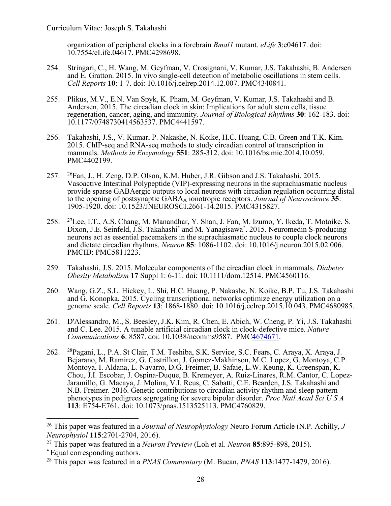organization of peripheral clocks in a forebrain *Bmal1* mutant. *eLife* **3**:e04617. doi: 10.7554/eLife.04617. PMC4298698.

- 254. Stringari, C., H. Wang, M. Geyfman, V. Crosignani, V. Kumar, J.S. Takahashi, B. Andersen and E. Gratton. 2015. In vivo single-cell detection of metabolic oscillations in stem cells. *Cell Reports* **10**: 1-7. doi: 10.1016/j.celrep.2014.12.007. PMC4340841.
- 255. Plikus, M.V., E.N. Van Spyk, K. Pham, M. Geyfman, V. Kumar, J.S. Takahashi and B. Andersen. 2015. The circadian clock in skin: Implications for adult stem cells, tissue regeneration, cancer, aging, and immunity. *Journal of Biological Rhythms* **30**: 162-183. doi: 10.1177/0748730414563537. PMC4441597.
- 256. Takahashi, J.S., V. Kumar, P. Nakashe, N. Koike, H.C. Huang, C.B. Green and T.K. Kim. 2015. ChIP-seq and RNA-seq methods to study circadian control of transcription in mammals. *Methods in Enzymology* **551**: 285-312. doi: 10.1016/bs.mie.2014.10.059. PMC4402199.
- 257. 26Fan, J., H. Zeng, D.P. Olson, K.M. Huber, J.R. Gibson and J.S. Takahashi. 2015. Vasoactive Intestinal Polypeptide (VIP)-expressing neurons in the suprachiasmatic nucleus provide sparse GABAergic outputs to local neurons with circadian regulation occurring distal to the opening of postsynaptic GABAA ionotropic receptors. *Journal of Neuroscience* **35**: 1905-1920. doi: 10.1523/JNEUROSCI.2661-14.2015. PMC4315827.
- 258. 27Lee, I.T., A.S. Chang, M. Manandhar, Y. Shan, J. Fan, M. Izumo, Y. Ikeda, T. Motoike, S. Dixon, J.E. Seinfeld, J.S. Takahashi\* and M. Yanagisawa\* . 2015. Neuromedin S-producing neurons act as essential pacemakers in the suprachiasmatic nucleus to couple clock neurons and dictate circadian rhythms. *Neuron* **85**: 1086-1102. doi: 10.1016/j.neuron.2015.02.006. PMCID: PMC5811223.
- 259. Takahashi, J.S. 2015. Molecular components of the circadian clock in mammals. *Diabetes Obesity Metabolism* **17** Suppl 1: 6-11. doi: 10.1111/dom.12514. PMC4560116.
- 260. Wang, G.Z., S.L. Hickey, L. Shi, H.C. Huang, P. Nakashe, N. Koike, B.P. Tu, J.S. Takahashi and G. Konopka. 2015. Cycling transcriptional networks optimize energy utilization on a genome scale. *Cell Reports* **13**: 1868-1880. doi: 10.1016/j.celrep.2015.10.043. PMC4680985.
- 261. D'Alessandro, M., S. Beesley, J.K. Kim, R. Chen, E. Abich, W. Cheng, P. Yi, J.S. Takahashi and C. Lee. 2015. A tunable artificial circadian clock in clock-defective mice. *Nature Communications* **6**: 8587. doi: 10.1038/ncomms9587. PMC4674671.
- 262. 28Pagani, L., P.A. St Clair, T.M. Teshiba, S.K. Service, S.C. Fears, C. Araya, X. Araya, J. Bejarano, M. Ramirez, G. Castrillon, J. Gomez-Makhinson, M.C. Lopez, G. Montoya, C.P. Montoya, I. Aldana, L. Navarro, D.G. Freimer, B. Safaie, L.W. Keung, K. Greenspan, K. Chou, J.I. Escobar, J. Ospina-Duque, B. Kremeyer, A. Ruiz-Linares, R.M. Cantor, C. Lopez- Jaramillo, G. Macaya, J. Molina, V.I. Reus, C. Sabatti, C.E. Bearden, J.S. Takahashi and N.B. Freimer. 2016. Genetic contributions to circadian activity rhythm and sleep pattern phenotypes in pedigrees segregating for severe bipolar disorder. *Proc Natl Acad Sci U S A* **113**: E754-E761. doi: 10.1073/pnas.1513525113. PMC4760829.

<sup>26</sup> This paper was featured in a *Journal of Neurophysiology* Neuro Forum Article (N.P. Achilly, *J Neurophysiol* **115**:2701-2704, 2016).

<sup>27</sup> This paper was featured in a *Neuron Preview* (Loh et al. *Neuron* **85**:895-898, 2015).

<sup>\*</sup> Equal corresponding authors.

<sup>28</sup> This paper was featured in a *PNAS Commentary* (M. Bucan, *PNAS* **113**:1477-1479, 2016).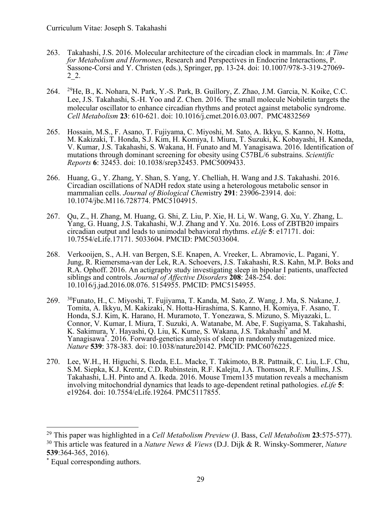- 263. Takahashi, J.S. 2016. Molecular architecture of the circadian clock in mammals. In: *A Time for Metabolism and Hormones*, Research and Perspectives in Endocrine Interactions, P. Sassone-Corsi and Y. Christen (eds.), Springer, pp. 13-24. doi: 10.1007/978-3-319-27069- 2\_2.
- 264. 29He, B., K. Nohara, N. Park, Y.-S. Park, B. Guillory, Z. Zhao, J.M. Garcia, N. Koike, C.C. Lee, J.S. Takahashi, S.-H. Yoo and Z. Chen. 2016. The small molecule Nobiletin targets the molecular oscillator to enhance circadian rhythms and protect against metabolic syndrome. *Cell Metabolism* **23**: 610-621. doi: 10.1016/j.cmet.2016.03.007. PMC4832569
- 265. Hossain, M.S., F. Asano, T. Fujiyama, C. Miyoshi, M. Sato, A. Ikkyu, S. Kanno, N. Hotta, M. Kakizaki, T. Honda, S.J. Kim, H. Komiya, I. Miura, T. Suzuki, K. Kobayashi, H. Kaneda, V. Kumar, J.S. Takahashi, S. Wakana, H. Funato and M. Yanagisawa. 2016. Identification of mutations through dominant screening for obesity using C57BL/6 substrains. *Scientific Reports* **6**: 32453. doi: 10.1038/srep32453. PMC5009433.
- 266. Huang, G., Y. Zhang, Y. Shan, S. Yang, Y. Chelliah, H. Wang and J.S. Takahashi. 2016. Circadian oscillations of NADH redox state using a heterologous metabolic sensor in mammalian cells. *Journal of Biological Chem*istry **291**: 23906-23914. doi: 10.1074/jbc.M116.728774. PMC5104915.
- 267. Qu, Z., H. Zhang, M. Huang, G. Shi, Z. Liu, P. Xie, H. Li, W. Wang, G. Xu, Y. Zhang, L. Yang, G. Huang, J.S. Takahashi, W.J. Zhang and Y. Xu. 2016. Loss of ZBTB20 impairs circadian output and leads to unimodal behavioral rhythms. *eLife* **5**: e17171. doi: 10.7554/eLife.17171. 5033604. PMCID: PMC5033604.
- 268. Verkooijen, S., A.H. van Bergen, S.E. Knapen, A. Vreeker, L. Abramovic, L. Pagani, Y. Jung, R. Riemersma-van der Lek, R.A. Schoevers, J.S. Takahashi, R.S. Kahn, M.P. Boks and R.A. Ophoff. 2016. An actigraphy study investigating sleep in bipolar I patients, unaffected siblings and controls. *Journal of Affective Disorders* **208**: 248-254. doi: 10.1016/j.jad.2016.08.076. 5154955. PMCID: PMC5154955.
- 269. 30Funato, H., C. Miyoshi, T. Fujiyama, T. Kanda, M. Sato, Z. Wang, J. Ma, S. Nakane, J. Tomita, A. Ikkyu, M. Kakizaki, N. Hotta-Hirashima, S. Kanno, H. Komiya, F. Asano, T. Honda, S.J. Kim, K. Harano, H. Muramoto, T. Yonezawa, S. Mizuno, S. Miyazaki, L. Connor, V. Kumar, I. Miura, T. Suzuki, A. Watanabe, M. Abe, F. Sugiyama, S. Takahashi, K. Sakimura, Y. Hayashi, Q. Liu, K. Kume, S. Wakana, J.S. Takahashi\* and M. Yanagisawa\* . 2016. Forward-genetics analysis of sleep in randomly mutagenized mice. *Nature* **539**: 378-383*.* doi: 10.1038/nature20142. PMCID: PMC6076225.
- 270. Lee, W.H., H. Higuchi, S. Ikeda, E.L. Macke, T. Takimoto, B.R. Pattnaik, C. Liu, L.F. Chu, S.M. Siepka, K.J. Krentz, C.D. Rubinstein, R.F. Kalejta, J.A. Thomson, R.F. Mullins, J.S. Takahashi, L.H. Pinto and A. Ikeda. 2016. Mouse Tmem135 mutation reveals a mechanism involving mitochondrial dynamics that leads to age-dependent retinal pathologies. *eLife* **5**: e19264. doi: 10.7554/eLife.19264. PMC5117855.

<sup>29</sup> This paper was highlighted in a *Cell Metabolism Preview* (J. Bass, *Cell Metabolism* **23**:575-577). <sup>30</sup> This article was featured in a *Nature News & Views* (D.J. Dijk & R. Winsky-Sommerer, *Nature* **539**:364-365, 2016).

<sup>\*</sup> Equal corresponding authors.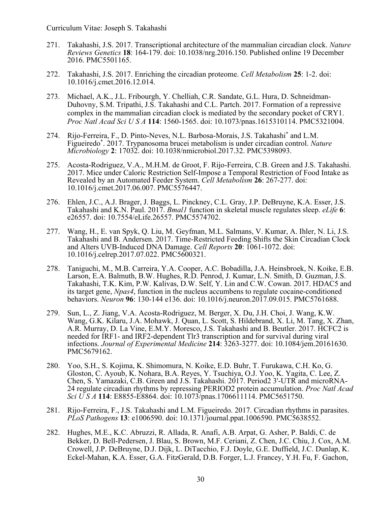- 271. Takahashi, J.S. 2017. Transcriptional architecture of the mammalian circadian clock. *Nature Reviews Genetics* **18**: 164-179. doi: 10.1038/nrg.2016.150. Published online 19 December 2016. PMC5501165.
- 272. Takahashi, J.S. 2017. Enriching the circadian proteome. *Cell Metabolism* **25**: 1-2. doi: 10.1016/j.cmet.2016.12.014.
- 273. Michael, A.K., J.L. Fribourgh, Y. Chelliah, C.R. Sandate, G.L. Hura, D. Schneidman-Duhovny, S.M. Tripathi, J.S. Takahashi and C.L. Partch. 2017. Formation of a repressive complex in the mammalian circadian clock is mediated by the secondary pocket of CRY1. *Proc Natl Acad Sci U S A* **114**: 1560-1565. doi: 10.1073/pnas.1615310114. PMC5321004.
- 274. Rijo-Ferreira, F., D. Pinto-Neves, N.L. Barbosa-Morais, J.S. Takahashi\* and L.M. Figueiredo\* . 2017. Trypanosoma brucei metabolism is under circadian control. *Nature Microbiology* **2**: 17032. doi: 10.1038/nmicrobiol.2017.32. PMC5398093.
- 275. Acosta-Rodriguez, V.A., M.H.M. de Groot, F. Rijo-Ferreira, C.B. Green and J.S. Takahashi. 2017. Mice under Caloric Restriction Self-Impose a Temporal Restriction of Food Intake as Revealed by an Automated Feeder System. *Cell Metabolism* **26**: 267-277. doi: 10.1016/j.cmet.2017.06.007. PMC5576447.
- 276. Ehlen, J.C., A.J. Brager, J. Baggs, L. Pinckney, C.L. Gray, J.P. DeBruyne, K.A. Esser, J.S. Takahashi and K.N. Paul. 2017. *Bmal1* function in skeletal muscle regulates sleep. *eLife* **6**: e26557. doi: 10.7554/eLife.26557. PMC5574702.
- 277. Wang, H., E. van Spyk, Q. Liu, M. Geyfman, M.L. Salmans, V. Kumar, A. Ihler, N. Li, J.S. Takahashi and B. Andersen. 2017. Time-Restricted Feeding Shifts the Skin Circadian Clock and Alters UVB-Induced DNA Damage. *Cell Reports* **20**: 1061-1072. doi: 10.1016/j.celrep.2017.07.022. PMC5600321.
- 278. Taniguchi, M., M.B. Carreira, Y.A. Cooper, A.C. Bobadilla, J.A. Heinsbroek, N. Koike, E.B. Larson, E.A. Balmuth, B.W. Hughes, R.D. Penrod, J. Kumar, L.N. Smith, D. Guzman, J.S. Takahashi, T.K. Kim, P.W. Kalivas, D.W. Self, Y. Lin and C.W. Cowan. 2017. HDAC5 and its target gene, *Npas4*, function in the nucleus accumbens to regulate cocaine-conditioned behaviors. *Neuron* **96**: 130-144 e136. doi: 10.1016/j.neuron.2017.09.015. PMC5761688.
- 279. Sun, L., Z. Jiang, V.A. Acosta-Rodriguez, M. Berger, X. Du, J.H. Choi, J. Wang, K.W. Wang, G.K. Kilaru, J.A. Mohawk, J. Quan, L. Scott, S. Hildebrand, X. Li, M. Tang, X. Zhan, A.R. Murray, D. La Vine, E.M.Y. Moresco, J.S. Takahashi and B. Beutler. 2017. HCFC2 is needed for IRF1- and IRF2-dependent Tlr3 transcription and for survival during viral infections. *Journal of Experimental Medicine* **214**: 3263-3277. doi: 10.1084/jem.20161630. PMC5679162.
- 280. Yoo, S.H., S. Kojima, K. Shimomura, N. Koike, E.D. Buhr, T. Furukawa, C.H. Ko, G. Gloston, C. Ayoub, K. Nohara, B.A. Reyes, Y. Tsuchiya, O.J. Yoo, K. Yagita, C. Lee, Z. 24 regulate circadian rhythms by repressing PERIOD2 protein accumulation. *Proc Natl Acad Sci U S A* **114**: E8855-E8864. doi: 10.1073/pnas.1706611114. PMC5651750.
- 281. Rijo-Ferreira, F., J.S. Takahashi and L.M. Figueiredo. 2017. Circadian rhythms in parasites. *PLoS Pathogens* **13**: e1006590. doi: 10.1371/journal.ppat.1006590. PMC5638552.
- 282. Hughes, M.E., K.C. Abruzzi, R. Allada, R. Anafi, A.B. Arpat, G. Asher, P. Baldi, C. de Bekker, D. Bell-Pedersen, J. Blau, S. Brown, M.F. Ceriani, Z. Chen, J.C. Chiu, J. Cox, A.M. Crowell, J.P. DeBruyne, D.J. Dijk, L. DiTacchio, F.J. Doyle, G.E. Duffield, J.C. Dunlap, K. Eckel-Mahan, K.A. Esser, G.A. FitzGerald, D.B. Forger, L.J. Francey, Y.H. Fu, F. Gachon,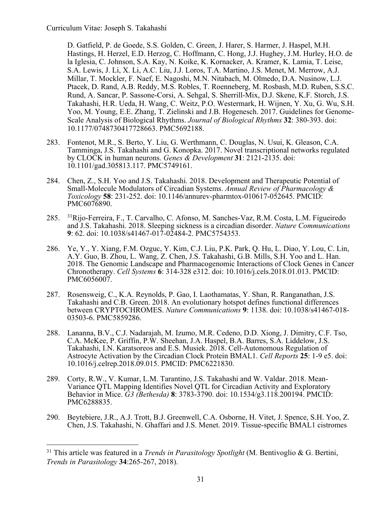D. Gatfield, P. de Goede, S.S. Golden, C. Green, J. Harer, S. Harmer, J. Haspel, M.H. Hastings, H. Herzel, E.D. Herzog, C. Hoffmann, C. Hong, J.J. Hughey, J.M. Hurley, H.O. de la Iglesia, C. Johnson, S.A. Kay, N. Koike, K. Kornacker, A. Kramer, K. Lamia, T. Leise, S.A. Lewis, J. Li, X. Li, A.C. Liu, J.J. Loros, T.A. Martino, J.S. Menet, M. Merrow, A.J. Millar, T. Mockler, F. Naef, E. Nagoshi, M.N. Nitabach, M. Olmedo, D.A. Nusinow, L.J. Ptacek, D. Rand, A.B. Reddy, M.S. Robles, T. Roenneberg, M. Rosbash, M.D. Ruben, S.S.C. Rund, A. Sancar, P. Sassone-Corsi, A. Sehgal, S. Sherrill-Mix, D.J. Skene, K.F. Storch, J.S. Takahashi, H.R. Ueda, H. Wang, C. Weitz, P.O. Westermark, H. Wijnen, Y. Xu, G. Wu, S.H. Yoo, M. Young, E.E. Zhang, T. Zielinski and J.B. Hogenesch. 2017. Guidelines for Genome-Scale Analysis of Biological Rhythms. *Journal of Biological Rhythms* **32**: 380-393. doi: 10.1177/0748730417728663. PMC5692188.

- 283. Fontenot, M.R., S. Berto, Y. Liu, G. Werthmann, C. Douglas, N. Usui, K. Gleason, C.A. Tamminga, J.S. Takahashi and G. Konopka. 2017. Novel transcriptional networks regulated by CLOCK in human neurons. *Genes & Development* **31**: 2121-2135. doi: 10.1101/gad.305813.117. PMC5749161.
- 284. Chen, Z., S.H. Yoo and J.S. Takahashi. 2018. Development and Therapeutic Potential of Small-Molecule Modulators of Circadian Systems. *Annual Review of Pharmacology & Toxicology* **58**: 231-252. doi: 10.1146/annurev-pharmtox-010617-052645. PMCID: PMC6076890.
- 285. 31Rijo-Ferreira, F., T. Carvalho, C. Afonso, M. Sanches-Vaz, R.M. Costa, L.M. Figueiredo and J.S. Takahashi. 2018. Sleeping sickness is a circadian disorder. *Nature Communications* **9**: 62. doi: 10.1038/s41467-017-02484-2. PMC5754353.
- 286. Ye, Y., Y. Xiang, F.M. Ozguc, Y. Kim, C.J. Liu, P.K. Park, Q. Hu, L. Diao, Y. Lou, C. Lin, A.Y. Guo, B. Zhou, L. Wang, Z. Chen, J.S. Takahashi, G.B. Mills, S.H. Yoo and L. Han. 2018. The Genomic Landscape and Pharmacogenomic Interactions of Clock Genes in Cancer Chronotherapy. *Cell Systems* **6**: 314-328 e312. doi: 10.1016/j.cels.2018.01.013. PMCID: PMC6056007.
- 287. Rosensweig, C., K.A. Reynolds, P. Gao, I. Laothamatas, Y. Shan, R. Ranganathan, J.S. Takahashi and C.B. Green. 2018. An evolutionary hotspot defines functional differences between CRYPTOCHROMES. *Nature Communications* **<sup>9</sup>**: 1138. doi: 10.1038/s41467-018- 03503-6. PMC5859286.
- 288. Lananna, B.V., C.J. Nadarajah, M. Izumo, M.R. Cedeno, D.D. Xiong, J. Dimitry, C.F. Tso, C.A. McKee, P. Griffin, P.W. Sheehan, J.A. Haspel, B.A. Barres, S.A. Liddelow, J.S. Takahashi, I.N. Karatsoreos and E.S. Musiek. 2018. Cell-Autonomous Regulation of Astrocyte Activation by the Circadian Clock Protein BMAL1. *Cell Reports* **25**: 1-9 e5. doi: 10.1016/j.celrep.2018.09.015. PMCID: PMC6221830.
- 289. Corty, R.W., V. Kumar, L.M. Tarantino, J.S. Takahashi and W. Valdar. 2018. Mean- Variance QTL Mapping Identifies Novel QTL for Circadian Activity and Exploratory Behavior in Mice. *G3 (Bethesda)* **8**: 3783-3790. doi: 10.1534/g3.118.200194. PMCID: PMC6288835.
- 290. Beytebiere, J.R., A.J. Trott, B.J. Greenwell, C.A. Osborne, H. Vitet, J. Spence, S.H. Yoo, Z. Chen, J.S. Takahashi, N. Ghaffari and J.S. Menet. 2019. Tissue-specific BMAL1 cistromes

<sup>31</sup> This article was featured in a *Trends in Parasitology Spotlight* (M. Bentivoglio & G. Bertini, *Trends in Parasitology* **34**:265-267, 2018).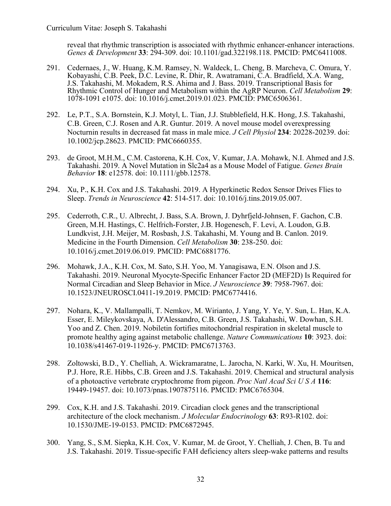reveal that rhythmic transcription is associated with rhythmic enhancer-enhancer interactions. *Genes & Development* **33**: 294-309. doi: 10.1101/gad.322198.118. PMCID: PMC6411008.

- 291. Cedernaes, J., W. Huang, K.M. Ramsey, N. Waldeck, L. Cheng, B. Marcheva, C. Omura, Y. Kobayashi, C.B. Peek, D.C. Levine, R. Dhir, R. Awatramani, C.A. Bradfield, X.A. Wang, J.S. Takahashi, M. Mokadem, R.S. Ahima and J. Bass. 2019. Transcriptional Basis for Rhythmic Control of Hunger and Metabolism within the AgRP Neuron. *Cell Metabolism* **29**: 1078-1091 e1075. doi: 10.1016/j.cmet.2019.01.023. PMCID: PMC6506361.
- 292. Le, P.T., S.A. Bornstein, K.J. Motyl, L. Tian, J.J. Stubblefield, H.K. Hong, J.S. Takahashi, C.B. Green, C.J. Rosen and A.R. Guntur. 2019. A novel mouse model overexpressing Nocturnin results in decreased fat mass in male mice. *J Cell Physiol* **234**: 20228-20239. doi: 10.1002/jcp.28623. PMCID: PMC6660355.
- 293. de Groot, M.H.M., C.M. Castorena, K.H. Cox, V. Kumar, J.A. Mohawk, N.I. Ahmed and J.S. Takahashi. 2019. A Novel Mutation in Slc2a4 as a Mouse Model of Fatigue. *Genes Brain Behavior* **18**: e12578. doi: 10.1111/gbb.12578.
- 294. Xu, P., K.H. Cox and J.S. Takahashi. 2019. A Hyperkinetic Redox Sensor Drives Flies to Sleep. *Trends in Neuroscience* **42**: 514-517. doi: 10.1016/j.tins.2019.05.007.
- 295. Cederroth, C.R., U. Albrecht, J. Bass, S.A. Brown, J. Dyhrfjeld-Johnsen, F. Gachon, C.B. Green, M.H. Hastings, C. Helfrich-Forster, J.B. Hogenesch, F. Levi, A. Loudon, G.B. Lundkvist, J.H. Meijer, M. Rosbash, J.S. Takahashi, M. Young and B. Canlon. 2019. Medicine in the Fourth Dimension. *Cell Metabolism* **30**: 238-250. doi: 10.1016/j.cmet.2019.06.019. PMCID: PMC6881776.
- 296. Mohawk, J.A., K.H. Cox, M. Sato, S.H. Yoo, M. Yanagisawa, E.N. Olson and J.S. Takahashi. 2019. Neuronal Myocyte-Specific Enhancer Factor 2D (MEF2D) Is Required for Normal Circadian and Sleep Behavior in Mice. *J Neuroscience* **39**: 7958-7967. doi: 10.1523/JNEUROSCI.0411-19.2019. PMCID: PMC6774416.
- 297. Nohara, K., V. Mallampalli, T. Nemkov, M. Wirianto, J. Yang, Y. Ye, Y. Sun, L. Han, K.A. Esser, E. Mileykovskaya, A. D'Alessandro, C.B. Green, J.S. Takahashi, W. Dowhan, S.H. Yoo and Z. Chen. 2019. Nobiletin fortifies mitochondrial respiration in skeletal muscle to promote healthy aging against metabolic challenge. *Nature Communications* **10**: 3923. doi: 10.1038/s41467-019-11926-y. PMCID: PMC6713763.
- 298. Zoltowski, B.D., Y. Chelliah, A. Wickramaratne, L. Jarocha, N. Karki, W. Xu, H. Mouritsen, P.J. Hore, R.E. Hibbs, C.B. Green and J.S. Takahashi. 2019. Chemical and structural analysis of a photoactive vertebrate cryptochrome from pigeon. *Proc Natl Acad Sci U S A* **116**: 19449-19457. doi: 10.1073/pnas.1907875116. PMCID: PMC6765304.
- 299. Cox, K.H. and J.S. Takahashi. 2019. Circadian clock genes and the transcriptional architecture of the clock mechanism. *J Molecular Endocrinology* **63**: R93-R102. doi: 10.1530/JME-19-0153. PMCID: PMC6872945.
- 300. Yang, S., S.M. Siepka, K.H. Cox, V. Kumar, M. de Groot, Y. Chelliah, J. Chen, B. Tu and J.S. Takahashi. 2019. Tissue-specific FAH deficiency alters sleep-wake patterns and results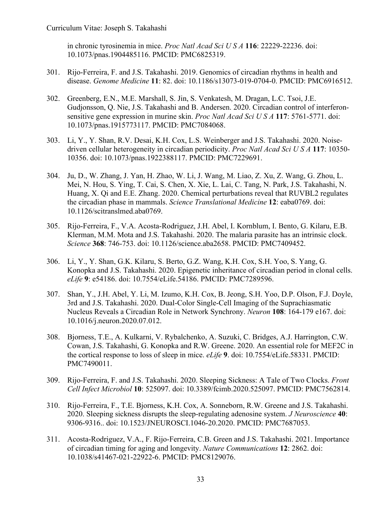in chronic tyrosinemia in mice. *Proc Natl Acad Sci U S A* **116**: 22229-22236. doi: 10.1073/pnas.1904485116. PMCID: PMC6825319.

- 301. Rijo-Ferreira, F. and J.S. Takahashi. 2019. Genomics of circadian rhythms in health and disease. *Genome Medicine* **11**: 82. doi: 10.1186/s13073-019-0704-0. PMCID: PMC6916512.
- 302. Greenberg, E.N., M.E. Marshall, S. Jin, S. Venkatesh, M. Dragan, L.C. Tsoi, J.E. Gudjonsson, Q. Nie, J.S. Takahashi and B. Andersen. 2020. Circadian control of interferonsensitive gene expression in murine skin. *Proc Natl Acad Sci U S A* **117**: 5761-5771. doi: 10.1073/pnas.1915773117. PMCID: PMC7084068.
- 303. Li, Y., Y. Shan, R.V. Desai, K.H. Cox, L.S. Weinberger and J.S. Takahashi. 2020. Noisedriven cellular heterogeneity in circadian periodicity. *Proc Natl Acad Sci U S A* **117**: 10350- 10356. doi: 10.1073/pnas.1922388117. PMCID: PMC7229691.
- 304. Ju, D., W. Zhang, J. Yan, H. Zhao, W. Li, J. Wang, M. Liao, Z. Xu, Z. Wang, G. Zhou, L. Mei, N. Hou, S. Ying, T. Cai, S. Chen, X. Xie, L. Lai, C. Tang, N. Park, J.S. Takahashi, N. Huang, X. Qi and E.E. Zhang. 2020. Chemical perturbations reveal that RUVBL2 regulates the circadian phase in mammals. *Science Translational Medicine* **12**: eaba0769. doi: 10.1126/scitranslmed.aba0769.
- 305. Rijo-Ferreira, F., V.A. Acosta-Rodriguez, J.H. Abel, I. Kornblum, I. Bento, G. Kilaru, E.B. Klerman, M.M. Mota and J.S. Takahashi. 2020. The malaria parasite has an intrinsic clock. *Science* **368**: 746-753. doi: 10.1126/science.aba2658. PMCID: PMC7409452.
- 306. Li, Y., Y. Shan, G.K. Kilaru, S. Berto, G.Z. Wang, K.H. Cox, S.H. Yoo, S. Yang, G. Konopka and J.S. Takahashi. 2020. Epigenetic inheritance of circadian period in clonal cells. *eLife* **9**: e54186. doi: 10.7554/eLife.54186. PMCID: PMC7289596.
- 307. Shan, Y., J.H. Abel, Y. Li, M. Izumo, K.H. Cox, B. Jeong, S.H. Yoo, D.P. Olson, F.J. Doyle, 3rd and J.S. Takahashi. 2020. Dual-Color Single-Cell Imaging of the Suprachiasmatic Nucleus Reveals a Circadian Role in Network Synchrony. *Neuron* **108**: 164-179 e167. doi: 10.1016/j.neuron.2020.07.012.
- 308. Bjorness, T.E., A. Kulkarni, V. Rybalchenko, A. Suzuki, C. Bridges, A.J. Harrington, C.W. Cowan, J.S. Takahashi, G. Konopka and R.W. Greene. 2020. An essential role for MEF2C in the cortical response to loss of sleep in mice. *eLife* **9**. doi: 10.7554/eLife.58331. PMCID: PMC7490011.
- 309. Rijo-Ferreira, F. and J.S. Takahashi. 2020. Sleeping Sickness: A Tale of Two Clocks. *Front Cell Infect Microbiol* **10**: 525097. doi: 10.3389/fcimb.2020.525097. PMCID: PMC7562814.
- 310. Rijo-Ferreira, F., T.E. Bjorness, K.H. Cox, A. Sonneborn, R.W. Greene and J.S. Takahashi. 2020. Sleeping sickness disrupts the sleep-regulating adenosine system. *J Neuroscience* **40**: 9306-9316.. doi: 10.1523/JNEUROSCI.1046-20.2020. PMCID: PMC7687053.
- 311. Acosta-Rodriguez, V.A., F. Rijo-Ferreira, C.B. Green and J.S. Takahashi. 2021. Importance of circadian timing for aging and longevity. *Nature Communications* **12**: 2862. doi: 10.1038/s41467-021-22922-6. PMCID: PMC8129076.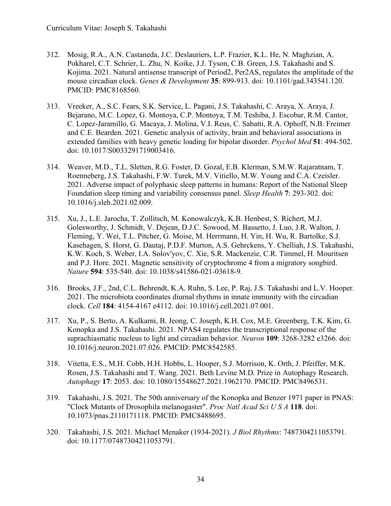- 312. Mosig, R.A., A.N. Castaneda, J.C. Deslauriers, L.P. Frazier, K.L. He, N. Maghzian, A. Pokharel, C.T. Schrier, L. Zhu, N. Koike, J.J. Tyson, C.B. Green, J.S. Takahashi and S. Kojima. 2021. Natural antisense transcript of Period2, Per2AS, regulates the amplitude of the mouse circadian clock. *Genes & Development* **35**: 899-913. doi: 10.1101/gad.343541.120. PMCID: PMC8168560.
- 313. Vreeker, A., S.C. Fears, S.K. Service, L. Pagani, J.S. Takahashi, C. Araya, X. Araya, J. Bejarano, M.C. Lopez, G. Montoya, C.P. Montoya, T.M. Teshiba, J. Escobar, R.M. Cantor, C. Lopez-Jaramillo, G. Macaya, J. Molina, V.I. Reus, C. Sabatti, R.A. Ophoff, N.B. Freimer and C.E. Bearden. 2021. Genetic analysis of activity, brain and behavioral associations in extended families with heavy genetic loading for bipolar disorder. *Psychol Med* **51**: 494-502. doi: 10.1017/S0033291719003416.
- 314. Weaver, M.D., T.L. Sletten, R.G. Foster, D. Gozal, E.B. Klerman, S.M.W. Rajaratnam, T. Roenneberg, J.S. Takahashi, F.W. Turek, M.V. Vitiello, M.W. Young and C.A. Czeisler. 2021. Adverse impact of polyphasic sleep patterns in humans: Report of the National Sleep Foundation sleep timing and variability consensus panel. *Sleep Health* **7**: 293-302. doi: 10.1016/j.sleh.2021.02.009.
- 315. Xu, J., L.E. Jarocha, T. Zollitsch, M. Konowalczyk, K.B. Henbest, S. Richert, M.J. Golesworthy, J. Schmidt, V. Dejean, D.J.C. Sowood, M. Bassetto, J. Luo, J.R. Walton, J. Fleming, Y. Wei, T.L. Pitcher, G. Moise, M. Herrmann, H. Yin, H. Wu, R. Bartolke, S.J. Kasehagen, S. Horst, G. Dautaj, P.D.F. Murton, A.S. Gehrckens, Y. Chelliah, J.S. Takahashi, K.W. Koch, S. Weber, I.A. Solov'yov, C. Xie, S.R. Mackenzie, C.R. Timmel, H. Mouritsen and P.J. Hore. 2021. Magnetic sensitivity of cryptochrome 4 from a migratory songbird. *Nature* **594**: 535-540. doi: 10.1038/s41586-021-03618-9.
- 316. Brooks, J.F., 2nd, C.L. Behrendt, K.A. Ruhn, S. Lee, P. Raj, J.S. Takahashi and L.V. Hooper. 2021. The microbiota coordinates diurnal rhythms in innate immunity with the circadian clock. *Cell* **184**: 4154-4167 e4112. doi: 10.1016/j.cell.2021.07.001.
- 317. Xu, P., S. Berto, A. Kulkarni, B. Jeong, C. Joseph, K.H. Cox, M.E. Greenberg, T.K. Kim, G. Konopka and J.S. Takahashi. 2021. NPAS4 regulates the transcriptional response of the suprachiasmatic nucleus to light and circadian behavior. *Neuron* **109**: 3268-3282 e3266. doi: 10.1016/j.neuron.2021.07.026. PMCID: PMC8542585.
- 318. Vitetta, E.S., M.H. Cobb, H.H. Hobbs, L. Hooper, S.J. Morrison, K. Orth, J. Pfeiffer, M.K. Rosen, J.S. Takahashi and T. Wang. 2021. Beth Levine M.D. Prize in Autophagy Research. *Autophagy* **17**: 2053. doi: 10.1080/15548627.2021.1962170. PMCID: PMC8496531.
- 319. Takahashi, J.S. 2021. The 50th anniversary of the Konopka and Benzer 1971 paper in PNAS: "Clock Mutants of Drosophila melanogaster". *Proc Natl Acad Sci U S A* **118**. doi: 10.1073/pnas.2110171118. PMCID: PMC8488695.
- 320. Takahashi, J.S. 2021. Michael Menaker (1934-2021). *J Biol Rhythms*: 7487304211053791. doi: 10.1177/07487304211053791.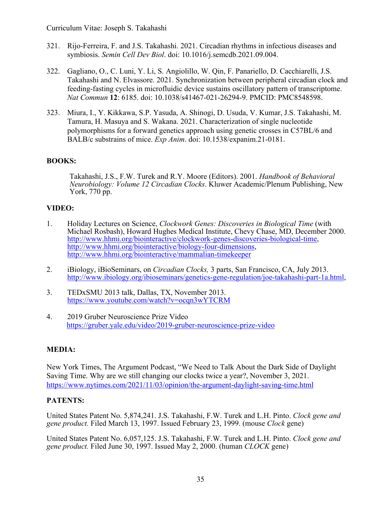- 321. Rijo-Ferreira, F. and J.S. Takahashi. 2021. Circadian rhythms in infectious diseases and symbiosis. *Semin Cell Dev Biol*. doi: 10.1016/j.semcdb.2021.09.004.
- 322. Gagliano, O., C. Luni, Y. Li, S. Angiolillo, W. Qin, F. Panariello, D. Cacchiarelli, J.S. Takahashi and N. Elvassore. 2021. Synchronization between peripheral circadian clock and feeding-fasting cycles in microfluidic device sustains oscillatory pattern of transcriptome. *Nat Commun* **12**: 6185. doi: 10.1038/s41467-021-26294-9. PMCID: PMC8548598.
- 323. Miura, I., Y. Kikkawa, S.P. Yasuda, A. Shinogi, D. Usuda, V. Kumar, J.S. Takahashi, M. Tamura, H. Masuya and S. Wakana. 2021. Characterization of single nucleotide polymorphisms for a forward genetics approach using genetic crosses in C57BL/6 and BALB/c substrains of mice. *Exp Anim*. doi: 10.1538/expanim.21-0181.

# **BOOKS:**

Takahashi, J.S., F.W. Turek and R.Y. Moore (Editors). 2001. *Handbook of Behavioral Neurobiology: Volume 12 Circadian Clocks*. Kluwer Academic/Plenum Publishing, New York, 770 pp.

# **VIDEO:**

- 1. Holiday Lectures on Science, *Clockwork Genes: Discoveries in Biological Time* (with Michael Rosbash), Howard Hughes Medical Institute, Chevy Chase, MD, December 2000. http://www.hhmi.org/biointeractive/clockwork-genes-discoveries-biological-time, http://www.hhmi.org/biointeractive/biology-four-dimensions, http://www.hhmi.org/biointeractive/mammalian-timekeeper
- 2. iBiology, iBioSeminars, on *Circadian Clocks,* 3 parts, San Francisco, CA, July 2013. http://www.ibiology.org/ibioseminars/genetics-gene-regulation/joe-takahashi-part-1a.html,
- 3. TEDxSMU 2013 talk, Dallas, TX, November 2013. https://www.youtube.com/watch?v=ocqn3wYTCRM
- 4. 2019 Gruber Neuroscience Prize Video https://gruber.yale.edu/video/2019-gruber-neuroscience-prize-video

### **MEDIA:**

New York Times, The Argument Podcast, "We Need to Talk About the Dark Side of Daylight Saving Time. Why are we still changing our clocks twice a year?, November 3, 2021. https://www.nytimes.com/2021/11/03/opinion/the-argument-daylight-saving-time.html

### **PATENTS:**

United States Patent No. 5,874,241. J.S. Takahashi, F.W. Turek and L.H. Pinto. *Clock gene and gene product.* Filed March 13, 1997. Issued February 23, 1999. (mouse *Clock* gene)

United States Patent No. 6,057,125. J.S. Takahashi, F.W. Turek and L.H. Pinto. *Clock gene and gene product.* Filed June 30, 1997. Issued May 2, 2000. (human *CLOCK* gene)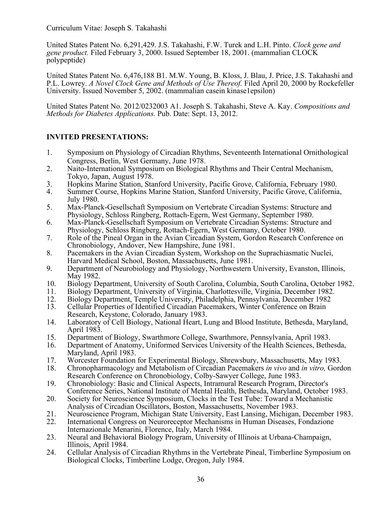United States Patent No. 6,291,429. J.S. Takahashi, F.W. Turek and L.H. Pinto. *Clock gene and gene product.* Filed February 3, 2000. Issued September 18, 2001. (mammalian CLOCK polypeptide)

United States Patent No. 6,476,188 B1. M.W. Young, B. Kloss, J. Blau, J. Price, J.S. Takahashi and P.L. Lowrey. *A Novel Clock Gene and Methods of Use Thereof.* Filed April 20, 2000 by Rockefeller University. Issued November 5, 2002. (mammalian casein kinase1epsilon)

United States Patent No. 2012/0232003 A1. Joseph S. Takahashi, Steve A. Kay. *Compositions and Methods for Diabetes Applications.* Pub. Date: Sept. 13, 2012.

# **INVITED PRESENTATIONS:**

- 1. Symposium on Physiology of Circadian Rhythms, Seventeenth International Ornithological Congress, Berlin, West Germany, June 1978.
- 2. Naito-International Symposium on Biological Rhythms and Their Central Mechanism, Tokyo, Japan, August 1978.
- 3. Hopkins Marine Station, Stanford University, Pacific Grove, California, February 1980.
- 4. Summer Course, Hopkins Marine Station, Stanford University, Pacific Grove, California, July 1980.
- 5. Max-Planck-Gesellschaft Symposium on Vertebrate Circadian Systems: Structure and Physiology, Schloss Ringberg, Rottach-Egern, West Germany, September 1980.
- 6. Max-Planck-Gesellschaft Symposium on Vertebrate Circadian Systems: Structure and Physiology, Schloss Ringberg, Rottach-Egern, West Germany, October 1980.
- 7. Role of the Pineal Organ in the Avian Circadian System, Gordon Research Conference on Chronobiology, Andover, New Hampshire, June 1981.
- 8. Pacemakers in the Avian Circadian System, Workshop on the Suprachiasmatic Nuclei, Harvard Medical School, Boston, Massachusetts, June 1981.
- 9. Department of Neurobiology and Physiology, Northwestern University, Evanston, Illinois, May 1982.
- 10. Biology Department, University of South Carolina, Columbia, South Carolina, October 1982.
- 11. Biology Department, University of Virginia, Charlottesville, Virginia, December 1982.<br>12. Biology Department, Temple University, Philadelphia, Pennsylvania, December 1982.
- 12. Biology Department, Temple University, Philadelphia, Pennsylvania, December 1982<br>13. Cellular Properties of Identified Circadian Pacemakers. Winter Conference on Brain
- 13. Cellular Properties of Identified Circadian Pacemakers, Winter Conference on Brain Research, Keystone, Colorado, January 1983.
- 14. Laboratory of Cell Biology, National Heart, Lung and Blood Institute, Bethesda, Maryland, April 1983.
- 15. Department of Biology, Swarthmore College, Swarthmore, Pennsylvania, April 1983.<br>16. Department of Anatomy, Uniformed Services University of the Health Sciences, Beth
- 16. Department of Anatomy, Uniformed Services University of the Health Sciences, Bethesda, Maryland, April 1983.
- 17. Worcester Foundation for Experimental Biology, Shrewsbury, Massachusetts, May 1983.
- 18. Chronopharmacology and Metabolism of Circadian Pacemakers *in vivo* and *in vitro,* Gordon Research Conference on Chronobiology, Colby-Sawyer College, June 1983.
- 19. Chronobiology: Basic and Clinical Aspects, Intramural Research Program, Director's Conference Series, National Institute of Mental Health, Bethesda, Maryland, October 1983.
- 20. Society for Neuroscience Symposium, Clocks in the Test Tube: Toward a Mechanistic Analysis of Circadian Oscillators, Boston, Massachusetts, November 1983.
- 21. Neuroscience Program, Michigan State University, East Lansing, Michigan, December 1983.<br>22. International Congress on Neuroreceptor Mechanisms in Human Diseases. Fondazione
- 22. International Congress on Neuroreceptor Mechanisms in Human Diseases, Fondazione Internazionale Menarini, Florence, Italy, March 1984.
- 23. Neural and Behavioral Biology Program, University of Illinois at Urbana-Champaign, Illinois, April 1984.
- 24. Cellular Analysis of Circadian Rhythms in the Vertebrate Pineal, Timberline Symposium on Biological Clocks, Timberline Lodge, Oregon, July 1984.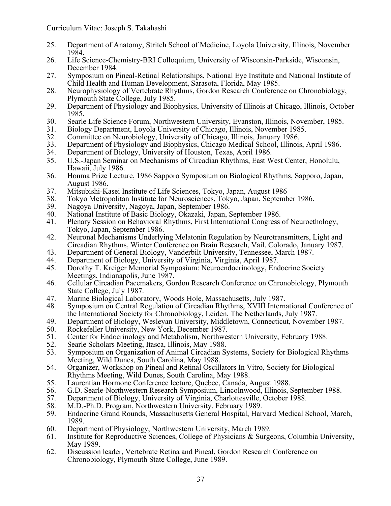- 25. Department of Anatomy, Stritch School of Medicine, Loyola University, Illinois, November 1984.
- 26. Life Science-Chemistry-BRI Colloquium, University of Wisconsin-Parkside, Wisconsin, December 1984.
- 27. Symposium on Pineal-Retinal Relationships, National Eye Institute and National Institute of Child Health and Human Development, Sarasota, Florida, May 1985.
- 28. Neurophysiology of Vertebrate Rhythms, Gordon Research Conference on Chronobiology, Plymouth State College, July 1985.
- 29. Department of Physiology and Biophysics, University of Illinois at Chicago, Illinois, October 1985.
- 30. Searle Life Science Forum, Northwestern University, Evanston, Illinois, November, 1985.
- 31. Biology Department, Loyola University of Chicago, Illinois, November 1985.
- 32. Committee on Neurobiology, University of Chicago, Illinois, January 1986.
- 33. Department of Physiology and Biophysics, Chicago Medical School, Illinois, April 1986.
- 34. Department of Biology, University of Houston, Texas, April 1986.
- 35. U.S.-Japan Seminar on Mechanisms of Circadian Rhythms, East West Center, Honolulu, Hawaii, July 1986.
- 36. Honma Prize Lecture, 1986 Sapporo Symposium on Biological Rhythms, Sapporo, Japan, August 1986.
- 37. Mitsubishi-Kasei Institute of Life Sciences, Tokyo, Japan, August 1986<br>38. Tokyo Metropolitan Institute for Neurosciences, Tokyo, Japan, Septemb
- 38. Tokyo Metropolitan Institute for Neurosciences, Tokyo, Japan, September 1986.
- 39. Nagoya University, Nagoya, Japan, September 1986.
- 40. National Institute of Basic Biology, Okazaki, Japan, September 1986.<br>41. Plenary Session on Behavioral Rhythms, First International Congress
- 41. Plenary Session on Behavioral Rhythms, First International Congress of Neuroethology, Tokyo, Japan, September 1986.
- 42. Neuronal Mechanisms Underlying Melatonin Regulation by Neurotransmitters, Light and Circadian Rhythms, Winter Conference on Brain Research, Vail, Colorado, January 1987.
- 43. Department of General Biology, Vanderbilt University, Tennessee, March 1987.<br>44. Department of Biology, University of Virginia, Virginia, April 1987.
- 44. Department of Biology, University of Virginia, Virginia, April 1987.<br>45. Dorothy T. Kreiger Memorial Symposium: Neuroendocrinology, End
- 45. Dorothy T. Kreiger Memorial Symposium: Neuroendocrinology, Endocrine Society Meetings, Indianapolis, June 1987.
- 46. Cellular Circadian Pacemakers, Gordon Research Conference on Chronobiology, Plymouth State College, July 1987.
- 47. Marine Biological Laboratory, Woods Hole, Massachusetts, July 1987.<br>48. Symposium on Central Regulation of Circadian Rhythms, XVIII Interna
- 48. Symposium on Central Regulation of Circadian Rhythms, XVIII International Conference of the International Society for Chronobiology, Leiden, The Netherlands, July 1987.
- 49. Department of Biology, Wesleyan University, Middletown, Connecticut, November 1987.
- 50. Rockefeller University, New York, December 1987.<br>51. Center for Endocrinology and Metabolism, Northwei
- 51. Center for Endocrinology and Metabolism, Northwestern University, February 1988.<br>52. Searle Scholars Meeting, Itasca, Illinois, May 1988.
- 52. Searle Scholars Meeting, Itasca, Illinois, May 1988.<br>53. Symposium on Organization of Animal Circadian S
- 53. Symposium on Organization of Animal Circadian Systems, Society for Biological Rhythms Meeting, Wild Dunes, South Carolina, May 1988.
- 54. Organizer, Workshop on Pineal and Retinal Oscillators In Vitro, Society for Biological Rhythms Meeting, Wild Dunes, South Carolina, May 1988.
- 55. Laurentian Hormone Conference lecture, Quebec, Canada, August 1988.<br>56. G.D. Searle-Northwestern Research Symposium, Lincolnwood, Illinois, S.
- 56. G.D. Searle-Northwestern Research Symposium, Lincolnwood, Illinois, September 1988.<br>57. Department of Biology, University of Virginia, Charlottesville, October 1988.
- 57. Department of Biology, University of Virginia, Charlottesville, October 1988.
- 58. M.D.-Ph.D. Program, Northwestern University, February 1989.
- 59. Endocrine Grand Rounds, Massachusetts General Hospital, Harvard Medical School, March, 1989.
- 60. Department of Physiology, Northwestern University, March 1989.
- 61. Institute for Reproductive Sciences, College of Physicians & Surgeons, Columbia University, May 1989.
- 62. Discussion leader, Vertebrate Retina and Pineal, Gordon Research Conference on Chronobiology, Plymouth State College, June 1989.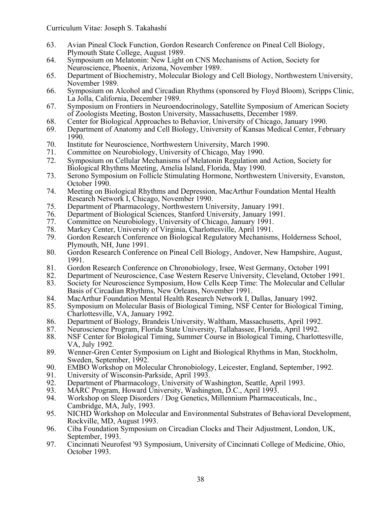- 63. Avian Pineal Clock Function, Gordon Research Conference on Pineal Cell Biology, Plymouth State College, August 1989.
- 64. Symposium on Melatonin: New Light on CNS Mechanisms of Action, Society for Neuroscience, Phoenix, Arizona, November 1989.
- 65. Department of Biochemistry, Molecular Biology and Cell Biology, Northwestern University, November 1989.
- 66. Symposium on Alcohol and Circadian Rhythms (sponsored by Floyd Bloom), Scripps Clinic, La Jolla, California, December 1989.
- 67. Symposium on Frontiers in Neuroendocrinology, Satellite Symposium of American Society of Zoologists Meeting, Boston University, Massachusetts, December 1989.
- 68. Center for Biological Approaches to Behavior, University of Chicago, January 1990.
- 69. Department of Anatomy and Cell Biology, University of Kansas Medical Center, February 1990.
- 70. Institute for Neuroscience, Northwestern University, March 1990.
- 71. Committee on Neurobiology, University of Chicago, May 1990.
- 72. Symposium on Cellular Mechanisms of Melatonin Regulation and Action, Society for Biological Rhythms Meeting, Amelia Island, Florida, May 1990.
- 73. Serono Symposium on Follicle Stimulating Hormone, Northwestern University, Evanston, October 1990.
- 74. Meeting on Biological Rhythms and Depression, MacArthur Foundation Mental Health Research Network I, Chicago, November 1990.
- 75. Department of Pharmacology, Northwestern University, January 1991.
- 76. Department of Biological Sciences, Stanford University, January 1991.
- 77. Committee on Neurobiology, University of Chicago, January 1991.<br>78. Markey Center, University of Virginia, Charlottesville, April 1991.
- 78. Markey Center, University of Virginia, Charlottesville, April 1991.
- 79. Gordon Research Conference on Biological Regulatory Mechanisms, Holderness School, Plymouth, NH, June 1991.
- 80. Gordon Research Conference on Pineal Cell Biology, Andover, New Hampshire, August, 1991.
- 81. Gordon Research Conference on Chronobiology, Irsee, West Germany, October 1991<br>82. Department of Neuroscience. Case Western Reserve University. Cleveland. October 1
- 82. Department of Neuroscience, Case Western Reserve University, Cleveland, October 1991.
- 83. Society for Neuroscience Symposium, How Cells Keep Time: The Molecular and Cellular Basis of Circadian Rhythms, New Orleans, November 1991.
- 84. MacArthur Foundation Mental Health Research Network I, Dallas, January 1992.<br>85. Symposium on Molecular Basis of Biological Timing, NSF Center for Biological
- 85. Symposium on Molecular Basis of Biological Timing, NSF Center for Biological Timing, Charlottesville, VA, January 1992.
- 86. Department of Biology, Brandeis University, Waltham, Massachusetts, April 1992.
- 
- 87. Neuroscience Program, Florida State University, Tallahassee, Florida, April 1992. 88. NSF Center for Biological Timing, Summer Course in Biological Timing, Charlottesville, VA, July 1992.
- 89. Wenner-Gren Center Symposium on Light and Biological Rhythms in Man, Stockholm, Sweden, September, 1992.
- 90. EMBO Workshop on Molecular Chronobiology, Leicester, England, September, 1992.<br>91. University of Wisconsin-Parkside, April 1993.
- 91. University of Wisconsin-Parkside, April 1993.<br>92. Department of Pharmacology, University of W
- 92. Department of Pharmacology, University of Washington, Seattle, April 1993.<br>93. MARC Program, Howard University, Washington, D.C., April 1993.
- 93. MARC Program, Howard University, Washington, D.C., April 1993.<br>94. Workshop on Sleep Disorders / Dog Genetics, Millennium Pharmaceu
- 94. Workshop on Sleep Disorders / Dog Genetics, Millennium Pharmaceuticals, Inc., Cambridge, MA, July, 1993.
- 95. NICHD Workshop on Molecular and Environmental Substrates of Behavioral Development, Rockville, MD, August 1993.
- 96. Ciba Foundation Symposium on Circadian Clocks and Their Adjustment, London, UK, September, 1993.
- 97. Cincinnati Neurofest '93 Symposium, University of Cincinnati College of Medicine, Ohio, October 1993.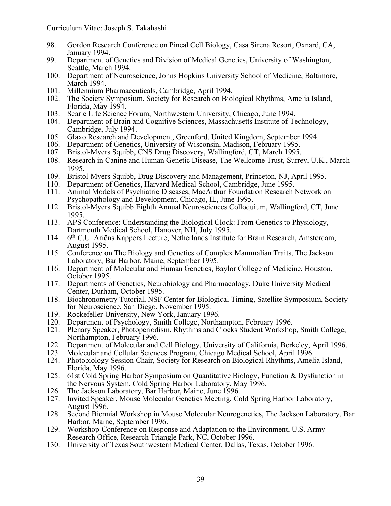- 98. Gordon Research Conference on Pineal Cell Biology, Casa Sirena Resort, Oxnard, CA, January 1994.
- 99. Department of Genetics and Division of Medical Genetics, University of Washington, Seattle, March 1994.
- 100. Department of Neuroscience, Johns Hopkins University School of Medicine, Baltimore, March 1994.
- 101. Millennium Pharmaceuticals, Cambridge, April 1994.
- 102. The Society Symposium, Society for Research on Biological Rhythms, Amelia Island, Florida, May 1994.
- 103. Searle Life Science Forum, Northwestern University, Chicago, June 1994.
- 104. Department of Brain and Cognitive Sciences, Massachusetts Institute of Technology, Cambridge, July 1994.
- 105. Glaxo Research and Development, Greenford, United Kingdom, September 1994.
- 106. Department of Genetics, University of Wisconsin, Madison, February 1995.
- 107. Bristol-Myers Squibb, CNS Drug Discovery, Wallingford, CT, March 1995.
- 108. Research in Canine and Human Genetic Disease, The Wellcome Trust, Surrey, U.K., March 1995.
- 109. Bristol-Myers Squibb, Drug Discovery and Management, Princeton, NJ, April 1995.
- 110. Department of Genetics, Harvard Medical School, Cambridge, June 1995.
- 111. Animal Models of Psychiatric Diseases, MacArthur Foundation Research Network on Psychopathology and Development, Chicago, IL, June 1995.
- 112. Bristol-Myers Squibb Eighth Annual Neurosciences Colloquium, Wallingford, CT, June 1995.
- 113. APS Conference: Understanding the Biological Clock: From Genetics to Physiology, Dartmouth Medical School, Hanover, NH, July 1995.
- 114.  $6<sup>th</sup>$  C.U. Ariëns Kappers Lecture, Netherlands Institute for Brain Research, Amsterdam, August 1995.
- 115. Conference on The Biology and Genetics of Complex Mammalian Traits, The Jackson Laboratory, Bar Harbor, Maine, September 1995.
- 116. Department of Molecular and Human Genetics, Baylor College of Medicine, Houston, October 1995.
- 117. Departments of Genetics, Neurobiology and Pharmacology, Duke University Medical Center, Durham, October 1995.
- 118. Biochronometry Tutorial, NSF Center for Biological Timing, Satellite Symposium, Society for Neuroscience, San Diego, November 1995.
- 119. Rockefeller University, New York, January 1996.
- 120. Department of Psychology, Smith College, Northampton, February 1996.
- 121. Plenary Speaker, Photoperiodism, Rhythms and Clocks Student Workshop, Smith College, Northampton, February 1996.
- 122. Department of Molecular and Cell Biology, University of California, Berkeley, April 1996.
- 123. Molecular and Cellular Sciences Program, Chicago Medical School, April 1996.<br>124. Photobiology Session Chair. Society for Research on Biological Rhythms. Ameli
- 124. Photobiology Session Chair, Society for Research on Biological Rhythms, Amelia Island, Florida, May 1996.
- 125. 61st Cold Spring Harbor Symposium on Quantitative Biology, Function & Dysfunction in the Nervous System, Cold Spring Harbor Laboratory, May 1996.
- 126. The Jackson Laboratory, Bar Harbor, Maine, June 1996.
- 127. Invited Speaker, Mouse Molecular Genetics Meeting, Cold Spring Harbor Laboratory, August 1996.
- 128. Second Biennial Workshop in Mouse Molecular Neurogenetics, The Jackson Laboratory, Bar Harbor, Maine, September 1996.
- 129. Workshop-Conference on Response and Adaptation to the Environment, U.S. Army Research Office, Research Triangle Park, NC, October 1996.
- 130. University of Texas Southwestern Medical Center, Dallas, Texas, October 1996.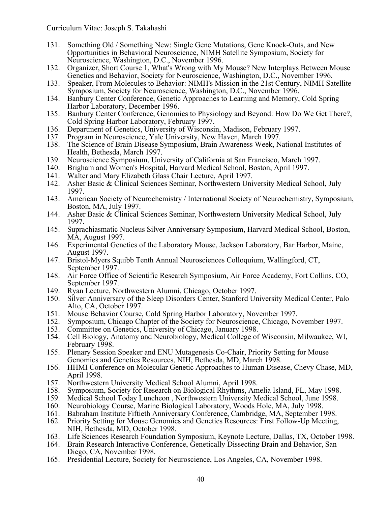- 131. Something Old / Something New: Single Gene Mutations, Gene Knock-Outs, and New Opportunities in Behavioral Neuroscience, NIMH Satellite Symposium, Society for Neuroscience, Washington, D.C., November 1996.
- 132. Organizer, Short Course 1, What's Wrong with My Mouse? New Interplays Between Mouse Genetics and Behavior, Society for Neuroscience, Washington, D.C., November 1996.
- 133. Speaker, From Molecules to Behavior: NIMH's Mission in the 21st Century, NIMH Satellite Symposium, Society for Neuroscience, Washington, D.C., November 1996.
- 134. Banbury Center Conference, Genetic Approaches to Learning and Memory, Cold Spring Harbor Laboratory, December 1996.
- 135. Banbury Center Conference, Genomics to Physiology and Beyond: How Do We Get There?, Cold Spring Harbor Laboratory, February 1997.
- 136. Department of Genetics, University of Wisconsin, Madison, February 1997.
- 137. Program in Neuroscience, Yale University, New Haven, March 1997.
- 138. The Science of Brain Disease Symposium, Brain Awareness Week, National Institutes of Health, Bethesda, March 1997.
- 139. Neuroscience Symposium, University of California at San Francisco, March 1997.
- 140. Brigham and Women's Hospital, Harvard Medical School, Boston, April 1997.
- 141. Walter and Mary Elizabeth Glass Chair Lecture, April 1997.<br>142. Asher Basic & Clinical Sciences Seminar, Northwestern Uni
- 142. Asher Basic & Clinical Sciences Seminar, Northwestern University Medical School, July 1997.
- 143. American Society of Neurochemistry / International Society of Neurochemistry, Symposium, Boston, MA, July 1997.
- 144. Asher Basic & Clinical Sciences Seminar, Northwestern University Medical School, July 1997.
- 145. Suprachiasmatic Nucleus Silver Anniversary Symposium, Harvard Medical School, Boston, MA, August 1997.
- 146. Experimental Genetics of the Laboratory Mouse, Jackson Laboratory, Bar Harbor, Maine, August 1997.
- 147. Bristol-Myers Squibb Tenth Annual Neurosciences Colloquium, Wallingford, CT, September 1997.
- 148. Air Force Office of Scientific Research Symposium, Air Force Academy, Fort Collins, CO, September 1997.
- 149. Ryan Lecture, Northwestern Alumni, Chicago, October 1997.
- 150. Silver Anniversary of the Sleep Disorders Center, Stanford University Medical Center, Palo Alto, CA, October 1997.
- 151. Mouse Behavior Course, Cold Spring Harbor Laboratory, November 1997.
- 152. Symposium, Chicago Chapter of the Society for Neuroscience, Chicago, November 1997.
- 153. Committee on Genetics, University of Chicago, January 1998.<br>154. Cell Biology, Anatomy and Neurobiology, Medical College of
- 154. Cell Biology, Anatomy and Neurobiology, Medical College of Wisconsin, Milwaukee, WI, February 1998.
- 155. Plenary Session Speaker and ENU Mutagenesis Co-Chair, Priority Setting for Mouse Genomics and Genetics Resources, NIH, Bethesda, MD, March 1998.
- 156. HHMI Conference on Molecular Genetic Approaches to Human Disease, Chevy Chase, MD, April 1998.
- 157. Northwestern University Medical School Alumni, April 1998.<br>158. Symposium, Society for Research on Biological Rhythms, Am
- 158. Symposium, Society for Research on Biological Rhythms, Amelia Island, FL, May 1998.<br>159. Medical School Today Luncheon, Northwestern University Medical School, June 1998.
- 159. Medical School Today Luncheon , Northwestern University Medical School, June 1998.
- 160. Neurobiology Course, Marine Biological Laboratory, Woods Hole, MA, July 1998.
- 161. Babraham Institute Fiftieth Anniversary Conference, Cambridge, MA, September 1998.<br>162. Priority Setting for Mouse Genomics and Genetics Resources: First Follow-Up Meeting,
- Priority Setting for Mouse Genomics and Genetics Resources: First Follow-Up Meeting, NIH, Bethesda, MD, October 1998.
- 163. Life Sciences Research Foundation Symposium, Keynote Lecture, Dallas, TX, October 1998.
- 164. Brain Research Interactive Conference, Genetically Dissecting Brain and Behavior, San Diego, CA, November 1998.
- 165. Presidential Lecture, Society for Neuroscience, Los Angeles, CA, November 1998.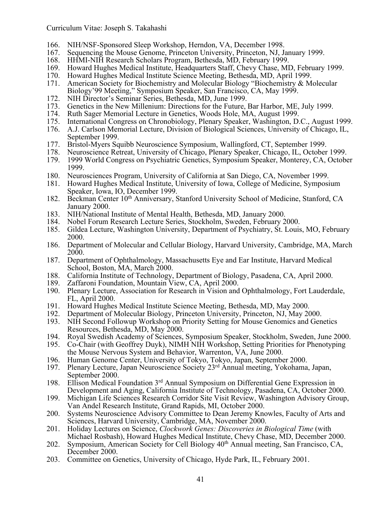- 166. NIH/NSF-Sponsored Sleep Workshop, Herndon, VA, December 1998.
- 167. Sequencing the Mouse Genome, Princeton University, Princeton, NJ, January 1999.
- 168. HHMI-NIH Research Scholars Program, Bethesda, MD, February 1999.
- 169. Howard Hughes Medical Institute, Headquarters Staff, Chevy Chase, MD, February 1999.
- 170. Howard Hughes Medical Institute Science Meeting, Bethesda, MD, April 1999.
- 171. American Society for Biochemistry and Molecular Biology "Biochemistry & Molecular Biology'99 Meeting," Symposium Speaker, San Francisco, CA, May 1999.
- 172. NIH Director's Seminar Series, Bethesda, MD, June 1999.
- 173. Genetics in the New Millenium: Directions for the Future, Bar Harbor, ME, July 1999.
- 174. Ruth Sager Memorial Lecture in Genetics, Woods Hole, MA, August 1999.<br>175. International Congress on Chronobiology, Plenary Speaker, Washington, D.
- 175. International Congress on Chronobiology, Plenary Speaker, Washington, D.C., August 1999.
- 176. A.J. Carlson Memorial Lecture, Division of Biological Sciences, University of Chicago, IL, September 1999.
- 177. Bristol-Myers Squibb Neuroscience Symposium, Wallingford, CT, September 1999.
- 178. Neuroscience Retreat, University of Chicago, Plenary Speaker, Chicago, IL, October 1999.
- 179. 1999 World Congress on Psychiatric Genetics, Symposium Speaker, Monterey, CA, October 1999.
- 180. Neurosciences Program, University of California at San Diego, CA, November 1999.
- 181. Howard Hughes Medical Institute, University of Iowa, College of Medicine, Symposium Speaker, Iowa, IO, December 1999.
- 182. Beckman Center 10<sup>th</sup> Anniversary, Stanford University School of Medicine, Stanford, CA January 2000.
- 183. NIH/National Institute of Mental Health, Bethesda, MD, January 2000.
- 184. Nobel Forum Research Lecture Series, Stockholm, Sweden, February 2000.<br>185. Gildea Lecture, Washington University, Department of Psychiatry, St. Louis
- 185. Gildea Lecture, Washington University, Department of Psychiatry, St. Louis, MO, February 2000.
- 186. Department of Molecular and Cellular Biology, Harvard University, Cambridge, MA, March 2000.
- 187. Department of Ophthalmology, Massachusetts Eye and Ear Institute, Harvard Medical School, Boston, MA, March 2000.
- 188. California Institute of Technology, Department of Biology, Pasadena, CA, April 2000.
- 189. Zaffaroni Foundation, Mountain View, CA, April 2000.
- 190. Plenary Lecture, Association for Research in Vision and Ophthalmology, Fort Lauderdale, FL, April 2000.
- 191. Howard Hughes Medical Institute Science Meeting, Bethesda, MD, May 2000.
- 192. Department of Molecular Biology, Princeton University, Princeton, NJ, May 2000.<br>193. NIH Second Followup Workshop on Priority Setting for Mouse Genomics and Gen
- 193. NIH Second Followup Workshop on Priority Setting for Mouse Genomics and Genetics Resources, Bethesda, MD, May 2000.
- 194. Royal Swedish Academy of Sciences, Symposium Speaker, Stockholm, Sweden, June 2000.<br>195. Co-Chair (with Geoffrey Duyk), NIMH NIH Workshop, Setting Priorities for Phenotyping
- 195. Co-Chair (with Geoffrey Duyk), NIMH NIH Workshop, Setting Priorities for Phenotyping the Mouse Nervous System and Behavior, Warrenton, VA, June 2000.
- 196. Human Genome Center, University of Tokyo, Tokyo, Japan, September 2000.
- 197. Plenary Lecture, Japan Neuroscience Society 23rd Annual meeting, Yokohama, Japan, September 2000.
- 198. Ellison Medical Foundation 3<sup>rd</sup> Annual Symposium on Differential Gene Expression in Development and Aging, California Institute of Technology, Pasadena, CA, October 2000.
- 199. Michigan Life Sciences Research Corridor Site Visit Review, Washington Advisory Group, Van Andel Research Institute, Grand Rapids, MI, October 2000.
- 200. Systems Neuroscience Advisory Committee to Dean Jeremy Knowles, Faculty of Arts and Sciences, Harvard University, Cambridge, MA, November 2000.
- 201. Holiday Lectures on Science, *Clockwork Genes: Discoveries in Biological Time* (with Michael Rosbash), Howard Hughes Medical Institute, Chevy Chase, MD, December 2000.
- 202. Symposium, American Society for Cell Biology  $40<sup>th</sup>$  Annual meeting, San Francisco, CA, December 2000.
- 203. Committee on Genetics, University of Chicago, Hyde Park, IL, February 2001.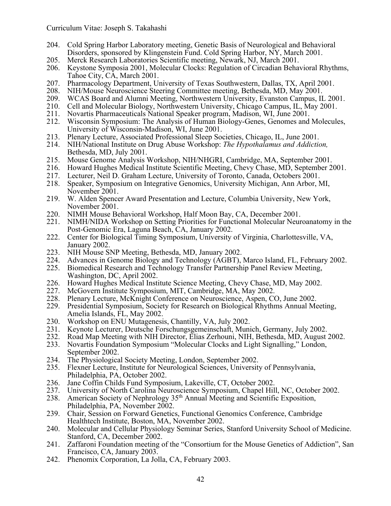- 204. Cold Spring Harbor Laboratory meeting, Genetic Basis of Neurological and Behavioral Disorders, sponsored by Klingenstein Fund. Cold Spring Harbor, NY, March 2001.
- 205. Merck Research Laboratories Scientific meeting, Newark, NJ, March 2001.
- 206. Keystone Symposia 2001, Molecular Clocks: Regulation of Circadian Behavioral Rhythms, Tahoe City, CA, March 2001.
- 207. Pharmacology Department, University of Texas Southwestern, Dallas, TX, April 2001.
- 208. NIH/Mouse Neuroscience Steering Committee meeting, Bethesda, MD, May 2001.
- 209. WCAS Board and Alumni Meeting, Northwestern University, Evanston Campus, IL 2001.
- 210. Cell and Molecular Biology, Northwestern University, Chicago Campus, IL, May 2001.
- 211. Novartis Pharmaceuticals National Speaker program, Madison, WI, June 2001.
- 212. Wisconsin Symposium: The Analysis of Human Biology-Genes, Genomes and Molecules, University of Wisconsin-Madison, WI, June 2001.
- 213. Plenary Lecture, Associated Professional Sleep Societies, Chicago, IL, June 2001.
- 214. NIH/National Institute on Drug Abuse Workshop: *The Hypothalamus and Addiction,*  Bethesda, MD, July 2001.
- 215. Mouse Genome Analysis Workshop, NIH/NHGRI, Cambridge, MA, September 2001.
- 216. Howard Hughes Medical Institute Scientific Meeting, Chevy Chase, MD, September 2001.
- 217. Lecturer, Neil D. Graham Lecture, University of Toronto, Canada, Octobers 2001.
- 218. Speaker, Symposium on Integrative Genomics, University Michigan, Ann Arbor, MI, November 2001.
- 219. W. Alden Spencer Award Presentation and Lecture, Columbia University, New York, November 2001.
- 220. NIMH Mouse Behavioral Workshop, Half Moon Bay, CA, December 2001.
- 221. NIMH/NIDA Workshop on Setting Priorities for Functional Molecular Neuroanatomy in the Post-Genomic Era, Laguna Beach, CA, January 2002.
- 222. Center for Biological Timing Symposium, University of Virginia, Charlottesville, VA,
- 
- January 2002.<br>
223. NIH Mouse SNP Meeting, Bethesda, MD, January 2002.<br>
224. Advances in Genome Biology and Technology (AGBT), Marco Island, FL, February 2002.<br>
225. Biomedical Research and Technology Transfer Partnership
- Washington, DC, April 2002.
- 226. Howard Hughes Medical Institute Science Meeting, Chevy Chase, MD, May 2002.
- 
- 
- 227. McGovern Institute Symposium, MIT, Cambridge, MA, May 2002.<br>228. Plenary Lecture, McKnight Conference on Neuroscience, Aspen, CO, June 2002.<br>229. Presidential Symposium, Society for Research on Biological Rhythms Annu
- 
- 
- 230. Workshop on ENU Mutagenesis, Chantilly, VA, July 2002.<br>231. Keynote Lecturer, Deutsche Forschungsgemeinschaft, Munich, Germany, July 2002.<br>232. Road Map Meeting with NIH Director, Elias Zerhouni, NIH, Bethesda, MD, Au
- 
- 
- September 2002.<br>
234. The Physiological Society Meeting, London, September 2002.<br>
235. Flexner Lecture, Institute for Neurological Sciences, University of Pennsylvania,<br>
Philadelphia, PA, October 2002.
- 236. Jane Coffin Childs Fund Symposium, Lakeville, CT, October 2002.<br>237. University of North Carolina Neuroscience Symposium, Chapel Hil
- 237. University of North Carolina Neuroscience Symposium, Chapel Hill, NC, October 2002.
- 238. American Society of Nephrology 35th Annual Meeting and Scientific Exposition, Philadelphia, PA, November 2002.
- 239. Chair, Session on Forward Genetics, Functional Genomics Conference, Cambridge Healthtech Institute, Boston, MA, November 2002.
- 240. Molecular and Cellular Physiology Seminar Series, Stanford University School of Medicine. Stanford, CA, December 2002.
- 241. Zaffaroni Foundation meeting of the "Consortium for the Mouse Genetics of Addiction", San Francisco, CA, January 2003.
- 242. Phenomix Corporation, La Jolla, CA, February 2003.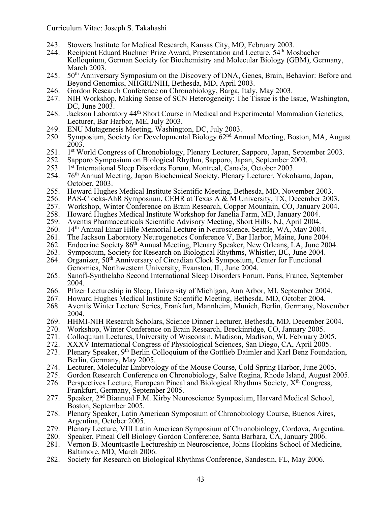- 243. Stowers Institute for Medical Research, Kansas City, MO, February 2003.
- 244. Recipient Eduard Buchner Prize Award, Presentation and Lecture, 54<sup>th</sup> Mosbacher Kolloquium, German Society for Biochemistry and Molecular Biology (GBM), Germany, March 2003.
- 245. 50<sup>th</sup> Anniversary Symposium on the Discovery of DNA, Genes, Brain, Behavior: Before and Beyond Genomics, NHGRI/NIH, Bethesda, MD, April 2003.
- 246. Gordon Research Conference on Chronobiology, Barga, Italy, May 2003.
- 247. NIH Workshop, Making Sense of SCN Heterogeneity: The Tissue is the Issue, Washington, DC, June 2003.
- 248. Jackson Laboratory 44<sup>th</sup> Short Course in Medical and Experimental Mammalian Genetics, Lecturer, Bar Harbor, ME, July 2003.
- 249. ENU Mutagenesis Meeting, Washington, DC, July 2003.
- 250. Symposium, Society for Developmental Biology 62nd Annual Meeting, Boston, MA, August 2003.
- 251. 1st World Congress of Chronobiology, Plenary Lecturer, Sapporo, Japan, September 2003.
- 252. Sapporo Symposium on Biological Rhythm, Sapporo, Japan, September 2003.
- 253. 1st International Sleep Disorders Forum, Montreal, Canada, October 2003. 254.  $76<sup>th</sup>$  Annual Meeting. Japan Biochemical Society. Plenary Lecturer. Yokoh
- 254. 76th Annual Meeting, Japan Biochemical Society, Plenary Lecturer, Yokohama, Japan, October, 2003. 255. Howard Hughes Medical Institute Scientific Meeting, Bethesda, MD, November 2003.
- 
- 
- 256. PAS-Clocks-AhR Symposium, CEHR at Texas A & M University, TX, December 2003.<br>257. Workshop, Winter Conference on Brain Research, Copper Mountain, CO, January 2004.<br>258. Howard Hughes Medical Institute Workshop for Jan
- 
- 
- 259. Aventis Pharmaceuticals Scientific Advisory Meeting, Short Hills, NJ, April 2004.<br>260. 14<sup>th</sup> Annual Einar Hille Memorial Lecture in Neuroscience, Seattle, WA, May 2004
- 14<sup>th</sup> Annual Einar Hille Memorial Lecture in Neuroscience, Seattle, WA, May 2004.<br>The Jackson Laboratory Neurogenetics Conference V, Bar Harbor, Maine, June 2004.
- 261. The Jackson Laboratory Neurogenetics Conference V, Bar Harbor, Maine, June 2004.<br>262. Endocrine Society 86<sup>th</sup> Annual Meeting, Plenary Speaker, New Orleans, LA, June 2004.<br>263. Symposium, Society for Research on Biolo
- 
- 
- Genomics, Northwestern University, Evanston, IL, June 2004. 265. Sanofi-Synthelabo Second International Sleep Disorders Forum, Paris, France, September
- 2004.<br>
266. Pfizer Lectureship in Sleep, University of Michigan, Ann Arbor, MI, September 2004.<br>
267. Howard Hughes Medical Institute Scientific Meeting, Bethesda, MD, October 2004.<br>
268. Aventis Winter Lecture Series, Fra
- 
- 
- 
- 
- 
- 2004.<br>
269. HHMI-NIH Research Scholars, Science Dinner Lecturer, Bethesda, MD, December 2004.<br>
270. Workshop, Winter Conference on Brain Research, Breckinridge, CO, January 2005.<br>
271. Colloquium Lectures, University of Wi
- 273. Plenary Speaker, 9th Berlin Colloquium of the Gottlieb Daimler and Karl Benz Foundation,
- 
- Berlin, Germany, May 2005.<br>
274. Lecturer, Molecular Embryology of the Mouse Course, Cold Spring Harbor, June 2005.<br>
275. Gordon Research Conference on Chronobiology, Salve Regina, Rhode Island, August 2005.<br>
276. Perspec
- Frankfurt, Germany, September 2005.
- 277. Speaker, 2nd Biannual F.M. Kirby Neuroscience Symposium, Harvard Medical School, Boston, September 2005.
- 278. Plenary Speaker, Latin American Symposium of Chronobiology Course, Buenos Aires, Argentina, October 2005.
- 279. Plenary Lecture, VIII Latin American Symposium of Chronobiology, Cordova, Argentina.
- 280. Speaker, Pineal Cell Biology Gordon Conference, Santa Barbara, CA, January 2006.
- 281. Vernon B. Mountcastle Lectureship in Neuroscience, Johns Hopkins School of Medicine,
- Baltimore, MD, March 2006.<br>282. Society for Research on Biological Rhythms Conference, Sandestin, FL, May 2006.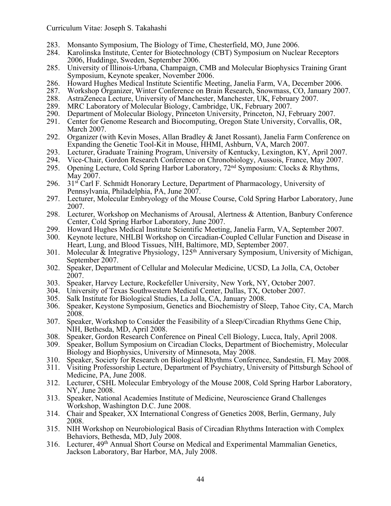- 283. Monsanto Symposium, The Biology of Time, Chesterfield, MO, June 2006.
- 284. Karolinska Institute, Center for Biotechnology (CBT) Symposium on Nuclear Receptors 2006, Huddinge, Sweden, September 2006.
- 285. University of Illinois-Urbana, Champaign, CMB and Molecular Biophysics Training Grant Symposium, Keynote speaker, November 2006.
- 286. Howard Hughes Medical Institute Scientific Meeting, Janelia Farm, VA, December 2006.
- 287. Workshop Organizer, Winter Conference on Brain Research, Snowmass, CO, January 2007.
- 288. AstraZeneca Lecture, University of Manchester, Manchester, UK, February 2007.
- 289. MRC Laboratory of Molecular Biology, Cambridge, UK, February 2007.
- 290. Department of Molecular Biology, Princeton University, Princeton, NJ, February 2007.
- 291. Center for Genome Research and Biocomputing, Oregon State University, Corvallis, OR, March 2007.
- 292. Organizer (with Kevin Moses, Allan Bradley & Janet Rossant), Janelia Farm Conference on Expanding the Genetic Tool-Kit in Mouse, HHMI, Ashburn, VA, March 2007.
- 293. Lecturer, Graduate Training Program, University of Kentucky, Lexington, KY, April 2007.
- 294. Vice-Chair, Gordon Research Conference on Chronobiology, Aussois, France, May 2007.
- 295. Opening Lecture, Cold Spring Harbor Laboratory, 72nd Symposium: Clocks & Rhythms, May 2007.
- 296. 31 $\mathrm{s}^2$  Carl F. Schmidt Honorary Lecture, Department of Pharmacology, University of Pennsylvania, Philadelphia, PA, June 2007.
- 297. Lecturer, Molecular Embryology of the Mouse Course, Cold Spring Harbor Laboratory, June 2007.
- 298. Lecturer, Workshop on Mechanisms of Arousal, Alertness & Attention, Banbury Conference Center, Cold Spring Harbor Laboratory, June 2007.
- 299. Howard Hughes Medical Institute Scientific Meeting, Janelia Farm, VA, September 2007.
- 300. Keynote lecture, NHLBI Workshop on Circadian-Coupled Cellular Function and Disease in Heart, Lung, and Blood Tissues, NIH, Baltimore, MD, September 2007.
- 301. Molecular & Integrative Physiology,  $125<sup>th</sup>$  Anniversary Symposium, University of Michigan, September 2007.
- 302. Speaker, Department of Cellular and Molecular Medicine, UCSD, La Jolla, CA, October 2007.
- 303. Speaker, Harvey Lecture, Rockefeller University, New York, NY, October 2007.
- 304. University of Texas Southwestern Medical Center, Dallas, TX, October 2007.
- 305. Salk Institute for Biological Studies, La Jolla, CA, January 2008.
- 306. Speaker, Keystone Symposium, Genetics and Biochemistry of Sleep, Tahoe City, CA, March 2008.
- 307. Speaker, Workshop to Consider the Feasibility of a Sleep/Circadian Rhythms Gene Chip, NIH, Bethesda, MD, April 2008.
- 308. Speaker, Gordon Research Conference on Pineal Cell Biology, Lucca, Italy, April 2008.
- Speaker, Bollum Symposium on Circadian Clocks, Department of Biochemistry, Molecular Biology and Biophysics, University of Minnesota, May 2008.
- 310. Speaker, Society for Research on Biological Rhythms Conference, Sandestin, FL May 2008.
- 311. Visiting Professorship Lecture, Department of Psychiatry, University of Pittsburgh School of Medicine, PA, June 2008.
- 312. Lecturer, CSHL Molecular Embryology of the Mouse 2008, Cold Spring Harbor Laboratory, NY, June 2008.
- 313. Speaker, National Academies Institute of Medicine, Neuroscience Grand Challenges Workshop, Washington D.C. June 2008.
- 314. Chair and Speaker, XX International Congress of Genetics 2008, Berlin, Germany, July 2008.
- 315. NIH Workshop on Neurobiological Basis of Circadian Rhythms Interaction with Complex Behaviors, Bethesda, MD, July 2008.
- 316. Lecturer, 49<sup>th</sup> Annual Short Course on Medical and Experimental Mammalian Genetics, Jackson Laboratory, Bar Harbor, MA, July 2008.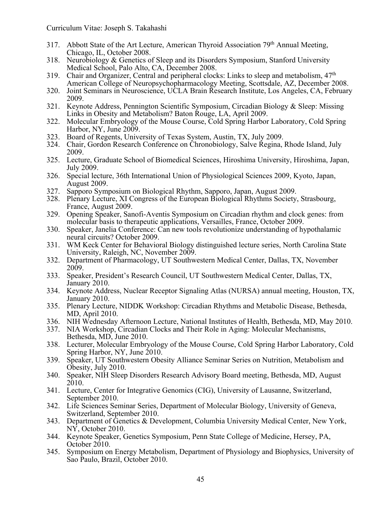- 317. Abbott State of the Art Lecture, American Thyroid Association 79th Annual Meeting, Chicago, IL, October 2008.
- 318. Neurobiology & Genetics of Sleep and its Disorders Symposium, Stanford University Medical School, Palo Alto, CA, December 2008.
- 319. Chair and Organizer, Central and peripheral clocks: Links to sleep and metabolism, 47<sup>th</sup> American College of Neuropsychopharmacology Meeting, Scottsdale, AZ, December 2008.
- 320. Joint Seminars in Neuroscience, UCLA Brain Research Institute, Los Angeles, CA, February 2009.
- 321. Keynote Address, Pennington Scientific Symposium, Circadian Biology & Sleep: Missing Links in Obesity and Metabolism? Baton Rouge, LA, April 2009.
- 322. Molecular Embryology of the Mouse Course, Cold Spring Harbor Laboratory, Cold Spring Harbor, NY, June 2009.
- 323. Board of Regents, University of Texas System, Austin, TX, July 2009.
- 324. Chair, Gordon Research Conference on Chronobiology, Salve Regina, Rhode Island, July 2009.
- 325. Lecture, Graduate School of Biomedical Sciences, Hiroshima University, Hiroshima, Japan, July 2009.
- 326. Special lecture, 36th International Union of Physiological Sciences 2009, Kyoto, Japan, August 2009.
- 327. Sapporo Symposium on Biological Rhythm, Sapporo, Japan, August 2009.
- 328. Plenary Lecture, XI Congress of the European Biological Rhythms Society, Strasbourg, France, August 2009.
- 329. Opening Speaker, Sanofi-Aventis Symposium on Circadian rhythm and clock genes: from molecular basis to therapeutic applications, Versailles, France, October 2009.
- 330. Speaker, Janelia Conference: Can new tools revolutionize understanding of hypothalamic neural circuits? October 2009.
- 331. WM Keck Center for Behavioral Biology distinguished lecture series, North Carolina State University, Raleigh, NC, November 2009.
- 332. Department of Pharmacology, UT Southwestern Medical Center, Dallas, TX, November 2009.
- 333. Speaker, President's Research Council, UT Southwestern Medical Center, Dallas, TX, January 2010.
- 334. Keynote Address, Nuclear Receptor Signaling Atlas (NURSA) annual meeting, Houston, TX, January 2010.
- 335. Plenary Lecture, NIDDK Workshop: Circadian Rhythms and Metabolic Disease, Bethesda, MD, April 2010.
- 336. NIH Wednesday Afternoon Lecture, National Institutes of Health, Bethesda, MD, May 2010.
- 337. NIA Workshop, Circadian Clocks and Their Role in Aging: Molecular Mechanisms, Bethesda, MD, June 2010.
- 338. Lecturer, Molecular Embryology of the Mouse Course, Cold Spring Harbor Laboratory, Cold Spring Harbor, NY, June 2010.
- 339. Speaker, UT Southwestern Obesity Alliance Seminar Series on Nutrition, Metabolism and Obesity, July 2010.
- 340. Speaker, NIH Sleep Disorders Research Advisory Board meeting, Bethesda, MD, August 2010.
- 341. Lecture, Center for Integrative Genomics (CIG), University of Lausanne, Switzerland, September 2010.
- 342. Life Sciences Seminar Series, Department of Molecular Biology, University of Geneva, Switzerland, September 2010.
- 343. Department of Genetics & Development, Columbia University Medical Center, New York, NY, October 2010.
- 344. Keynote Speaker, Genetics Symposium, Penn State College of Medicine, Hersey, PA, October 2010.
- 345. Symposium on Energy Metabolism, Department of Physiology and Biophysics, University of Sao Paulo, Brazil, October 2010.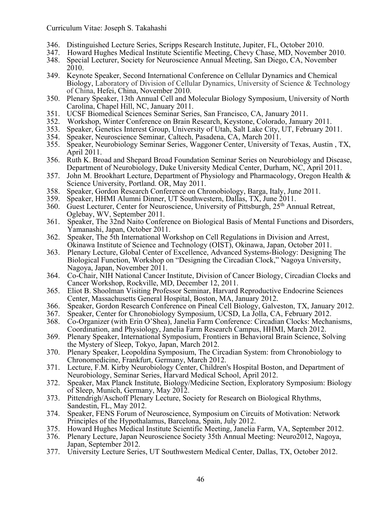- 346. Distinguished Lecture Series, Scripps Research Institute, Jupiter, FL, October 2010.
- 347. Howard Hughes Medical Institute Scientific Meeting, Chevy Chase, MD, November 2010.
- 348. Special Lecturer, Society for Neuroscience Annual Meeting, San Diego, CA, November 2010.
- 349. Keynote Speaker, Second International Conference on Cellular Dynamics and Chemical Biology, Laboratory of Division of Cellular Dynamics, University of Science & Technology of China, Hefei, China, November 2010.
- 350. Plenary Speaker, 13th Annual Cell and Molecular Biology Symposium, University of North Carolina, Chapel Hill, NC, January 2011.
- 351. UCSF Biomedical Sciences Seminar Series, San Francisco, CA, January 2011.
- 352. Workshop, Winter Conference on Brain Research, Keystone, Colorado, January 2011.
- 353. Speaker, Genetics Interest Group, University of Utah, Salt Lake City, UT, February 2011.
- 354. Speaker, Neuroscience Seminar, Caltech, Pasadena, CA, March 2011.
- 355. Speaker, Neurobiology Seminar Series, Waggoner Center, University of Texas, Austin , TX, April 2011.
- 356. Ruth K. Broad and Shepard Broad Foundation Seminar Series on Neurobiology and Disease, Department of Neurobiology, Duke University Medical Center, Durham, NC, April 2011.
- 357. John M. Brookhart Lecture, Department of Physiology and Pharmacology, Oregon Health & Science University, Portland. OR, May 2011.
- 358. Speaker, Gordon Research Conference on Chronobiology, Barga, Italy, June 2011.
- 359. Speaker, HHMI Alumni Dinner, UT Southwestern, Dallas, TX, June 2011.
- 360. Guest Lecturer, Center for Neuroscience, University of Pittsburgh, 25th Annual Retreat, Oglebay, WV, September 2011.
- 361. Speaker, The 32nd Naito Conference on Biological Basis of Mental Functions and Disorders, Yamanashi, Japan, October 2011.<br>Speaker, The 5th International Workshop on Cell Regulations in Division and Arrest,
- 362. Speaker, The 5th International Workshop on Cell Regulations in Division and Arrest, Okinawa Institute of Science and Technology (OIST), Okinawa, Japan, October 2011.
- 363. Plenary Lecture, Global Center of Excellence, Advanced Systems-Biology: Designing The Biological Function, Workshop on "Designing the Circadian Clock," Nagoya University, Nagoya, Japan, November 2011.
- 364. Co-Chair, NIH National Cancer Institute, Division of Cancer Biology, Circadian Clocks and Cancer Workshop, Rockville, MD, December 12, 2011. 365. Eliot B. Shoolman Visiting Professor Seminar, Harvard Reproductive Endocrine Sciences
- Center, Massachusetts General Hospital, Boston, MA, January 2012.
- 366. Speaker, Gordon Research Conference on Pineal Cell Biology, Galveston, TX, January 2012.
- 367. Speaker, Center for Chronobiology Symposium, UCSD, La Jolla, CA, February 2012.
- 368. Co-Organizer (with Erin O'Shea), Janelia Farm Conference: Circadian Clocks: Mechanisms, Coordination, and Physiology, Janelia Farm Research Campus, HHMI, March 2012.
- 369. Plenary Speaker, International Symposium, Frontiers in Behavioral Brain Science, Solving the Mystery of Sleep, Tokyo, Japan, March 2012.
- 370. Plenary Speaker, Leopoldina Symposium, The Circadian System: from Chronobiology to Chronomedicine, Frankfurt, Germany, March 2012.
- 371. Lecture, F.M. Kirby Neurobiology Center, Children's Hospital Boston, and Department of Neurobiology, Seminar Series, Harvard Medical School, April 2012.
- 372. Speaker, Max Planck Institute, Biology/Medicine Section, Exploratory Symposium: Biology of Sleep, Munich, Germany, May 2012.
- 373. Pittendrigh/Aschoff Plenary Lecture, Society for Research on Biological Rhythms, Sandestin, FL, May 2012.
- 374. Speaker, FENS Forum of Neuroscience, Symposium on Circuits of Motivation: Network Principles of the Hypothalamus, Barcelona, Spain, July 2012.
- 375. Howard Hughes Medical Institute Scientific Meeting, Janelia Farm, VA, September 2012.
- 376. Plenary Lecture, Japan Neuroscience Society 35th Annual Meeting: Neuro2012, Nagoya, Japan, September 2012.
- 377. University Lecture Series, UT Southwestern Medical Center, Dallas, TX, October 2012.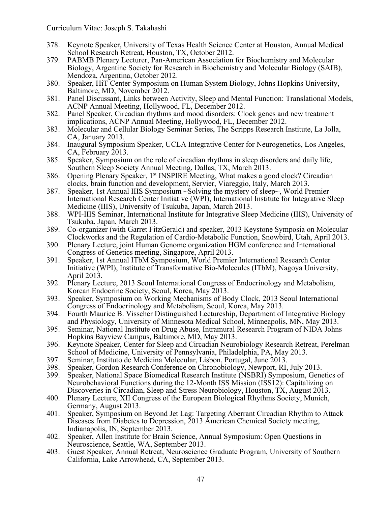- 378. Keynote Speaker, University of Texas Health Science Center at Houston, Annual Medical School Research Retreat, Houston, TX, October 2012.
- 379. PABMB Plenary Lecturer, Pan-American Association for Biochemistry and Molecular Biology, Argentine Society for Research in Biochemistry and Molecular Biology (SAIB), Mendoza, Argentina, October 2012.
- 380. Speaker, HiT Center Symposium on Human System Biology, Johns Hopkins University, Baltimore, MD, November 2012.
- 381. Panel Discussant, Links between Activity, Sleep and Mental Function: Translational Models, ACNP Annual Meeting, Hollywood, FL, December 2012.
- 382. Panel Speaker, Circadian rhythms and mood disorders: Clock genes and new treatment implications, ACNP Annual Meeting, Hollywood, FL, December 2012.
- 383. Molecular and Cellular Biology Seminar Series, The Scripps Research Institute, La Jolla, CA, January 2013.
- 384. Inaugural Symposium Speaker, UCLA Integrative Center for Neurogenetics, Los Angeles, CA, February 2013.
- 385. Speaker, Symposium on the role of circadian rhythms in sleep disorders and daily life, Southern Sleep Society Annual Meeting, Dallas, TX, March 2013.
- 386. Opening Plenary Speaker, 1<sup>st</sup> INSPIRE Meeting, What makes a good clock? Circadian clocks, brain function and development, Servier, Viareggio, Italy, March 2013.
- 387. Speaker, 1st Annual IIIS Symposium ~Solving the mystery of sleep~, World Premier International Research Center Initiative (WPI), International Institute for Integrative Sleep Medicine (IIIS), University of Tsukuba, Japan, March 2013.
- 388. WPI-IIIS Seminar, International Institute for Integrative Sleep Medicine (IIIS), University of Tsukuba, Japan, March 2013.
- 389. Co-organizer (with Garret FitzGerald) and speaker, 2013 Keystone Symposia on Molecular Clockworks and the Regulation of Cardio-Metabolic Function, Snowbird, Utah, April 2013.
- 390. Plenary Lecture, joint Human Genome organization HGM conference and International Congress of Genetics meeting, Singapore, April 2013.
- 391. Speaker, 1st Annual ITbM Symposium, World Premier International Research Center Initiative (WPI), Institute of Transformative Bio-Molecules (ITbM), Nagoya University, April 2013.
- 392. Plenary Lecture, 2013 Seoul International Congress of Endocrinology and Metabolism, Korean Endocrine Society, Seoul, Korea, May 2013.
- 393. Speaker, Symposium on Working Mechanisms of Body Clock, 2013 Seoul International Congress of Endocrinology and Metabolism, Seoul, Korea, May 2013.
- 394. Fourth Maurice B. Visscher Distinguished Lectureship, Department of Integrative Biology and Physiology, University of Minnesota Medical School, Minneapolis, MN, May 2013.
- 395. Seminar, National Institute on Drug Abuse, Intramural Research Program of NIDA Johns Hopkins Bayview Campus, Baltimore, MD, May 2013.
- 396. Keynote Speaker, Center for Sleep and Circadian Neurobiology Research Retreat, Perelman School of Medicine, University of Pennsylvania, Philadelphia, PA, May 2013.
- 397. Seminar, Instituto de Medicina Molecular, Lisbon, Portugal, June 2013.
- 398. Speaker, Gordon Research Conference on Chronobiology, Newport, RI, July 2013.<br>399. Speaker, National Space Biomedical Research Institute (NSBRI) Symposium, Gene
- 399. Speaker, National Space Biomedical Research Institute (NSBRI) Symposium, Genetics of Neurobehavioral Functions during the 12-Month ISS Mission (ISS12): Capitalizing on Discoveries in Circadian, Sleep and Stress Neurobiology, Houston, TX, August 2013.
- 400. Plenary Lecture, XII Congress of the European Biological Rhythms Society, Munich, Germany, August 2013.
- 401. Speaker, Symposium on Beyond Jet Lag: Targeting Aberrant Circadian Rhythm to Attack Diseases from Diabetes to Depression, 2013 American Chemical Society meeting, Indianapolis, IN, September 2013.
- 402. Speaker, Allen Institute for Brain Science, Annual Symposium: Open Questions in Neuroscience, Seattle, WA, September 2013.
- 403. Guest Speaker, Annual Retreat, Neuroscience Graduate Program, University of Southern California, Lake Arrowhead, CA, September 2013.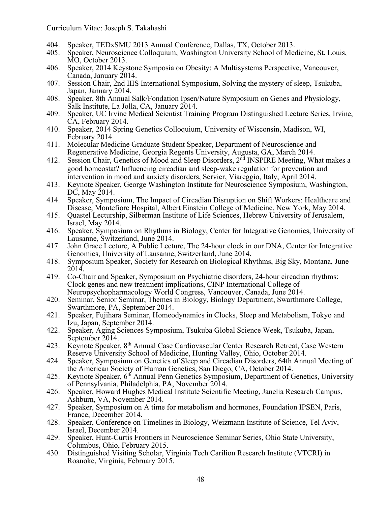- 404. Speaker, TEDxSMU 2013 Annual Conference, Dallas, TX, October 2013.
- 405. Speaker, Neuroscience Colloquium, Washington University School of Medicine, St. Louis, MO, October 2013.
- 406. Speaker, 2014 Keystone Symposia on Obesity: A Multisystems Perspective, Vancouver, Canada, January 2014.
- 407. Session Chair, 2nd IIIS International Symposium, Solving the mystery of sleep, Tsukuba, Japan, January 2014.
- 408. Speaker, 8th Annual Salk/Fondation Ipsen/Nature Symposium on Genes and Physiology, Salk Institute, La Jolla, CA, January 2014.
- 409. Speaker, UC Irvine Medical Scientist Training Program Distinguished Lecture Series, Irvine, CA, February 2014.
- 410. Speaker, 2014 Spring Genetics Colloquium, University of Wisconsin, Madison, WI, February 2014.
- 411. Molecular Medicine Graduate Student Speaker, Department of Neuroscience and Regenerative Medicine, Georgia Regents University, Augusta, GA, March 2014.
- 412. Session Chair, Genetics of Mood and Sleep Disorders, 2<sup>nd</sup> INSPIRE Meeting, What makes a good homeostat? Influencing circadian and sleep-wake regulation for prevention and intervention in mood and anxiety disorders, Servier, Viareggio, Italy, April 2014.
- 413. Keynote Speaker, George Washington Institute for Neuroscience Symposium, Washington, DC, May 2014.
- 414. Speaker, Symposium, The Impact of Circadian Disruption on Shift Workers: Healthcare and Disease, Montefiore Hospital, Albert Einstein College of Medicine, New York, May 2014.
- 415. Quastel Lecturship, Silberman Institute of Life Sciences, Hebrew University of Jerusalem, Israel, May 2014.
- 416. Speaker, Symposium on Rhythms in Biology, Center for Integrative Genomics, University of Lausanne, Switzerland, June 2014.
- 417. John Grace Lecture, A Public Lecture, The 24-hour clock in our DNA, Center for Integrative Genomics, University of Lausanne, Switzerland, June 2014.
- 418. Symposium Speaker, Society for Research on Biological Rhythms, Big Sky, Montana, June 2014.
- 419. Co-Chair and Speaker, Symposium on Psychiatric disorders, 24-hour circadian rhythms: Clock genes and new treatment implications, CINP International College of Neuropsychopharmacology World Congress, Vancouver, Canada, June 2014.
- 420. Seminar, Senior Seminar, Themes in Biology, Biology Department, Swarthmore College, Swarthmore, PA, September 2014.
- 421. Speaker, Fujihara Seminar, Homeodynamics in Clocks, Sleep and Metabolism, Tokyo and Izu, Japan, September 2014.
- 422. Speaker, Aging Sciences Symposium, Tsukuba Global Science Week, Tsukuba, Japan, September 2014.
- 423. Keynote Speaker, 8th Annual Case Cardiovascular Center Research Retreat, Case Western Reserve University School of Medicine, Hunting Valley, Ohio, October 2014.
- 424. Speaker, Symposium on Genetics of Sleep and Circadian Disorders, 64th Annual Meeting of the American Society of Human Genetics, San Diego, CA, October 2014.
- 425. Keynote Speaker, 6<sup>th</sup> Annual Penn Genetics Symposium, Department of Genetics, University of Pennsylvania, Philadelphia, PA, November 2014.
- 426. Speaker, Howard Hughes Medical Institute Scientific Meeting, Janelia Research Campus, Ashburn, VA, November 2014.
- 427. Speaker, Symposium on A time for metabolism and hormones, Foundation IPSEN, Paris, France, December 2014.
- 428. Speaker, Conference on Timelines in Biology, Weizmann Institute of Science, Tel Aviv, Israel, December 2014.
- 429. Speaker, Hunt-Curtis Frontiers in Neuroscience Seminar Series, Ohio State University, Columbus, Ohio, February 2015.
- 430. Distinguished Visiting Scholar, Virginia Tech Carilion Research Institute (VTCRI) in Roanoke, Virginia, February 2015.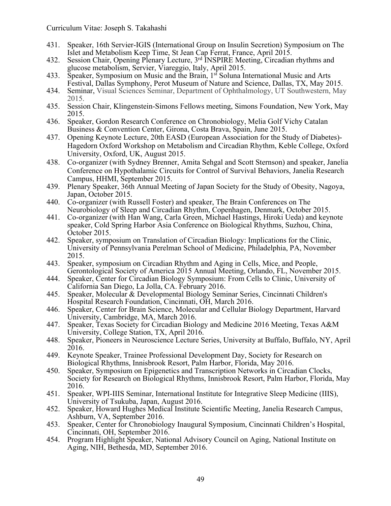- 431. Speaker, 16th Servier-IGIS (International Group on Insulin Secretion) Symposium on The Islet and Metabolism Keep Time, St Jean Cap Ferrat, France, April 2015.
- 432. Session Chair, Opening Plenary Lecture, 3<sup>rd</sup> INSPIRE Meeting, Circadian rhythms and glucose metabolism, Servier, Viareggio, Italy, April 2015.
- 433. Speaker, Symposium on Music and the Brain, 1<sup>st</sup> Soluna International Music and Arts Festival, Dallas Symphony, Perot Museum of Nature and Science, Dallas, TX, May 2015.
- 434. Seminar, Visual Sciences Seminar, Department of Ophthalmology, UT Southwestern, May 2015.
- 435. Session Chair, Klingenstein-Simons Fellows meeting, Simons Foundation, New York, May 2015.
- 436. Speaker, Gordon Research Conference on Chronobiology, Melia Golf Vichy Catalan Business & Convention Center, Girona, Costa Brava, Spain, June 2015.
- 437. Opening Keynote Lecture, 20th EASD (European Association for the Study of Diabetes)- Hagedorn Oxford Workshop on Metabolism and Circadian Rhythm, Keble College, Oxford University, Oxford, UK, August 2015.
- 438. Co-organizer (with Sydney Brenner, Amita Sehgal and Scott Sternson) and speaker, Janelia Conference on Hypothalamic Circuits for Control of Survival Behaviors, Janelia Research Campus, HHMI, September 2015.
- 439. Plenary Speaker, 36th Annual Meeting of Japan Society for the Study of Obesity, Nagoya, Japan, October 2015.
- 440. Co-organizer (with Russell Foster) and speaker, The Brain Conferences on The Neurobiology of Sleep and Circadian Rhythm, Copenhagen, Denmark, October 2015.
- 441. Co-organizer (with Han Wang, Carla Green, Michael Hastings, Hiroki Ueda) and keynote speaker, Cold Spring Harbor Asia Conference on Biological Rhythms, Suzhou, China, October 2015.
- 442. Speaker, symposium on Translation of Circadian Biology: Implications for the Clinic, University of Pennsylvania Perelman School of Medicine, Philadelphia, PA, November 2015.
- 443. Speaker, symposium on Circadian Rhythm and Aging in Cells, Mice, and People,<br>Gerontological Society of America 2015 Annual Meeting, Orlando, FL, November 2015.<br>444. Speaker, Center for Circadian Biology Symposium: Fro
- California San Diego, La Jolla, CA. February 2016.
- 445. Speaker, Molecular & Developmental Biology Seminar Series, Cincinnati Children's Hospital Research Foundation, Cincinnati, OH, March 2016.
- 446. Speaker, Center for Brain Science, Molecular and Cellular Biology Department, Harvard University, Cambridge, MA, March 2016.
- 447. Speaker, Texas Society for Circadian Biology and Medicine 2016 Meeting, Texas A&M University, College Station, TX, April 2016.
- 448. Speaker, Pioneers in Neuroscience Lecture Series, University at Buffalo, Buffalo, NY, April 2016.
- 449. Keynote Speaker, Trainee Professional Development Day, Society for Research on Biological Rhythms, Innisbrook Resort, Palm Harbor, Florida, May 2016.
- 450. Speaker, Symposium on Epigenetics and Transcription Networks in Circadian Clocks, Society for Research on Biological Rhythms, Innisbrook Resort, Palm Harbor, Florida, May 2016.
- 451. Speaker, WPI-IIIS Seminar, International Institute for Integrative Sleep Medicine (IIIS), University of Tsukuba, Japan, August 2016.
- 452. Speaker, Howard Hughes Medical Institute Scientific Meeting, Janelia Research Campus, Ashburn, VA, September 2016.
- 453. Speaker, Center for Chronobiology Inaugural Symposium, Cincinnati Children's Hospital, Cincinnati, OH, September 2016.
- 454. Program Highlight Speaker, National Advisory Council on Aging, National Institute on Aging, NIH, Bethesda, MD, September 2016.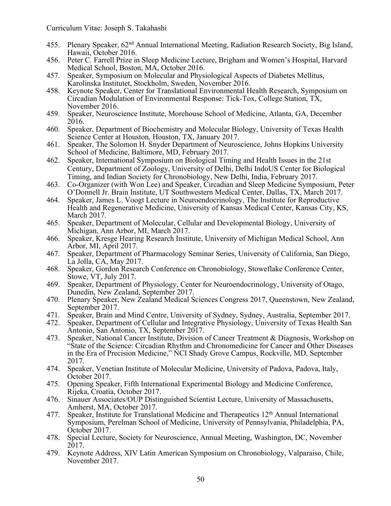- 455. Plenary Speaker, 62nd Annual International Meeting, Radiation Research Society, Big Island, Hawaii, October 2016.
- 456. Peter C. Farrell Prize in Sleep Medicine Lecture, Brigham and Women's Hospital, Harvard Medical School, Boston, MA, October 2016.
- 457. Speaker, Symposium on Molecular and Physiological Aspects of Diabetes Mellitus, Karolinska Institutet, Stockholm, Sweden, November 2016.
- 458. Keynote Speaker, Center for Translational Environmental Health Research, Symposium on Circadian Modulation of Environmental Response: Tick-Tox, College Station, TX, November 2016.
- 459. Speaker, Neuroscience Institute, Morehouse School of Medicine, Atlanta, GA, December 2016.
- 460. Speaker, Department of Biochemistry and Molecular Biology, University of Texas Health Science Center at Houston, Houston, TX, January 2017.
- 461. Speaker, The Solomon H. Snyder Department of Neuroscience, Johns Hopkins University School of Medicine, Baltimore, MD, February 2017.
- 462. Speaker, International Symposium on Biological Timing and Health Issues in the 21st Century, Department of Zoology, University of Delhi, Delhi IndoUS Center for Biological Timing, and Indian Society for Chronobiology, New Delhi, India, February 2017.
- 463. Co-Organizer (with Won Lee) and Speaker, Circadian and Sleep Medicine Symposium, Peter O'Donnell Jr. Brain Institute, UT Southwestern Medical Center, Dallas, TX, March 2017.
- 464. Speaker, James L. Voogt Lecture in Neuroendocrinology, The Institute for Reproductive Health and Regenerative Medicine, University of Kansas Medical Center, Kansas City, KS, March 2017.
- 465. Speaker, Department of Molecular, Cellular and Developmental Biology, University of Michigan, Ann Arbor, MI, March 2017.
- 466. Speaker, Kresge Hearing Research Institute, University of Michigan Medical School, Ann Arbor, MI, April 2017.
- 467. Speaker, Department of Pharmacology Seminar Series, University of California, San Diego, La Jolla, CA, May 2017.
- 468. Speaker, Gordon Research Conference on Chronobiology, Stoweflake Conference Center, Stowe, VT, July 2017.
- 469. Speaker, Department of Physiology, Center for Neuroendocrinology, University of Otago, Dunedin, New Zealand, September 2017.
- 470. Plenary Speaker, New Zealand Medical Sciences Congress 2017, Queenstown, New Zealand, September 2017.
- 471. Speaker, Brain and Mind Centre, University of Sydney, Sydney, Australia, September 2017.
- 472. Speaker, Department of Cellular and Integrative Physiology, University of Texas Health San Antonio, San Antonio, TX, September 2017.
- 473. Speaker, National Cancer Institute, Division of Cancer Treatment & Diagnosis, Workshop on "State of the Science: Circadian Rhythm and Chronomedicine for Cancer and Other Diseases in the Era of Precision Medicine," NCI Shady Grove Campus, Rockville, MD, September 2017.
- 474. Speaker, Venetian Institute of Molecular Medicine, University of Padova, Padova, Italy, October 2017.
- 475. Opening Speaker, Fifth International Experimental Biology and Medicine Conference, Rijeka, Croatia, October 2017.
- 476. Sinauer Associates/OUP Distinguished Scientist Lecture, University of Massachusetts, Amherst, MA, October 2017.
- 477. Speaker, Institute for Translational Medicine and Therapeutics 12<sup>th</sup> Annual International Symposium, Perelman School of Medicine, University of Pennsylvania, Philadelphia, PA, October 2017.
- 478. Special Lecture, Society for Neuroscience, Annual Meeting, Washington, DC, November 2017.
- 479. Keynote Address, XIV Latin American Symposium on Chronobiology, Valparaiso, Chile, November 2017.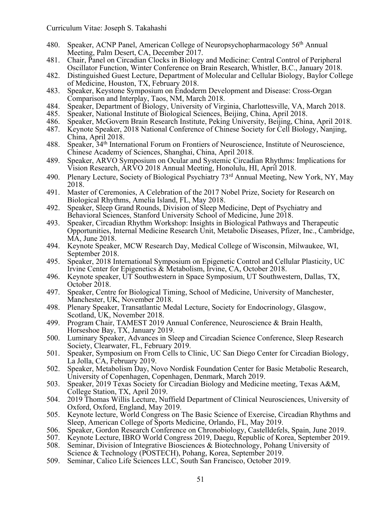- 480. Speaker, ACNP Panel, American College of Neuropsychopharmacology 56th Annual Meeting, Palm Desert, CA, December 2017.
- 481. Chair, Panel on Circadian Clocks in Biology and Medicine: Central Control of Peripheral Oscillator Function, Winter Conference on Brain Research, Whistler, B.C., January 2018.
- 482. Distinguished Guest Lecture, Department of Molecular and Cellular Biology, Baylor College of Medicine, Houston, TX, February 2018.
- 483. Speaker, Keystone Symposium on Endoderm Development and Disease: Cross-Organ Comparison and Interplay, Taos, NM, March 2018.
- 484. Speaker, Department of Biology, University of Virginia, Charlottesville, VA, March 2018.
- 485. Speaker, National Institute of Biological Sciences, Beijing, China, April 2018.
- 486. Speaker, McGovern Brain Research Institute, Peking University, Beijing, China, April 2018.
- 487. Keynote Speaker, 2018 National Conference of Chinese Society for Cell Biology, Nanjing, China, April 2018.
- 488. Speaker, 34th International Forum on Frontiers of Neuroscience, Institute of Neuroscience, Chinese Academy of Sciences, Shanghai, China, April 2018.
- 489. Speaker, ARVO Symposium on Ocular and Systemic Circadian Rhythms: Implications for Vision Research, ARVO 2018 Annual Meeting, Honolulu, HI, April 2018.
- 490. Plenary Lecture, Society of Biological Psychiatry 73<sup>rd</sup> Annual Meeting, New York, NY, May 2018.
- 491. Master of Ceremonies, A Celebration of the 2017 Nobel Prize, Society for Research on Biological Rhythms, Amelia Island, FL, May 2018.
- 492. Speaker, Sleep Grand Rounds, Division of Sleep Medicine, Dept of Psychiatry and Behavioral Sciences, Stanford University School of Medicine, June 2018.
- 493. Speaker, Circadian Rhythm Workshop: Insights in Biological Pathways and Therapeutic Opportunities, Internal Medicine Research Unit, Metabolic Diseases, Pfizer, Inc., Cambridge, MA, June 2018.
- 494. Keynote Speaker, MCW Research Day, Medical College of Wisconsin, Milwaukee, WI, September 2018.
- 495. Speaker, 2018 International Symposium on Epigenetic Control and Cellular Plasticity, UC Irvine Center for Epigenetics & Metabolism, Irvine, CA, October 2018.
- 496. Keynote speaker, UT Southwestern in Space Symposium, UT Southwestern, Dallas, TX, October 2018.
- 497. Speaker, Centre for Biological Timing, School of Medicine, University of Manchester, Manchester, UK, November 2018.
- 498. Plenary Speaker, Transatlantic Medal Lecture, Society for Endocrinology, Glasgow, Scotland, UK, November 2018.
- 499. Program Chair, TAMEST 2019 Annual Conference, Neuroscience & Brain Health, Horseshoe Bay, TX, January 2019.
- 500. Luminary Speaker, Advances in Sleep and Circadian Science Conference, Sleep Research Society, Clearwater, FL, February 2019.
- 501. Speaker, Symposium on From Cells to Clinic, UC San Diego Center for Circadian Biology, La Jolla, CA, February 2019.
- 502. Speaker, Metabolism Day, Novo Nordisk Foundation Center for Basic Metabolic Research, University of Copenhagen, Copenhagen, Denmark, March 2019.
- 503. Speaker, 2019 Texas Society for Circadian Biology and Medicine meeting, Texas A&M, College Station, TX, April 2019.
- 504. 2019 Thomas Willis Lecture, Nuffield Department of Clinical Neurosciences, University of Oxford, Oxford, England, May 2019.
- 505. Keynote lecture, World Congress on The Basic Science of Exercise, Circadian Rhythms and Sleep, American College of Sports Medicine, Orlando, FL, May 2019.
- 506. Speaker, Gordon Research Conference on Chronobiology, Castelldefels, Spain, June 2019.
- 507. Keynote Lecture, IBRO World Congress 2019, Daegu, Republic of Korea, September 2019.
- 508. Seminar, Division of Integrative Biosciences & Biotechnology, Pohang University of Science & Technology (POSTECH), Pohang, Korea, September 2019.
- 509. Seminar, Calico Life Sciences LLC, South San Francisco, October 2019.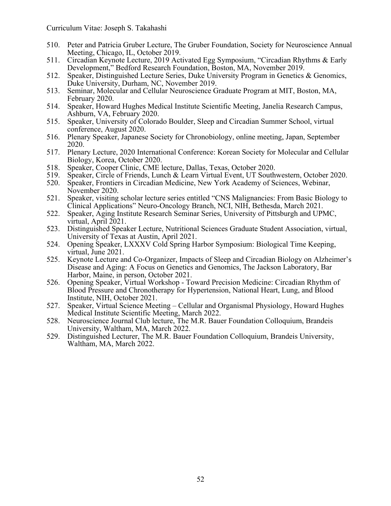- 510. Peter and Patricia Gruber Lecture, The Gruber Foundation, Society for Neuroscience Annual Meeting, Chicago, IL, October 2019.
- 511. Circadian Keynote Lecture, 2019 Activated Egg Symposium, "Circadian Rhythms & Early Development," Bedford Research Foundation, Boston, MA, November 2019.
- 512. Speaker, Distinguished Lecture Series, Duke University Program in Genetics & Genomics, Duke University, Durham, NC, November 2019.
- 513. Seminar, Molecular and Cellular Neuroscience Graduate Program at MIT, Boston, MA, February 2020.
- 514. Speaker, Howard Hughes Medical Institute Scientific Meeting, Janelia Research Campus, Ashburn, VA, February 2020.
- 515. Speaker, University of Colorado Boulder, Sleep and Circadian Summer School, virtual conference, August 2020.
- 516. Plenary Speaker, Japanese Society for Chronobiology, online meeting, Japan, September 2020.
- 517. Plenary Lecture, 2020 International Conference: Korean Society for Molecular and Cellular Biology, Korea, October 2020.
- 518. Speaker, Cooper Clinic, CME lecture, Dallas, Texas, October 2020.<br>519. Speaker, Circle of Friends, Lunch & Learn Virtual Event, UT South
- 519. Speaker, Circle of Friends, Lunch & Learn Virtual Event, UT Southwestern, October 2020.
- 520. Speaker, Frontiers in Circadian Medicine, New York Academy of Sciences, Webinar, November 2020.
- 521. Speaker, visiting scholar lecture series entitled "CNS Malignancies: From Basic Biology to Clinical Applications" Neuro-Oncology Branch, NCI, NIH, Bethesda, March 2021.
- 522. Speaker, Aging Institute Research Seminar Series, University of Pittsburgh and UPMC, virtual, April 2021.
- 523. Distinguished Speaker Lecture, Nutritional Sciences Graduate Student Association, virtual, University of Texas at Austin, April 2021.
- 524. Opening Speaker, LXXXV Cold Spring Harbor Symposium: Biological Time Keeping, virtual, June 2021.
- 525. Keynote Lecture and Co-Organizer, Impacts of Sleep and Circadian Biology on Alzheimer's Disease and Aging: A Focus on Genetics and Genomics, The Jackson Laboratory, Bar Harbor, Maine, in person, October 2021.
- 526. Opening Speaker, Virtual Workshop Toward Precision Medicine: Circadian Rhythm of Blood Pressure and Chronotherapy for Hypertension, National Heart, Lung, and Blood Institute, NIH, October 2021.
- 527. Speaker, Virtual Science Meeting Cellular and Organismal Physiology, Howard Hughes Medical Institute Scientific Meeting, March 2022. 528. Neuroscience Journal Club lecture, The M.R. Bauer Foundation Colloquium, Brandeis
- University, Waltham, MA, March 2022.
- 529. Distinguished Lecturer, The M.R. Bauer Foundation Colloquium, Brandeis University, Waltham, MA, March 2022.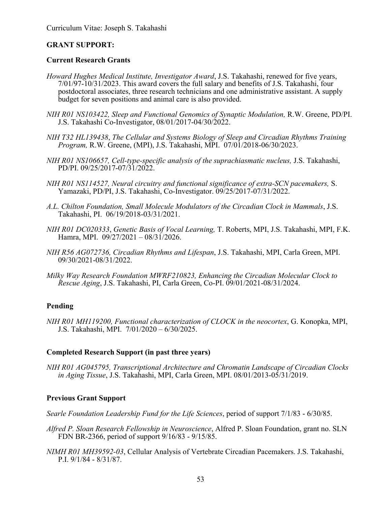## **GRANT SUPPORT:**

### **Current Research Grants**

- *Howard Hughes Medical Institute, Investigator Award*, J.S. Takahashi, renewed for five years, 7/01/97-10/31/2023. This award covers the full salary and benefits of J.S. Takahashi, four postdoctoral associates, three research technicians and one administrative assistant. A supply budget for seven positions and animal care is also provided.
- *NIH R01 NS103422, Sleep and Functional Genomics of Synaptic Modulation,* R.W. Greene, PD/PI. J.S. Takahashi Co-Investigator, 08/01/2017-04/30/2022.
- *NIH T32 HL139438*, *The Cellular and Systems Biology of Sleep and Circadian Rhythms Training Program, R.W. Greene, (MPI), J.S. Takahashi, MPI.* 07/01/2018-06/30/2023.
- *NIH R01 NS106657, Cell-type-specific analysis of the suprachiasmatic nucleus,* J.S. Takahashi, PD/PI. 09/25/2017-07/31/2022.
- *NIH R01 NS114527, Neural circuitry and functional significance of extra-SCN pacemakers,* S. Yamazaki, PD/PI, J.S. Takahashi, Co-Investigator. 09/25/2017-07/31/2022.
- *A.L. Chilton Foundation, Small Molecule Modulators of the Circadian Clock in Mammals*, J.S. Takahashi, PI. 06/19/2018-03/31/2021.
- *NIH R01 DC020333*, *Genetic Basis of Vocal Learning,* T. Roberts, MPI, J.S. Takahashi, MPI, F.K. Hamra, MPI. 09/27/2021 – 08/31/2026.
- *NIH R56 AG072736, Circadian Rhythms and Lifespan*, J.S. Takahashi, MPI, Carla Green, MPI. 09/30/2021-08/31/2022.
- *Milky Way Research Foundation MWRF210823, Enhancing the Circadian Molecular Clock to Rescue Aging*, J.S. Takahashi, PI, Carla Green, Co-PI. 09/01/2021-08/31/2024.

## **Pending**

*NIH R01 MH119200, Functional characterization of CLOCK in the neocortex*, G. Konopka, MPI, J.S. Takahashi, MPI. 7/01/2020 – 6/30/2025.

#### **Completed Research Support (in past three years)**

*NIH R01 AG045795, Transcriptional Architecture and Chromatin Landscape of Circadian Clocks in Aging Tissue*, J.S. Takahashi, MPI, Carla Green, MPI. 08/01/2013-05/31/2019.

## **Previous Grant Support**

*Searle Foundation Leadership Fund for the Life Sciences*, period of support 7/1/83 - 6/30/85.

- *Alfred P. Sloan Research Fellowship in Neuroscience*, Alfred P. Sloan Foundation, grant no. SLN FDN BR-2366, period of support 9/16/83 - 9/15/85.
- *NIMH R01 MH39592-03*, Cellular Analysis of Vertebrate Circadian Pacemakers. J.S. Takahashi, P.I. 9/1/84 - 8/31/87.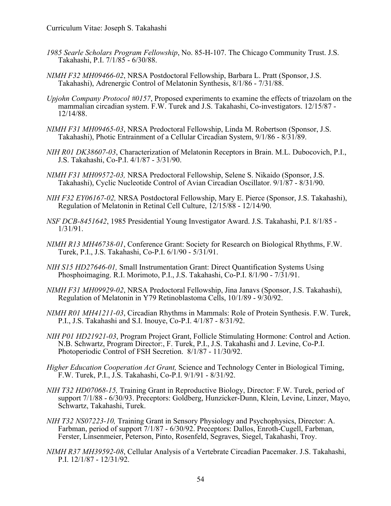- *1985 Searle Scholars Program Fellowship*, No. 85-H-107. The Chicago Community Trust. J.S. Takahashi, P.I. 7/1/85 - 6/30/88.
- *NIMH F32 MH09466-02*, NRSA Postdoctoral Fellowship, Barbara L. Pratt (Sponsor, J.S. Takahashi), Adrenergic Control of Melatonin Synthesis, 8/1/86 - 7/31/88.
- *Upjohn Company Protocol #0157*, Proposed experiments to examine the effects of triazolam on the mammalian circadian system. F.W. Turek and J.S. Takahashi, Co-investigators. 12/15/87 - 12/14/88.
- *NIMH F31 MH09465-03*, NRSA Predoctoral Fellowship, Linda M. Robertson (Sponsor, J.S. Takahashi), Photic Entrainment of a Cellular Circadian System, 9/1/86 - 8/31/89.
- *NIH R01 DK38607-03*, Characterization of Melatonin Receptors in Brain. M.L. Dubocovich, P.I., J.S. Takahashi, Co-P.I. 4/1/87 - 3/31/90.
- *NIMH F31 MH09572-03,* NRSA Predoctoral Fellowship, Selene S. Nikaido (Sponsor, J.S. Takahashi), Cyclic Nucleotide Control of Avian Circadian Oscillator. 9/1/87 - 8/31/90.
- *NIH F32 EY06167-02,* NRSA Postdoctoral Fellowship, Mary E. Pierce (Sponsor, J.S. Takahashi), Regulation of Melatonin in Retinal Cell Culture, 12/15/88 - 12/14/90.
- *NSF DCB-8451642*, 1985 Presidential Young Investigator Award. J.S. Takahashi, P.I. 8/1/85 1/31/91.
- *NIMH R13 MH46738-01*, Conference Grant: Society for Research on Biological Rhythms, F.W. Turek, P.I., J.S. Takahashi, Co-P.I. 6/1/90 - 5/31/91.
- *NIH S15 HD27646-01,* Small Instrumentation Grant: Direct Quantification Systems Using Phosphoimaging. R.I. Morimoto, P.I., J.S. Takahashi, Co-P.I. 8/1/90 - 7/31/91.
- *NIMH F31 MH09929-02*, NRSA Predoctoral Fellowship, Jina Janavs (Sponsor, J.S. Takahashi), Regulation of Melatonin in Y79 Retinoblastoma Cells, 10/1/89 - 9/30/92.
- *NIMH R01 MH41211-03*, Circadian Rhythms in Mammals: Role of Protein Synthesis. F.W. Turek, P.I., J.S. Takahashi and S.I. Inouye, Co-P.I. 4/1/87 8/31/92.
- *NIH P01 HD21921-03*, Program Project Grant, Follicle Stimulating Hormone: Control and Action. N.B. Schwartz, Program Director:, F. Turek, P.I., J.S. Takahashi and J. Levine, Co-P.I. Photoperiodic Control of FSH Secretion. 8/1/87 - 11/30/92.
- *Higher Education Cooperation Act Grant,* Science and Technology Center in Biological Timing, F.W. Turek, P.I., J.S. Takahashi, Co-P.I. 9/1/91 - 8/31/92.
- *NIH T32 HD07068-15,* Training Grant in Reproductive Biology, Director: F.W. Turek, period of support 7/1/88 - 6/30/93. Preceptors: Goldberg, Hunzicker-Dunn, Klein, Levine, Linzer, Mayo, Schwartz, Takahashi, Turek.
- *NIH T32 NS07223-10,* Training Grant in Sensory Physiology and Psychophysics, Director: A. Farbman, period of support 7/1/87 - 6/30/92. Preceptors: Dallos, Enroth-Cugell, Farbman, Ferster, Linsenmeier, Peterson, Pinto, Rosenfeld, Segraves, Siegel, Takahashi, Troy.
- *NIMH R37 MH39592-08*, Cellular Analysis of a Vertebrate Circadian Pacemaker. J.S. Takahashi, P.I. 12/1/87 - 12/31/92.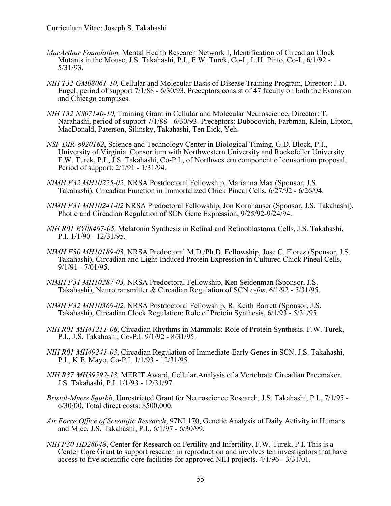- *MacArthur Foundation,* Mental Health Research Network I, Identification of Circadian Clock Mutants in the Mouse, J.S. Takahashi, P.I., F.W. Turek, Co-I., L.H. Pinto, Co-I., 6/1/92 - 5/31/93.
- *NIH T32 GM08061-10,* Cellular and Molecular Basis of Disease Training Program, Director: J.D. Engel, period of support 7/1/88 - 6/30/93. Preceptors consist of 47 faculty on both the Evanston and Chicago campuses.
- *NIH T32 NS07140-10,* Training Grant in Cellular and Molecular Neuroscience, Director: T. Narahashi, period of support 7/1/88 - 6/30/93. Preceptors: Dubocovich, Farbman, Klein, Lipton, MacDonald, Paterson, Silinsky, Takahashi, Ten Eick, Yeh.
- *NSF DIR-8920162*, Science and Technology Center in Biological Timing, G.D. Block, P.I., University of Virginia. Consortium with Northwestern University and Rockefeller University. F.W. Turek, P.I., J.S. Takahashi, Co-P.I., of Northwestern component of consortium proposal. Period of support: 2/1/91 - 1/31/94.
- *NIMH F32 MH10225-02,* NRSA Postdoctoral Fellowship, Marianna Max (Sponsor, J.S. Takahashi), Circadian Function in Immortalized Chick Pineal Cells, 6/27/92 - 6/26/94.
- *NIMH F31 MH10241-02* NRSA Predoctoral Fellowship, Jon Kornhauser (Sponsor, J.S. Takahashi), Photic and Circadian Regulation of SCN Gene Expression, 9/25/92-9/24/94.
- *NIH R01 EY08467-05,* Melatonin Synthesis in Retinal and Retinoblastoma Cells, J.S. Takahashi, P.I. 1/1/90 - 12/31/95.
- *NIMH F30 MH10189-03*, NRSA Predoctoral M.D./Ph.D. Fellowship, Jose C. Florez (Sponsor, J.S. Takahashi), Circadian and Light-Induced Protein Expression in Cultured Chick Pineal Cells, 9/1/91 - 7/01/95.
- *NIMH F31 MH10287-03,* NRSA Predoctoral Fellowship, Ken Seidenman (Sponsor, J.S. Takahashi), Neurotransmitter & Circadian Regulation of SCN *c-fos*, 6/1/92 - 5/31/95.
- *NIMH F32 MH10369-02,* NRSA Postdoctoral Fellowship, R. Keith Barrett (Sponsor, J.S. Takahashi), Circadian Clock Regulation: Role of Protein Synthesis, 6/1/93 - 5/31/95.
- *NIH R01 MH41211-06*, Circadian Rhythms in Mammals: Role of Protein Synthesis. F.W. Turek, P.I., J.S. Takahashi, Co-P.I. 9/1/92 - 8/31/95.
- *NIH R01 MH49241-03*, Circadian Regulation of Immediate-Early Genes in SCN. J.S. Takahashi, P.I., K.E. Mayo, Co-P.I. 1/1/93 - 12/31/95.
- *NIH R37 MH39592-13,* MERIT Award, Cellular Analysis of a Vertebrate Circadian Pacemaker. J.S. Takahashi, P.I. 1/1/93 - 12/31/97.
- *Bristol-Myers Squibb*, Unrestricted Grant for Neuroscience Research, J.S. Takahashi, P.I., 7/1/95 6/30/00. Total direct costs: \$500,000.
- *Air Force Office of Scientific Research*, 97NL170, Genetic Analysis of Daily Activity in Humans and Mice, J.S. Takahashi, P.I., 6/1/97 - 6/30/99.
- *NIH P30 HD28048*, Center for Research on Fertility and Infertility. F.W. Turek, P.I. This is a Center Core Grant to support research in reproduction and involves ten investigators that have access to five scientific core facilities for approved NIH projects. 4/1/96 - 3/31/01.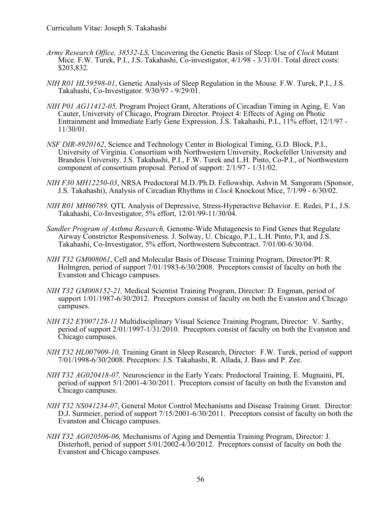- *Army Research Office, 38532-LS,* Uncovering the Genetic Basis of Sleep: Use of *Clock* Mutant Mice. F.W. Turek, P.I., J.S. Takahashi, Co-investigator, 4/1/98 - 3/31/01. Total direct costs: \$203,832.
- *NIH R01 HL59598-01*, Genetic Analysis of Sleep Regulation in the Mouse. F.W. Turek, P.I., J.S. Takahashi, Co-Investigator. 9/30/97 - 9/29/01.
- *NIH P01 AG11412-05,* Program Project Grant, Alterations of Circadian Timing in Aging, E. Van Cauter, University of Chicago, Program Director. Project 4: Effects of Aging on Photic Entrainment and Immediate Early Gene Expression. J.S. Takahashi, P.I., 11% effort, 12/1/97 - 11/30/01.
- *NSF DIR-8920162*, Science and Technology Center in Biological Timing, G.D. Block, P.I., University of Virginia. Consortium with Northwestern University, Rockefeller University and Brandeis University. J.S. Takahashi, P.I., F.W. Turek and L.H. Pinto, Co-P.I., of Northwestern component of consortium proposal. Period of support: 2/1/97 - 1/31/02.
- *NIH F30 MH12250-03*, NRSA Predoctoral M.D./Ph.D. Fellowship, Ashvin M. Sangoram (Sponsor, J.S. Takahashi), Analysis of Circadian Rhythms in *Clock* Knockout Mice, 7/1/99 - 6/30/02.
- *NIH R01 MH60789,* QTL Analysis of Depressive, Stress-Hyperactive Behavior. E. Redei, P.I., J.S. Takahashi, Co-Investigator, 5% effort, 12/01/99-11/30/04.
- *Sandler Program of Asthma Research,* Genome-Wide Mutagenesis to Find Genes that Regulate Airway Constrictor Responsiveness. J. Solway, U. Chicago, P.I., L.H. Pinto, P.I, and J.S. Takahashi, Co-Investigator, 5% effort, Northwestern Subcontract. 7/01/00-6/30/04.
- *NIH T32 GM008061*, Cell and Molecular Basis of Disease Training Program, Director/PI: R. Holmgren, period of support 7/01/1983-6/30/2008. Preceptors consist of faculty on both the Evanston and Chicago campuses.
- *NIH T32 GM008152-21,* Medical Scientist Training Program, Director: D. Engman, period of support  $1/01/1987-6/30/2012$ . Preceptors consist of faculty on both the Evanston and Chicago campuses.
- *NIH T32 EY007128-11* Multidisciplinary Visual Science Training Program, Director: V. Sarthy, period of support 2/01/1997-1/31/2010. Preceptors consist of faculty on both the Evanston and Chicago campuses.
- *NIH T32 HL007909-10,* Training Grant in Sleep Research, Director: F.W. Turek, period of support 7/01/1998-6/30/2008. Preceptors: J.S. Takahashi, R. Allada, J. Bass and P. Zee.
- *NIH T32 AG020418-07,* Neuroscience in the Early Years: Predoctoral Training, E. Mugnaini, PI, period of support 5/1/2001-4/30/2011. Preceptors consist of faculty on both the Evanston and Chicago campuses.
- *NIH T32 NS041234-07*, General Motor Control Mechanisms and Disease Training Grant. Director: D.J. Surmeier, period of support 7/15/2001-6/30/2011. Preceptors consist of faculty on both the Evanston and Chicago campuses.
- *NIH T32 AG020506-06,* Mechanisms of Aging and Dementia Training Program, Director: J. Disterhoft, period of support 5/01/2002-4/30/2012. Preceptors consist of faculty on both the Evanston and Chicago campuses.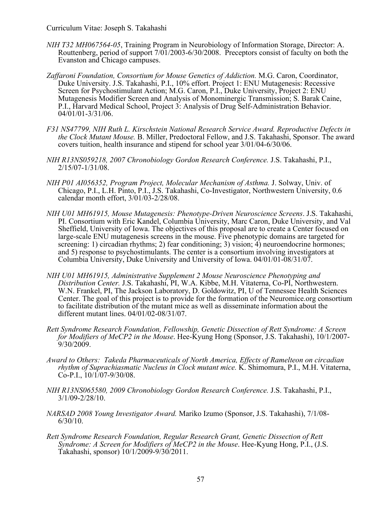- *NIH T32 MH067564-05*, Training Program in Neurobiology of Information Storage, Director: A. Routtenberg, period of support 7/01/2003-6/30/2008. Preceptors consist of faculty on both the Evanston and Chicago campuses.
- *Zaffaroni Foundation, Consortium for Mouse Genetics of Addiction.* M.G. Caron, Coordinator, Duke University. J.S. Takahashi, P.I., 10% effort. Project 1: ENU Mutagenesis: Recessive Screen for Psychostimulant Action; M.G. Caron, P.I., Duke University, Project 2: ENU Mutagenesis Modifier Screen and Analysis of Monominergic Transmission; S. Barak Caine, P.I., Harvard Medical School, Project 3: Analysis of Drug Self-Administration Behavior. 04/01/01-3/31/06.
- *F31 NS47799, NIH Ruth L. Kirschstein National Research Service Award. Reproductive Defects in the Clock Mutant Mouse.* B. Miller, Predoctoral Fellow, and J.S. Takahashi, Sponsor. The award covers tuition, health insurance and stipend for school year 3/01/04-6/30/06.
- *NIH R13NS059218, 2007 Chronobiology Gordon Research Conference.* J.S. Takahashi, P.I., 2/15/07-1/31/08.
- *NIH P01 AI056352, Program Project, Molecular Mechanism of Asthma.* J. Solway, Univ. of Chicago, P.I., L.H. Pinto, P.I., J.S. Takahashi, Co-Investigator, Northwestern University, 0.6 calendar month effort, 3/01/03-2/28/08.
- *NIH U01 MH61915, Mouse Mutagenesis: Phenotype-Driven Neuroscience Screens*. J.S. Takahashi, PI. Consortium with Eric Kandel, Columbia University, Marc Caron, Duke University, and Val Sheffield, University of Iowa. The objectives of this proposal are to create a Center focused on large-scale ENU mutagenesis screens in the mouse. Five phenotypic domains are targeted for screening: 1) circadian rhythms; 2) fear conditioning; 3) vision; 4) neuroendocrine hormones; and 5) response to psychostimulants. The center is a consortium involving investigators at Columbia University, Duke University and University of Iowa. 04/01/01-08/31/07.
- *NIH U01 MH61915, Administrative Supplement 2 Mouse Neuroscience Phenotyping and Distribution Center.* J.S. Takahashi, PI, W.A. Kibbe, M.H. Vitaterna, Co-PI, Northwestern. W.N. Frankel, PI, The Jackson Laboratory, D. Goldowitz, PI, U of Tennessee Health Sciences Center. The goal of this project is to provide for the formation of the Neuromice.org consortium to facilitate distribution of the mutant mice as well as disseminate information about the different mutant lines. 04/01/02-08/31/07.
- *Rett Syndrome Research Foundation, Fellowship, Genetic Dissection of Rett Syndrome: A Screen for Modifiers of MeCP2 in the Mouse*. Hee-Kyung Hong (Sponsor, J.S. Takahashi), 10/1/2007- 9/30/2009.
- *Award to Others: Takeda Pharmaceuticals of North America, Effects of Ramelteon on circadian rhythm of Suprachiasmatic Nucleus in Clock mutant mice.* K. Shimomura, P.I., M.H. Vitaterna, Co-P.I., 10/1/07-9/30/08.
- *NIH R13NS065580, 2009 Chronobiology Gordon Research Conference.* J.S. Takahashi, P.I., 3/1/09-2/28/10.
- *NARSAD 2008 Young Investigator Award.* Mariko Izumo (Sponsor, J.S. Takahashi), 7/1/08- 6/30/10.
- *Rett Syndrome Research Foundation, Regular Research Grant, Genetic Dissection of Rett Syndrome: A Screen for Modifiers of MeCP2 in the Mouse*. Hee-Kyung Hong, P.I., (J.S. Takahashi, sponsor) 10/1/2009-9/30/2011.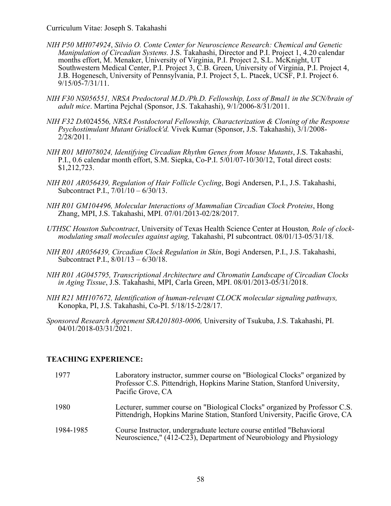- *NIH P50 MH074924*, *Silvio O. Conte Center for Neuroscience Research: Chemical and Genetic Manipulation of Circadian Systems.* J.S. Takahashi, Director and P.I. Project 1, 4.20 calendar months effort, M. Menaker, University of Virginia, P.I. Project 2, S.L. McKnight, UT Southwestern Medical Center, P.I. Project 3, C.B. Green, University of Virginia, P.I. Project 4, J.B. Hogenesch, University of Pennsylvania, P.I. Project 5, L. Ptacek, UCSF, P.I. Project 6. 9/15/05-7/31/11.
- *NIH F30 NS056551, NRSA Predoctoral M.D./Ph.D. Fellowship, Loss of Bmal1 in the SCN/brain of adult mice*. Martina Pejchal (Sponsor, J.S. Takahashi), 9/1/2006-8/31/2011.
- *NIH F32 DA*024556*, NRSA Postdoctoral Fellowship, Characterization & Cloning of the Response Psychostimulant Mutant Gridlock'd.* Vivek Kumar (Sponsor, J.S. Takahashi), 3/1/2008- 2/28/2011.
- *NIH R01 MH078024, Identifying Circadian Rhythm Genes from Mouse Mutants*, J.S. Takahashi, P.I., 0.6 calendar month effort, S.M. Siepka, Co-P.I. 5/01/07-10/30/12, Total direct costs: \$1,212,723.
- *NIH R01 AR056439, Regulation of Hair Follicle Cycling*, Bogi Andersen, P.I., J.S. Takahashi, Subcontract P.I., 7/01/10 – 6/30/13.
- *NIH R01 GM104496, Molecular Interactions of Mammalian Circadian Clock Proteins*, Hong Zhang, MPI, J.S. Takahashi, MPI. 07/01/2013-02/28/2017.
- *UTHSC Houston Subcontract*, University of Texas Health Science Center at Houston*, Role of clockmodulating small molecules against aging,* Takahashi, PI subcontract. 08/01/13-05/31/18.
- *NIH R01 AR056439, Circadian Clock Regulation in Skin*, Bogi Andersen, P.I., J.S. Takahashi, Subcontract P.I., 8/01/13 – 6/30/18.
- *NIH R01 AG045795, Transcriptional Architecture and Chromatin Landscape of Circadian Clocks in Aging Tissue*, J.S. Takahashi, MPI, Carla Green, MPI. 08/01/2013-05/31/2018.
- *NIH R21 MH107672, Identification of human-relevant CLOCK molecular signaling pathways,* Konopka, PI, J.S. Takahashi, Co-PI. 5/18/15-2/28/17.
- *Sponsored Research Agreement SRA201803-0006,* University of Tsukuba, J.S. Takahashi, PI. 04/01/2018-03/31/2021.

## **TEACHING EXPERIENCE:**

| 1977      | Laboratory instructor, summer course on "Biological Clocks" organized by<br>Professor C.S. Pittendrigh, Hopkins Marine Station, Stanford University,<br>Pacific Grove, CA |
|-----------|---------------------------------------------------------------------------------------------------------------------------------------------------------------------------|
| 1980      | Lecturer, summer course on "Biological Clocks" organized by Professor C.S.<br>Pittendrigh, Hopkins Marine Station, Stanford University, Pacific Grove, CA                 |
| 1984-1985 | Course Instructor, undergraduate lecture course entitled "Behavioral"<br>Neuroscience," (412-C23), Department of Neurobiology and Physiology                              |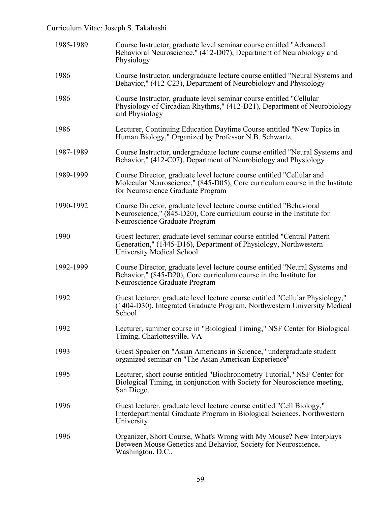| 1985-1989 | Course Instructor, graduate level seminar course entitled "Advanced<br>Behavioral Neuroscience," (412-D07), Department of Neurobiology and<br>Physiology                                        |
|-----------|-------------------------------------------------------------------------------------------------------------------------------------------------------------------------------------------------|
| 1986      | Course Instructor, undergraduate lecture course entitled "Neural Systems and<br>Behavior," (412-C23), Department of Neurobiology and Physiology                                                 |
| 1986      | Course Instructor, graduate level seminar course entitled "Cellular<br>Physiology of Circadian Rhythms," (412-D21), Department of Neurobiology<br>and Physiology                                |
| 1986      | Lecturer, Continuing Education Daytime Course entitled "New Topics in<br>Human Biology," Organized by Professor N.B. Schwartz.                                                                  |
| 1987-1989 | Course Instructor, undergraduate lecture course entitled "Neural Systems and<br>Behavior," (412-C07), Department of Neurobiology and Physiology                                                 |
| 1989-1999 | Course Director, graduate level lecture course entitled "Cellular and<br>Molecular Neuroscience," (845-D05), Core curriculum course in the Institute<br>for Neuroscience Graduate Program       |
| 1990-1992 | Course Director, graduate level lecture course entitled "Behavioral<br>Neuroscience," $(845-D20)$ , Core curriculum course in the Institute for<br>Neuroscience Graduate Program                |
| 1990      | Guest lecturer, graduate level seminar course entitled "Central Pattern<br>Generation," (1445-D16), Department of Physiology, Northwestern<br>University Medical School                         |
| 1992-1999 | Course Director, graduate level lecture course entitled "Neural Systems and<br>Behavior," $(845-\overline{D}20)$ , Core curriculum course in the Institute for<br>Neuroscience Graduate Program |
| 1992      | Guest lecturer, graduate level lecture course entitled "Cellular Physiology,"<br>(1404-D30), Integrated Graduate Program, Northwestern University Medical<br>School                             |
| 1992      | Lecturer, summer course in "Biological Timing," NSF Center for Biological<br>Timing, Charlottesville, VA                                                                                        |
| 1993      | Guest Speaker on "Asian Americans in Science," undergraduate student<br>organized seminar on "The Asian American Experience"                                                                    |
| 1995      | Lecturer, short course entitled "Biochronometry Tutorial," NSF Center for<br>Biological Timing, in conjunction with Society for Neuroscience meeting,<br>San Diego.                             |
| 1996      | Guest lecturer, graduate level lecture course entitled "Cell Biology,"<br>Interdepartmental Graduate Program in Biological Sciences, Northwestern<br>University                                 |
| 1996      | Organizer, Short Course, What's Wrong with My Mouse? New Interplays<br>Between Mouse Genetics and Behavior, Society for Neuroscience,<br>Washington, D.C.,                                      |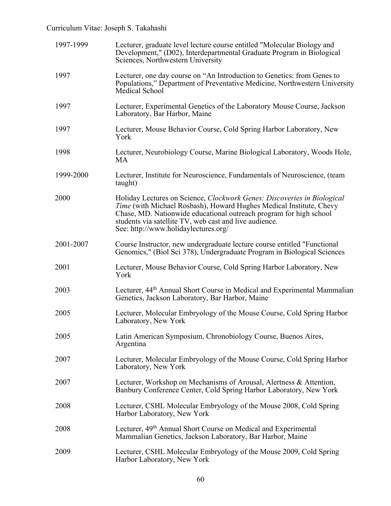| 1997-1999 | Lecturer, graduate level lecture course entitled "Molecular Biology and<br>Development," (D02), Interdepartmental Graduate Program in Biological<br>Sciences, Northwestern University                                                                                                                                  |  |  |  |
|-----------|------------------------------------------------------------------------------------------------------------------------------------------------------------------------------------------------------------------------------------------------------------------------------------------------------------------------|--|--|--|
| 1997      | Lecturer, one day course on "An Introduction to Genetics: from Genes to<br>Populations," Department of Preventative Medicine, Northwestern University<br>Medical School                                                                                                                                                |  |  |  |
| 1997      | Lecturer, Experimental Genetics of the Laboratory Mouse Course, Jackson<br>Laboratory, Bar Harbor, Maine                                                                                                                                                                                                               |  |  |  |
| 1997      | Lecturer, Mouse Behavior Course, Cold Spring Harbor Laboratory, New<br>York                                                                                                                                                                                                                                            |  |  |  |
| 1998      | Lecturer, Neurobiology Course, Marine Biological Laboratory, Woods Hole,<br>MA                                                                                                                                                                                                                                         |  |  |  |
| 1999-2000 | Lecturer, Institute for Neuroscience, Fundamentals of Neuroscience, (team<br>taught)                                                                                                                                                                                                                                   |  |  |  |
| 2000      | Holiday Lectures on Science, Clockwork Genes: Discoveries in Biological<br>Time (with Michael Rosbash), Howard Hughes Medical Institute, Chevy<br>Chase, MD. Nationwide educational outreach program for high school<br>students via satellite TV, web cast and live audience.<br>See: http://www.holidaylectures.org/ |  |  |  |
| 2001-2007 | Course Instructor, new undergraduate lecture course entitled "Functional<br>Genomics," (Biol Sci 378), Undergraduate Program in Biological Sciences                                                                                                                                                                    |  |  |  |
| 2001      | Lecturer, Mouse Behavior Course, Cold Spring Harbor Laboratory, New<br>York                                                                                                                                                                                                                                            |  |  |  |
| 2003      | Lecturer, 44 <sup>th</sup> Annual Short Course in Medical and Experimental Mammalian<br>Genetics, Jackson Laboratory, Bar Harbor, Maine                                                                                                                                                                                |  |  |  |
| 2005      | Lecturer, Molecular Embryology of the Mouse Course, Cold Spring Harbor<br>Laboratory, New York                                                                                                                                                                                                                         |  |  |  |
| 2005      | Latin American Symposium, Chronobiology Course, Buenos Aires,<br>Argentina                                                                                                                                                                                                                                             |  |  |  |
| 2007      | Lecturer, Molecular Embryology of the Mouse Course, Cold Spring Harbor<br>Laboratory, New York                                                                                                                                                                                                                         |  |  |  |
| 2007      | Lecturer, Workshop on Mechanisms of Arousal, Alertness & Attention,<br>Banbury Conference Center, Cold Spring Harbor Laboratory, New York                                                                                                                                                                              |  |  |  |
| 2008      | Lecturer, CSHL Molecular Embryology of the Mouse 2008, Cold Spring<br>Harbor Laboratory, New York                                                                                                                                                                                                                      |  |  |  |
| 2008      | Lecturer, 49 <sup>th</sup> Annual Short Course on Medical and Experimental<br>Mammalian Genetics, Jackson Laboratory, Bar Harbor, Maine                                                                                                                                                                                |  |  |  |
| 2009      | Lecturer, CSHL Molecular Embryology of the Mouse 2009, Cold Spring<br>Harbor Laboratory, New York                                                                                                                                                                                                                      |  |  |  |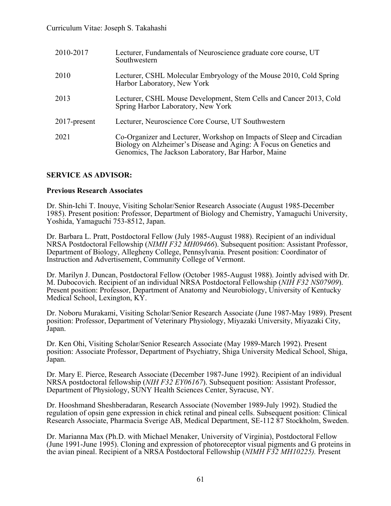| 2010-2017       | Lecturer, Fundamentals of Neuroscience graduate core course, UT<br>Southwestern                                                                                                                   |
|-----------------|---------------------------------------------------------------------------------------------------------------------------------------------------------------------------------------------------|
| 2010            | Lecturer, CSHL Molecular Embryology of the Mouse 2010, Cold Spring<br>Harbor Laboratory, New York                                                                                                 |
| 2013            | Lecturer, CSHL Mouse Development, Stem Cells and Cancer 2013, Cold<br>Spring Harbor Laboratory, New York                                                                                          |
| $2017$ -present | Lecturer, Neuroscience Core Course, UT Southwestern                                                                                                                                               |
| 2021            | Co-Organizer and Lecturer, Workshop on Impacts of Sleep and Circadian<br>Biology on Alzheimer's Disease and Aging: A Focus on Genetics and<br>Genomics, The Jackson Laboratory, Bar Harbor, Maine |

## **SERVICE AS ADVISOR:**

## **Previous Research Associates**

Dr. Shin-Ichi T. Inouye, Visiting Scholar/Senior Research Associate (August 1985-December 1985). Present position: Professor, Department of Biology and Chemistry, Yamaguchi University, Yoshida, Yamaguchi 753-8512, Japan.

Dr. Barbara L. Pratt, Postdoctoral Fellow (July 1985-August 1988). Recipient of an individual NRSA Postdoctoral Fellowship (*NIMH F32 MH09466*). Subsequent position: Assistant Professor, Department of Biology, Allegheny College, Pennsylvania. Present position: Coordinator of Instruction and Advertisement, Community College of Vermont.

Dr. Marilyn J. Duncan, Postdoctoral Fellow (October 1985-August 1988). Jointly advised with Dr. M. Dubocovich. Recipient of an individual NRSA Postdoctoral Fellowship (*NIH F32 NS07909*). Present position: Professor, Department of Anatomy and Neurobiology, University of Kentucky Medical School, Lexington, KY.

Dr. Noboru Murakami, Visiting Scholar/Senior Research Associate (June 1987-May 1989). Present position: Professor, Department of Veterinary Physiology, Miyazaki University, Miyazaki City, Japan.

Dr. Ken Ohi, Visiting Scholar/Senior Research Associate (May 1989-March 1992). Present position: Associate Professor, Department of Psychiatry, Shiga University Medical School, Shiga, Japan.

Dr. Mary E. Pierce, Research Associate (December 1987-June 1992). Recipient of an individual NRSA postdoctoral fellowship (*NIH F32 EY06167*). Subsequent position: Assistant Professor, Department of Physiology, SUNY Health Sciences Center, Syracuse, NY.

Dr. Hooshmand Sheshberadaran, Research Associate (November 1989-July 1992). Studied the regulation of opsin gene expression in chick retinal and pineal cells. Subsequent position: Clinical Research Associate, Pharmacia Sverige AB, Medical Department, SE-112 87 Stockholm, Sweden.

Dr. Marianna Max (Ph.D. with Michael Menaker, University of Virginia), Postdoctoral Fellow (June 1991-June 1995). Cloning and expression of photoreceptor visual pigments and G proteins in the avian pineal. Recipient of a NRSA Postdoctoral Fellowship (*NIMH F32 MH10225).* Present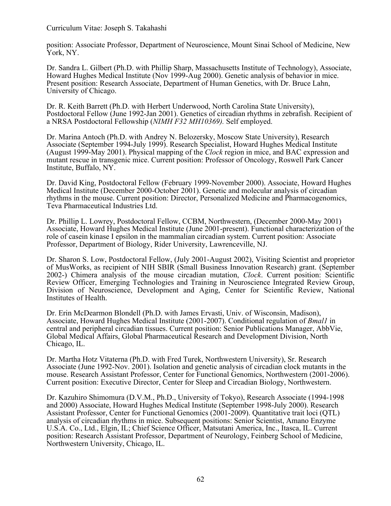position: Associate Professor, Department of Neuroscience, Mount Sinai School of Medicine, New York, NY.

Dr. Sandra L. Gilbert (Ph.D. with Phillip Sharp, Massachusetts Institute of Technology), Associate, Howard Hughes Medical Institute (Nov 1999-Aug 2000). Genetic analysis of behavior in mice. Present position: Research Associate, Department of Human Genetics, with Dr. Bruce Lahn, University of Chicago.

Dr. R. Keith Barrett (Ph.D. with Herbert Underwood, North Carolina State University), Postdoctoral Fellow (June 1992-Jan 2001). Genetics of circadian rhythms in zebrafish. Recipient of a NRSA Postdoctoral Fellowship (*NIMH F32 MH10369).* Self employed.

Dr. Marina Antoch (Ph.D. with Andrey N. Belozersky, Moscow State University), Research Associate (September 1994-July 1999). Research Specialist, Howard Hughes Medical Institute (August 1999-May 2001). Physical mapping of the *Clock* region in mice, and BAC expression and mutant rescue in transgenic mice. Current position: Professor of Oncology, Roswell Park Cancer Institute, Buffalo, NY.

Dr. David King, Postdoctoral Fellow (February 1999-November 2000). Associate, Howard Hughes Medical Institute (December 2000-October 2001). Genetic and molecular analysis of circadian rhythms in the mouse. Current position: Director, Personalized Medicine and Pharmacogenomics, Teva Pharmaceutical Industries Ltd.

Dr. Phillip L. Lowrey, Postdoctoral Fellow, CCBM, Northwestern, (December 2000-May 2001) Associate, Howard Hughes Medical Institute (June 2001-present). Functional characterization of the role of casein kinase I epsilon in the mammalian circadian system. Current position: Associate Professor, Department of Biology, Rider University, Lawrenceville, NJ.

Dr. Sharon S. Low, Postdoctoral Fellow, (July 2001-August 2002), Visiting Scientist and proprietor of MusWorks, as recipient of NIH SBIR (Small Business Innovation Research) grant. (September 2002-) Chimera analysis of the mouse circadian mutation, *Clock*. Current position: Scientific Review Officer, Emerging Technologies and Training in Neuroscience Integrated Review Group, Division of Neuroscience, Development and Aging, Center for Scientific Review, National Institutes of Health.

Dr. Erin McDearmon Blondell (Ph.D. with James Ervasti, Univ. of Wisconsin, Madison), Associate, Howard Hughes Medical Institute (2001-2007). Conditional regulation of *Bmal1* in central and peripheral circadian tissues. Current position: Senior Publications Manager, AbbVie, Global Medical Affairs, Global Pharmaceutical Research and Development Division, North Chicago, IL.

Dr. Martha Hotz Vitaterna (Ph.D. with Fred Turek, Northwestern University), Sr. Research Associate (June 1992-Nov. 2001). Isolation and genetic analysis of circadian clock mutants in the mouse. Research Assistant Professor, Center for Functional Genomics, Northwestern (2001-2006). Current position: Executive Director, Center for Sleep and Circadian Biology, Northwestern.

Dr. Kazuhiro Shimomura (D.V.M., Ph.D., University of Tokyo), Research Associate (1994-1998 and 2000) Associate, Howard Hughes Medical Institute (September 1998-July 2000). Research Assistant Professor, Center for Functional Genomics (2001-2009). Quantitative trait loci (QTL) analysis of circadian rhythms in mice. Subsequent positions: Senior Scientist, Amano Enzyme U.S.A. Co., Ltd., Elgin, IL; Chief Science Officer, Matsutani America, Inc., Itasca, IL. Current position: Research Assistant Professor, Department of Neurology, Feinberg School of Medicine, Northwestern University, Chicago, IL.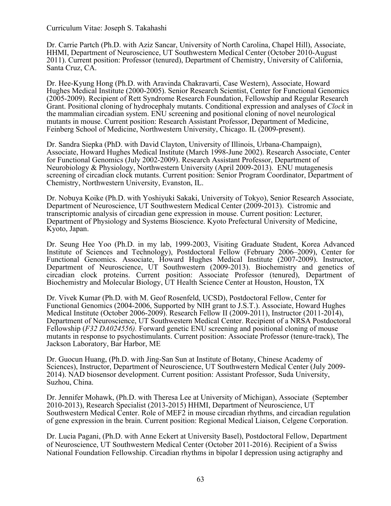Dr. Carrie Partch (Ph.D. with Aziz Sancar, University of North Carolina, Chapel Hill), Associate, HHMI, Department of Neuroscience, UT Southwestern Medical Center (October 2010-August 2011). Current position: Professor (tenured), Department of Chemistry, University of California, Santa Cruz, CA.

Dr. Hee-Kyung Hong (Ph.D. with Aravinda Chakravarti, Case Western), Associate, Howard Hughes Medical Institute (2000-2005). Senior Research Scientist, Center for Functional Genomics (2005-2009). Recipient of Rett Syndrome Research Foundation, Fellowship and Regular Research Grant. Positional cloning of hydrocephaly mutants. Conditional expression and analyses of *Clock* in the mammalian circadian system. ENU screening and positional cloning of novel neurological mutants in mouse. Current position: Research Assistant Professor, Department of Medicine, Feinberg School of Medicine, Northwestern University, Chicago. IL (2009-present).

Dr. Sandra Siepka (PhD. with David Clayton, University of Illinois, Urbana-Champaign), Associate, Howard Hughes Medical Institute (March 1998-June 2002). Research Associate, Center for Functional Genomics (July 2002-2009). Research Assistant Professor, Department of Neurobiology & Physiology, Northwestern University (April 2009-2013). ENU mutagenesis screening of circadian clock mutants. Current position: Senior Program Coordinator, Department of Chemistry, Northwestern University, Evanston, IL.

Dr. Nobuya Koike (Ph.D. with Yoshiyuki Sakaki, University of Tokyo), Senior Research Associate, Department of Neuroscience, UT Southwestern Medical Center (2009-2013). Cistromic and transcriptomic analysis of circadian gene expression in mouse. Current position: Lecturer, Department of Physiology and Systems Bioscience. Kyoto Prefectural University of Medicine, Kyoto, Japan.

Dr. Seung Hee Yoo (Ph.D. in my lab, 1999-2003, Visiting Graduate Student, Korea Advanced Institute of Sciences and Technology), Postdoctoral Fellow (February 2006–2009), Center for Functional Genomics. Associate, Howard Hughes Medical Institute (2007-2009). Instructor, Department of Neuroscience, UT Southwestern (2009-2013). Biochemistry and genetics of circadian clock proteins. Current position: Associate Professor (tenured), Department of Biochemistry and Molecular Biology, UT Health Science Center at Houston, Houston, TX

Dr. Vivek Kumar (Ph.D. with M. Geof Rosenfeld, UCSD), Postdoctoral Fellow, Center for Functional Genomics (2004-2006, Supported by NIH grant to J.S.T.). Associate, Howard Hughes Medical Institute (October 2006-2009). Research Fellow II (2009-2011), Instructor (2011-2014), Department of Neuroscience, UT Southwestern Medical Center. Recipient of a NRSA Postdoctoral Fellowship (*F32 DA024556).* Forward genetic ENU screening and positional cloning of mouse mutants in response to psychostimulants. Current position: Associate Professor (tenure-track), The Jackson Laboratory, Bar Harbor, ME

Dr. Guocun Huang, (Ph.D. with Jing-San Sun at Institute of Botany, Chinese Academy of Sciences), Instructor, Department of Neuroscience, UT Southwestern Medical Center (July 2009- 2014). NAD biosensor development. Current position: Assistant Professor, Suda University, Suzhou, China.

Dr. Jennifer Mohawk, (Ph.D. with Theresa Lee at University of Michigan), Associate (September 2010-2013), Research Specialist (2013-2015) HHMI, Department of Neuroscience, UT Southwestern Medical Center. Role of MEF2 in mouse circadian rhythms, and circadian regulation of gene expression in the brain. Current position: Regional Medical Liaison, Celgene Corporation.

Dr. Lucia Pagani, (Ph.D. with Anne Eckert at University Basel), Postdoctoral Fellow, Department of Neuroscience, UT Southwestern Medical Center (October 2011-2016). Recipient of a Swiss National Foundation Fellowship. Circadian rhythms in bipolar I depression using actigraphy and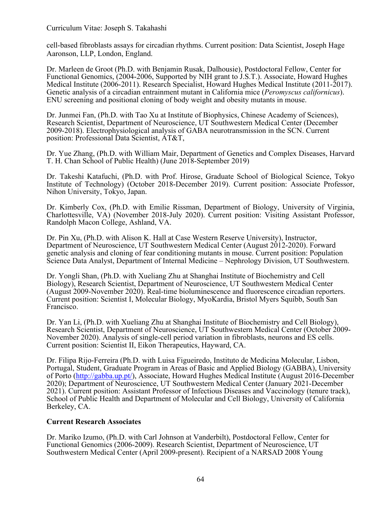cell-based fibroblasts assays for circadian rhythms. Current position: Data Scientist, Joseph Hage Aaronson, LLP, London, England.

Dr. Marleen de Groot (Ph.D. with Benjamin Rusak, Dalhousie), Postdoctoral Fellow, Center for Functional Genomics, (2004-2006, Supported by NIH grant to J.S.T.). Associate, Howard Hughes Medical Institute (2006-2011). Research Specialist, Howard Hughes Medical Institute (2011-2017). Genetic analysis of a circadian entrainment mutant in California mice (*Peromyscus californicus*). ENU screening and positional cloning of body weight and obesity mutants in mouse.

Dr. Junmei Fan, (Ph.D. with Tao Xu at Institute of Biophysics, Chinese Academy of Sciences), Research Scientist, Department of Neuroscience, UT Southwestern Medical Center (December 2009-2018). Electrophysiological analysis of GABA neurotransmission in the SCN. Current position: Professional Data Scientist, AT&T,

Dr. Yue Zhang, (Ph.D. with William Mair, Department of Genetics and Complex Diseases, Harvard T. H. Chan School of Public Health) (June 2018-September 2019)

Dr. Takeshi Katafuchi, (Ph.D. with Prof. Hirose, Graduate School of Biological Science, Tokyo Institute of Technology) (October 2018-December 2019). Current position: Associate Professor, Nihon University, Tokyo, Japan.

Dr. Kimberly Cox, (Ph.D. with Emilie Rissman, Department of Biology, University of Virginia, Charlottesville, VA) (November 2018-July 2020). Current position: Visiting Assistant Professor, Randolph Macon College, Ashland, VA.

Dr. Pin Xu, (Ph.D. with Alison K. Hall at Case Western Reserve University), Instructor, Department of Neuroscience, UT Southwestern Medical Center (August 2012-2020). Forward genetic analysis and cloning of fear conditioning mutants in mouse. Current position: Population Science Data Analyst, Department of Internal Medicine – Nephrology Division, UT Southwestern.

Dr. Yongli Shan, (Ph.D. with Xueliang Zhu at Shanghai Institute of Biochemistry and Cell Biology), Research Scientist, Department of Neuroscience, UT Southwestern Medical Center (August 2009-November 2020). Real-time bioluminescence and fluorescence circadian reporters. Current position: Scientist I, Molecular Biology, MyoKardia, Bristol Myers Squibb, South San Francisco.

Dr. Yan Li, (Ph.D. with Xueliang Zhu at Shanghai Institute of Biochemistry and Cell Biology), Research Scientist, Department of Neuroscience, UT Southwestern Medical Center (October 2009- November 2020). Analysis of single-cell period variation in fibroblasts, neurons and ES cells. Current position: Scientist II, Eikon Therapeutics, Hayward, CA.

Dr. Filipa Rijo-Ferreira (Ph.D. with Luisa Figueiredo, Instituto de Medicina Molecular, Lisbon, Portugal, Student, Graduate Program in Areas of Basic and Applied Biology (GABBA), University of Porto (http://gabba.up.pt/), Associate, Howard Hughes Medical Institute (August 2016-December 2020); Department of Neuroscience, UT Southwestern Medical Center (January 2021-December 2021). Current position: Assistant Professor of Infectious Diseases and Vaccinology (tenure track), School of Public Health and Department of Molecular and Cell Biology, University of California Berkeley, CA.

## **Current Research Associates**

Dr. Mariko Izumo, (Ph.D. with Carl Johnson at Vanderbilt), Postdoctoral Fellow, Center for Functional Genomics (2006-2009). Research Scientist, Department of Neuroscience, UT Southwestern Medical Center (April 2009-present). Recipient of a NARSAD 2008 Young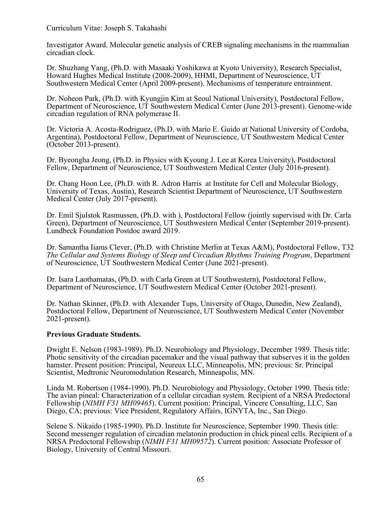Investigator Award. Molecular genetic analysis of CREB signaling mechanisms in the mammalian circadian clock.

Dr. Shuzhang Yang, (Ph.D. with Masaaki Yoshikawa at Kyoto University), Research Specialist, Howard Hughes Medical Institute (2008-2009), HHMI, Department of Neuroscience, UT Southwestern Medical Center (April 2009-present). Mechanisms of temperature entrainment.

Dr. Noheon Park, (Ph.D. with Kyungjin Kim at Seoul National University), Postdoctoral Fellow, Department of Neuroscience, UT Southwestern Medical Center (June 2013-present). Genome-wide circadian regulation of RNA polymerase II.

Dr. Victoria A. Acosta-Rodriguez, (Ph.D. with Mario E. Guido at National University of Cordoba, Argentina), Postdoctoral Fellow, Department of Neuroscience, UT Southwestern Medical Center (October 2013-present).

Dr. Byeongha Jeong, (Ph.D. in Physics with Kyoung J. Lee at Korea University), Postdoctoral Fellow, Department of Neuroscience, UT Southwestern Medical Center (July 2016-present).

Dr. Chang Hoon Lee, (Ph.D. with R. Adron Harris at Institute for Cell and Molecular Biology, University of Texas, Austin), Research Scientist Department of Neuroscience, UT Southwestern Medical Center (July 2017-present).

Dr. Emil Sjulstok Rasmussen, (Ph.D. with ), Postdoctoral Fellow (jointly supervised with Dr. Carla Green), Department of Neuroscience, UT Southwestern Medical Center (September 2019-present). Lundbeck Foundation Postdoc award 2019.

Dr. Samantha Iiams Clever, (Ph.D. with Christine Merlin at Texas A&M), Postdoctoral Fellow, T32 *The Cellular and Systems Biology of Sleep and Circadian Rhythms Training Program*, Department of Neuroscience, UT Southwestern Medical Center (June 2021-present).

Dr. Isara Laothamatas, (Ph.D. with Carla Green at UT Southwestern), Postdoctoral Fellow, Department of Neuroscience, UT Southwestern Medical Center (October 2021-present).

Dr. Nathan Skinner, (Ph.D. with Alexander Tups, University of Otago, Dunedin, New Zealand), Postdoctoral Fellow, Department of Neuroscience, UT Southwestern Medical Center (November 2021-present).

#### **Previous Graduate Students.**

Dwight E. Nelson (1983-1989). Ph.D. Neurobiology and Physiology, December 1989. Thesis title: Photic sensitivity of the circadian pacemaker and the visual pathway that subserves it in the golden hamster. Present position: Principal, Neureux LLC, Minneapolis, MN; previous: Sr. Principal Scientist, Medtronic Neuromodulation Research, Minneapolis, MN.

Linda M. Robertson (1984-1990). Ph.D. Neurobiology and Physiology, October 1990. Thesis title: The avian pineal: Characterization of a cellular circadian system. Recipient of a NRSA Predoctoral Fellowship (*NIMH F31 MH09465*). Current position: Principal, Vincere Consulting, LLC, San Diego, CA; previous: Vice President, Regulatory Affairs, IGNYTA, Inc., San Diego.

Selene S. Nikaido (1985-1990). Ph.D. Institute for Neuroscience, September 1990. Thesis title: Second messenger regulation of circadian melatonin production in chick pineal cells. Recipient of a NRSA Predoctoral Fellowship (*NIMH F31 MH09572*). Current position: Associate Professor of Biology, University of Central Missouri.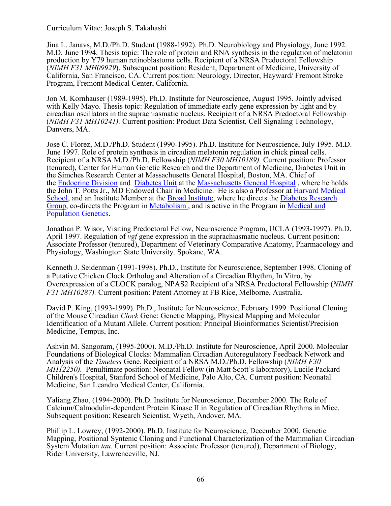Jina L. Janavs, M.D./Ph.D. Student (1988-1992). Ph.D. Neurobiology and Physiology, June 1992. M.D. June 1994. Thesis topic: The role of protein and RNA synthesis in the regulation of melatonin production by Y79 human retinoblastoma cells. Recipient of a NRSA Predoctoral Fellowship (*NIMH F31 MH09929*). Subsequent position: Resident, Department of Medicine, University of California, San Francisco, CA. Current position: Neurology, Director, Hayward/ Fremont Stroke Program, Fremont Medical Center, California.

Jon M. Kornhauser (1989-1995). Ph.D. Institute for Neuroscience, August 1995. Jointly advised with Kelly Mayo. Thesis topic: Regulation of immediate early gene expression by light and by circadian oscillators in the suprachiasmatic nucleus. Recipient of a NRSA Predoctoral Fellowship (*NIMH F31 MH10241).* Current position: Product Data Scientist, Cell Signaling Technology, Danvers, MA.

Jose C. Florez, M.D./Ph.D. Student (1990-1995). Ph.D. Institute for Neuroscience, July 1995. M.D. June 1997. Role of protein synthesis in circadian melatonin regulation in chick pineal cells. Recipient of a NRSA M.D./Ph.D. Fellowship (*NIMH F30 MH10189).* Current position: Professor (tenured), Center for Human Genetic Research and the Department of Medicine, Diabetes Unit in the Simches Research Center at Massachusetts General Hospital, Boston, MA. Chief of the Endocrine Division and Diabetes Unit at the Massachusetts General Hospital , where he holds the John T. Potts Jr., MD Endowed Chair in Medicine. He is also a Professor at Harvard Medical School, and an Institute Member at the Broad Institute, where he directs the Diabetes Research Group, co-directs the Program in Metabolism , and is active in the Program in Medical and Population Genetics.

Jonathan P. Wisor, Visiting Predoctoral Fellow, Neuroscience Program, UCLA (1993-1997). Ph.D. April 1997. Regulation of *vgf* gene expression in the suprachiasmatic nucleus. Current position: Associate Professor (tenured), Department of Veterinary Comparative Anatomy, Pharmacology and Physiology, Washington State University. Spokane, WA.

Kenneth J. Seidenman (1991-1998). Ph.D., Institute for Neuroscience, September 1998. Cloning of a Putative Chicken Clock Ortholog and Alteration of a Circadian Rhythm, In Vitro, by Overexpression of a CLOCK paralog, NPAS2 Recipient of a NRSA Predoctoral Fellowship (*NIMH F31 MH10287).* Current position: Patent Attorney at FB Rice, Melborne, Australia.

David P. King, (1993-1999). Ph.D., Institute for Neuroscience, February 1999. Positional Cloning of the Mouse Circadian *Clock* Gene: Genetic Mapping, Physical Mapping and Molecular Identification of a Mutant Allele. Current position: Principal Bioinformatics Scientist/Precision Medicine, Tempus, Inc.

Ashvin M. Sangoram, (1995-2000). M.D./Ph.D. Institute for Neuroscience, April 2000. Molecular Foundations of Biological Clocks: Mammalian Circadian Autoregulatory Feedback Network and Analysis of the *Timeless* Gene. Recipient of a NRSA M.D./Ph.D. Fellowship (*NIMH F30 MH12250).* Penultimate position: Neonatal Fellow (in Matt Scott's laboratory), Lucile Packard Children's Hospital, Stanford School of Medicine, Palo Alto, CA. Current position: Neonatal Medicine, San Leandro Medical Center, California.

Yaliang Zhao, (1994-2000). Ph.D. Institute for Neuroscience, December 2000. The Role of Calcium/Calmodulin-dependent Protein Kinase II in Regulation of Circadian Rhythms in Mice. Subsequent position: Research Scientist, Wyeth, Andover, MA.

Phillip L. Lowrey, (1992-2000). Ph.D. Institute for Neuroscience, December 2000. Genetic Mapping, Positional Syntenic Cloning and Functional Characterization of the Mammalian Circadian System Mutation *tau.* Current position: Associate Professor (tenured), Department of Biology, Rider University, Lawrenceville, NJ.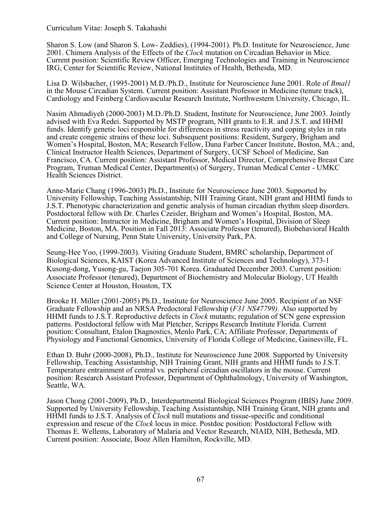Sharon S. Low (and Sharon S. Low- Zeddies), (1994-2001). Ph.D. Institute for Neuroscience, June 2001. Chimera Analysis of the Effects of the *Clock* mutation on Circadian Behavior in Mice*.*  Current position: Scientific Review Officer, Emerging Technologies and Training in Neuroscience IRG, Center for Scientific Review, National Institutes of Health, Bethesda, MD.

Lisa D. Wilsbacher, (1995-2001) M.D./Ph.D., Institute for Neuroscience June 2001. Role of *Bmal1* in the Mouse Circadian System. Current position: Assistant Professor in Medicine (tenure track), Cardiology and Feinberg Cardiovascular Research Institute, Northwestern University, Chicago, IL.

Nasim Ahmadiyeh (2000-2003) M.D./Ph.D. Student, Institute for Neuroscience, June 2003. Jointly advised with Eva Redei. Supported by MSTP program, NIH grants to E.R. and J.S.T. and HHMI funds. Identify genetic loci responsible for differences in stress reactivity and coping styles in rats and create congenic strains of these loci. Subsequent positions: Resident, Surgery, Brigham and Women's Hospital, Boston, MA; Research Fellow, Dana Farber Cancer Institute, Boston, MA.; and, Clinical Instructor Health Sciences, Department of Surgery, UCSF School of Medicine, San Francisco, CA. Current position: Assistant Professor, Medical Director, Comprehensive Breast Care Program, Truman Medical Center, Department(s) of Surgery, Truman Medical Center - UMKC Health Sciences District.

Anne-Marie Chang (1996-2003) Ph.D., Institute for Neuroscience June 2003. Supported by University Fellowship, Teaching Assistantship, NIH Training Grant, NIH grant and HHMI funds to J.S.T. Phenotypic characterization and genetic analysis of human circadian rhythm sleep disorders. Postdoctoral fellow with Dr. Charles Czeisler, Brigham and Women's Hospital, Boston, MA. Current position: Instructor in Medicine, Brigham and Women's Hospital, Division of Sleep Medicine, Boston, MA. Position in Fall 2013: Associate Professor (tenured), Biobehavioral Health and College of Nursing, Penn State University, University Park, PA.

Seung-Hee Yoo, (1999-2003). Visiting Graduate Student, BMRC scholarship, Department of Biological Sciences, KAIST (Korea Advanced Institute of Sciences and Technology), 373-1 Kusong-dong, Yusong-gu, Taejon 305-701 Korea. Graduated December 2003. Current position: Associate Professor (tenured), Department of Biochemistry and Molecular Biology, UT Health Science Center at Houston, Houston, TX

Brooke H. Miller (2001-2005) Ph.D., Institute for Neuroscience June 2005. Recipient of an NSF Graduate Fellowship and an NRSA Predoctoral Fellowship (*F31 NS47799).* Also supported by HHMI funds to J.S.T. Reproductive defects in *Clock* mutants; regulation of SCN gene expression patterns. Postdoctoral fellow with Mat Pletcher, Scripps Research Institute Florida. Current position: Consultant, Etalon Diagnostics, Menlo Park, CA; Affiliate Professor, Departments of Physiology and Functional Genomics, University of Florida College of Medicine, Gainesville, FL.

Ethan D. Buhr (2000-2008), Ph.D., Institute for Neuroscience June 2008. Supported by University Fellowship, Teaching Assistantship, NIH Training Grant, NIH grants and HHMI funds to J.S.T. Temperature entrainment of central vs. peripheral circadian oscillators in the mouse. Current position: Research Assistant Professor, Department of Ophthalmology, University of Washington, Seattle, WA.

Jason Chong (2001-2009), Ph.D., Interdepartmental Biological Sciences Program (IBIS) June 2009. Supported by University Fellowship, Teaching Assistantship, NIH Training Grant, NIH grants and HHMI funds to J.S.T. Analysis of *Clock* null mutations and tissue-specific and conditional expression and rescue of the *Clock* locus in mice. Postdoc position: Postdoctoral Fellow with Thomas E. Wellems, Laboratory of Malaria and Vector Research, NIAID, NIH, Bethesda, MD. Current position: Associate, Booz Allen Hamilton, Rockville, MD.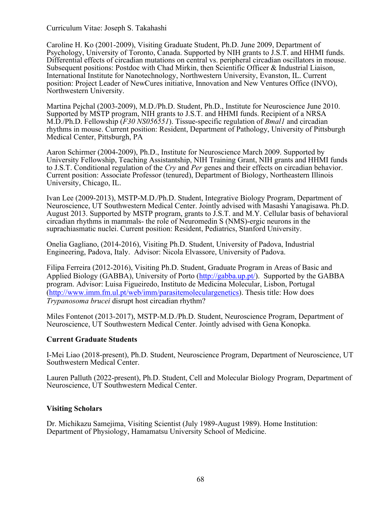Caroline H. Ko (2001-2009), Visiting Graduate Student, Ph.D. June 2009, Department of Psychology, University of Toronto, Canada. Supported by NIH grants to J.S.T. and HHMI funds. Differential effects of circadian mutations on central vs. peripheral circadian oscillators in mouse. Subsequent positions: Postdoc with Chad Mirkin, then Scientific Officer & Industrial Liaison, International Institute for Nanotechnology, Northwestern University, Evanston, IL. Current position: Project Leader of NewCures initiative, Innovation and New Ventures Office (INVO), Northwestern University.

Martina Pejchal (2003-2009), M.D./Ph.D. Student, Ph.D., Institute for Neuroscience June 2010. Supported by MSTP program, NIH grants to J.S.T. and HHMI funds. Recipient of a NRSA M.D./Ph.D. Fellowship (*F30 NS056551*). Tissue-specific regulation of *Bmal1* and circadian rhythms in mouse. Current position: Resident, Department of Pathology, University of Pittsburgh Medical Center, Pittsburgh, PA

Aaron Schirmer (2004-2009), Ph.D., Institute for Neuroscience March 2009. Supported by University Fellowship, Teaching Assistantship, NIH Training Grant, NIH grants and HHMI funds to J.S.T. Conditional regulation of the *Cry* and *Per* genes and their effects on circadian behavior. Current position: Associate Professor (tenured), Department of Biology, Northeastern Illinois University, Chicago, IL.

Ivan Lee (2009-2013), MSTP-M.D./Ph.D. Student, Integrative Biology Program, Department of Neuroscience, UT Southwestern Medical Center. Jointly advised with Masashi Yanagisawa. Ph.D. August 2013. Supported by MSTP program, grants to J.S.T. and M.Y. Cellular basis of behavioral circadian rhythms in mammals- the role of Neuromedin S (NMS)-ergic neurons in the suprachiasmatic nuclei. Current position: Resident, Pediatrics, Stanford University.

Onelia Gagliano, (2014-2016), Visiting Ph.D. Student, University of Padova, Industrial Engineering, Padova, Italy. Advisor: Nicola Elvassore, University of Padova.

Filipa Ferreira (2012-2016), Visiting Ph.D. Student, Graduate Program in Areas of Basic and Applied Biology (GABBA), University of Porto (http://gabba.up.pt/). Supported by the GABBA program. Advisor: Luisa Figueiredo, Instituto de Medicina Molecular, Lisbon, Portugal (http://www.imm.fm.ul.pt/web/imm/parasitemoleculargenetics). Thesis title: How does *Trypanosoma brucei* disrupt host circadian rhythm?

Miles Fontenot (2013-2017), MSTP-M.D./Ph.D. Student, Neuroscience Program, Department of Neuroscience, UT Southwestern Medical Center. Jointly advised with Gena Konopka.

## **Current Graduate Students**

I-Mei Liao (2018-present), Ph.D. Student, Neuroscience Program, Department of Neuroscience, UT Southwestern Medical Center.

Lauren Palluth (2022-present), Ph.D. Student, Cell and Molecular Biology Program, Department of Neuroscience, UT Southwestern Medical Center.

## **Visiting Scholars**

Dr. Michikazu Samejima, Visiting Scientist (July 1989-August 1989). Home Institution: Department of Physiology, Hamamatsu University School of Medicine.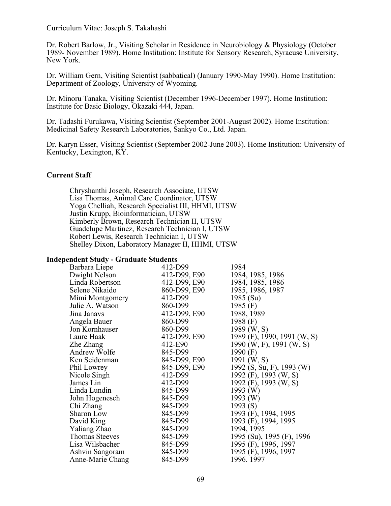Dr. Robert Barlow, Jr., Visiting Scholar in Residence in Neurobiology & Physiology (October 1989- November 1989). Home Institution: Institute for Sensory Research, Syracuse University, New York.

Dr. William Gern, Visiting Scientist (sabbatical) (January 1990-May 1990). Home Institution: Department of Zoology, University of Wyoming.

Dr. Minoru Tanaka, Visiting Scientist (December 1996-December 1997). Home Institution: Institute for Basic Biology, Okazaki 444, Japan.

Dr. Tadashi Furukawa, Visiting Scientist (September 2001-August 2002). Home Institution: Medicinal Safety Research Laboratories, Sankyo Co., Ltd. Japan.

Dr. Karyn Esser, Visiting Scientist (September 2002-June 2003). Home Institution: University of Kentucky, Lexington, KY.

#### **Current Staff**

Chryshanthi Joseph, Research Associate, UTSW Lisa Thomas, Animal Care Coordinator, UTSW Yoga Chelliah, Research Specialist III, HHMI, UTSW Justin Krupp, Bioinformatician, UTSW Kimberly Brown, Research Technician II, UTSW Guadelupe Martinez, Research Technician I, UTSW Robert Lewis, Research Technician I, UTSW Shelley Dixon, Laboratory Manager II, HHMI, UTSW

### **Independent Study - Graduate Students**

| Barbara Liepe         | 412-D99      | 1984                        |
|-----------------------|--------------|-----------------------------|
| Dwight Nelson         | 412-D99, E90 | 1984, 1985, 1986            |
| Linda Robertson       | 412-D99, E90 | 1984, 1985, 1986            |
| Selene Nikaido        | 860-D99, E90 | 1985, 1986, 1987            |
| Mimi Montgomery       | 412-D99      | 1985 (Su)                   |
| Julie A. Watson       | 860-D99      | 1985 $(F)$                  |
| Jina Janavs           | 412-D99, E90 | 1988, 1989                  |
| Angela Bauer          | 860-D99      | 1988 $(F)$                  |
| Jon Kornhauser        | 860-D99      | $1989$ (W, S)               |
| Laure Haak            | 412-D99, E90 | 1989 (F), 1990, 1991 (W, S) |
| Zhe Zhang             | 412-E90      | 1990 (W, F), 1991 (W, S)    |
| Andrew Wolfe          | 845-D99      | 1990 $(F)$                  |
| Ken Seidenman         | 845-D99, E90 | 1991 $(W, S)$               |
| Phil Lowrey           | 845-D99, E90 | 1992 (S, Su, F), 1993 (W)   |
| Nicole Singh          | 412-D99      | 1992 (F), 1993 (W, S)       |
| James Lin             | 412-D99      | 1992 (F), 1993 (W, S)       |
| Linda Lundin          | 845-D99      | $1993$ (W)                  |
| John Hogenesch        | 845-D99      | 1993 $(W)$                  |
| Chi Zhang             | 845-D99      | 1993 $(S)$                  |
| Sharon Low            | 845-D99      | 1993 (F), 1994, 1995        |
| David King            | 845-D99      | 1993 (F), 1994, 1995        |
| Yaliang Zhao          | 845-D99      | 1994, 1995                  |
| <b>Thomas Steeves</b> | 845-D99      | 1995 (Su), 1995 (F), 1996   |
| Lisa Wilsbacher       | 845-D99      | 1995 (F), 1996, 1997        |
| Ashvin Sangoram       | 845-D99      | 1995 (F), 1996, 1997        |
| Anne-Marie Chang      | 845-D99      | 1996. 1997                  |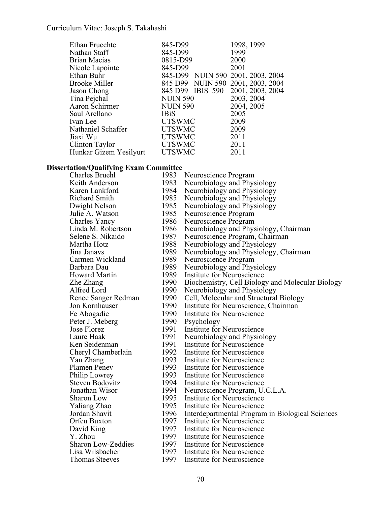| Ethan Fruechte         | 845-D99                           | 1998, 1999       |
|------------------------|-----------------------------------|------------------|
| Nathan Staff           | 845-D99                           | 1999             |
| Brian Macias           | 0815-D99                          | 2000             |
| Nicole Lapointe        | 845-D99                           | 2001             |
| Ethan Buhr             | 845-D99 NUIN 590 2001, 2003, 2004 |                  |
| <b>Brooke Miller</b>   | 845 D99 NUIN 590                  | 2001, 2003, 2004 |
| Jason Chong            | 845 D99 IBIS 590                  | 2001, 2003, 2004 |
| Tina Pejchal           | <b>NUIN 590</b>                   | 2003, 2004       |
| Aaron Schirmer         | <b>NUIN 590</b>                   | 2004, 2005       |
| Saul Arellano          | <b>IBiS</b>                       | 2005             |
| Ivan Lee               | <b>UTSWMC</b>                     | 2009             |
| Nathaniel Schaffer     | <b>UTSWMC</b>                     | 2009             |
| Jiaxi Wu               | <b>UTSWMC</b>                     | 2011             |
| Clinton Taylor         | <b>UTSWMC</b>                     | 2011             |
| Hunkar Gizem Yesilyurt | <b>UTSWMC</b>                     | 2011             |
|                        |                                   |                  |

#### **Dissertation/Qualifying Exam Committee**

| Charles Bruehl        | 1983 | Neuroscience Program                             |
|-----------------------|------|--------------------------------------------------|
| Keith Anderson        | 1983 | Neurobiology and Physiology                      |
| Karen Lankford        | 1984 | Neurobiology and Physiology                      |
| <b>Richard Smith</b>  | 1985 | Neurobiology and Physiology                      |
| Dwight Nelson         | 1985 | Neurobiology and Physiology                      |
| Julie A. Watson       | 1985 | Neuroscience Program                             |
| Charles Yancy         | 1986 | Neuroscience Program                             |
| Linda M. Robertson    | 1986 | Neurobiology and Physiology, Chairman            |
| Selene S. Nikaido     | 1987 | Neuroscience Program, Chairman                   |
| Martha Hotz           | 1988 | Neurobiology and Physiology                      |
| Jina Janavs           | 1989 | Neurobiology and Physiology, Chairman            |
| Carmen Wickland       | 1989 | Neuroscience Program                             |
| Barbara Dau           | 1989 | Neurobiology and Physiology                      |
| <b>Howard Martin</b>  | 1989 | Institute for Neuroscience                       |
| Zhe Zhang             | 1990 | Biochemistry, Cell Biology and Molecular Biology |
| Alfred Lord           | 1990 | Neurobiology and Physiology                      |
| Renee Sanger Redman   | 1990 | Cell, Molecular and Structural Biology           |
| Jon Kornhauser        | 1990 | Institute for Neuroscience, Chairman             |
| Fe Abogadie           | 1990 | Institute for Neuroscience                       |
| Peter J. Meberg       | 1990 | Psychology                                       |
| Jose Florez           | 1991 | Institute for Neuroscience                       |
| Laure Haak            | 1991 | Neurobiology and Physiology                      |
| Ken Seidenman         | 1991 | Institute for Neuroscience                       |
| Cheryl Chamberlain    | 1992 | Institute for Neuroscience                       |
| Yan Zhang             | 1993 | Institute for Neuroscience                       |
| Plamen Penev          | 1993 | Institute for Neuroscience                       |
| Philip Lowrey         | 1993 | Institute for Neuroscience                       |
| Steven Bodovitz       | 1994 | Institute for Neuroscience                       |
| Jonathan Wisor        | 1994 | Neuroscience Program, U.C.L.A.                   |
| <b>Sharon Low</b>     | 1995 | Institute for Neuroscience                       |
| Yaliang Zhao          | 1995 | Institute for Neuroscience                       |
| Jordan Shavit         | 1996 | Interdepartmental Program in Biological Sciences |
| Orfeu Buxton          | 1997 | Institute for Neuroscience                       |
| David King            | 1997 | Institute for Neuroscience                       |
| Y. Zhou               | 1997 | Institute for Neuroscience                       |
| Sharon Low-Zeddies    | 1997 | Institute for Neuroscience                       |
| Lisa Wilsbacher       | 1997 | Institute for Neuroscience                       |
| <b>Thomas Steeves</b> | 1997 | Institute for Neuroscience                       |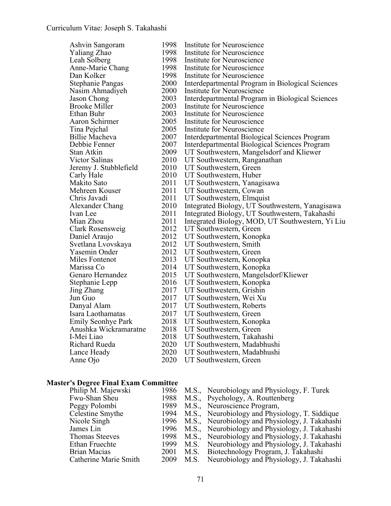| Ashvin Sangoram         | 1998 | Institute for Neuroscience                       |
|-------------------------|------|--------------------------------------------------|
| Yaliang Zhao            | 1998 | Institute for Neuroscience                       |
| Leah Solberg            | 1998 | Institute for Neuroscience                       |
| Anne-Marie Chang        | 1998 | Institute for Neuroscience                       |
| Dan Kolker              | 1998 | Institute for Neuroscience                       |
| <b>Stephanie Pangas</b> | 2000 | Interdepartmental Program in Biological Sciences |
| Nasim Ahmadiyeh         | 2000 | Institute for Neuroscience                       |
| Jason Chong             | 2003 | Interdepartmental Program in Biological Sciences |
| <b>Brooke Miller</b>    | 2003 | Institute for Neuroscience                       |
| Ethan Buhr              | 2003 | Institute for Neuroscience                       |
| Aaron Schirmer          | 2005 | Institute for Neuroscience                       |
| Tina Pejchal            | 2005 | Institute for Neuroscience                       |
| <b>Billie Macheva</b>   | 2007 | Interdepartmental Biological Sciences Program    |
| Debbie Fenner           | 2007 | Interdepartmental Biological Sciences Program    |
| Stan Atkin              | 2009 | UT Southwestern, Mangelsdorf and Kliewer         |
| Victor Salinas          | 2010 | UT Southwestern, Ranganathan                     |
| Jeremy J. Stubblefield  | 2010 | UT Southwestern, Green                           |
| Carly Hale              | 2010 | UT Southwestern, Huber                           |
| Makito Sato             | 2011 | UT Southwestern, Yanagisawa                      |
| Mehreen Kouser          | 2011 | UT Southwestern, Cowan                           |
| Chris Javadi            | 2011 | UT Southwestern, Elmquist                        |
| Alexander Chang         | 2010 | Integrated Biology, UT Southwestern, Yanagisawa  |
| Ivan Lee                | 2011 | Integrated Biology, UT Southwestern, Takahashi   |
| Mian Zhou               | 2011 | Integrated Biology, MOD, UT Southwestern, Yi Liu |
| Clark Rosensweig        | 2012 | UT Southwestern, Green                           |
| Daniel Araujo           | 2012 | UT Southwestern, Konopka                         |
| Svetlana Lvovskaya      | 2012 | UT Southwestern, Smith                           |
| Yasemin Onder           | 2012 | UT Southwestern, Green                           |
| Miles Fontenot          | 2013 | UT Southwestern, Konopka                         |
| Marissa Co              | 2014 | UT Southwestern, Konopka                         |
| Genaro Hernandez        | 2015 | UT Southwestern, Mangelsdorf/Kliewer             |
| Stephanie Lepp          | 2016 | UT Southwestern, Konopka                         |
| Jing Zhang              | 2017 | UT Southwestern, Grishin                         |
| Jun Guo                 | 2017 | UT Southwestern, Wei Xu                          |
| Danyal Alam             | 2017 | UT Southwestern, Roberts                         |
| Isara Laothamatas       | 2017 | UT Southwestern, Green                           |
| Emily Seonhye Park      | 2018 | UT Southwestern, Konopka                         |
| Anushka Wickramaratne   | 2018 | UT Southwestern, Green                           |
| I-Mei Liao              | 2018 | UT Southwestern, Takahashi                       |
| <b>Richard Rueda</b>    | 2020 | UT Southwestern, Madabhushi                      |
| Lance Heady             | 2020 | UT Southwestern, Madabhushi                      |
| Anne Ojo                | 2020 | UT Southwestern, Green                           |
|                         |      |                                                  |

# **Master's Degree Final Exam Committee**

| Philip M. Majewski    |      |      | 1986 M.S., Neurobiology and Physiology, F. Turek     |
|-----------------------|------|------|------------------------------------------------------|
| Fwu-Shan Sheu         | 1988 |      | M.S., Psychology, A. Routtenberg                     |
| Peggy Polombi         | 1989 |      | M.S., Neuroscience Program,                          |
| Celestine Smythe      | 1994 |      | M.S., Neurobiology and Physiology, T. Siddique       |
| Nicole Singh          | 1996 |      | M.S., Neurobiology and Physiology, J. Takahashi      |
| James Lin             |      |      | 1996 M.S., Neurobiology and Physiology, J. Takahashi |
| <b>Thomas Steeves</b> | 1998 |      | M.S., Neurobiology and Physiology, J. Takahashi      |
| Ethan Fruechte        | 1999 | M.S. | Neurobiology and Physiology, J. Takahashi            |
| <b>Brian Macias</b>   | 2001 |      | M.S. Biotechnology Program, J. Takahashi             |
| Catherine Marie Smith |      |      | 2009 M.S. Neurobiology and Physiology, J. Takahashi  |
|                       |      |      |                                                      |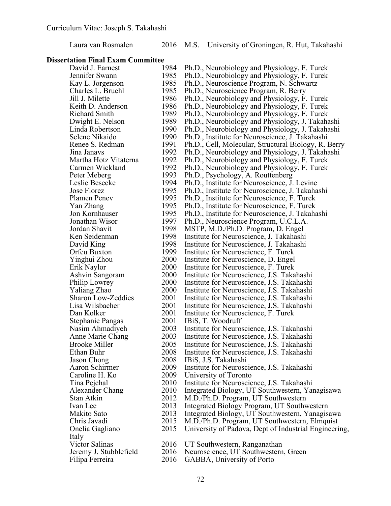## Laura van Rosmalen 2016 M.S. University of Groningen, R. Hut, Takahashi

## **Dissertation Final Exam Committee**

| David J. Earnest       | 1984 | Ph.D., Neurobiology and Physiology, F. Turek          |
|------------------------|------|-------------------------------------------------------|
| Jennifer Swann         | 1985 | Ph.D., Neurobiology and Physiology, F. Turek          |
| Kay L. Jorgenson       | 1985 | Ph.D., Neuroscience Program, N. Schwartz              |
| Charles L. Bruehl      | 1985 | Ph.D., Neuroscience Program, R. Berry                 |
| Jill J. Milette        | 1986 | Ph.D., Neurobiology and Physiology, F. Turek          |
| Keith D. Anderson      | 1986 | Ph.D., Neurobiology and Physiology, F. Turek          |
| Richard Smith          | 1989 | Ph.D., Neurobiology and Physiology, F. Turek          |
| Dwight E. Nelson       | 1989 | Ph.D., Neurobiology and Physiology, J. Takahashi      |
| Linda Robertson        | 1990 | Ph.D., Neurobiology and Physiology, J. Takahashi      |
| Selene Nikaido         | 1990 | Ph.D., Institute for Neuroscience, J. Takahashi       |
| Renee S. Redman        | 1991 | Ph.D., Cell, Molecular, Structural Biology, R. Berry  |
| Jina Janavs            | 1992 | Ph.D., Neurobiology and Physiology, J. Takahashi      |
| Martha Hotz Vitaterna  | 1992 | Ph.D., Neurobiology and Physiology, F. Turek          |
| Carmen Wickland        | 1992 | Ph.D., Neurobiology and Physiology, F. Turek          |
| Peter Meberg           | 1993 | Ph.D., Psychology, A. Routtenberg                     |
| Leslie Besecke         | 1994 | Ph.D., Institute for Neuroscience, J. Levine          |
| Jose Florez            | 1995 | Ph.D., Institute for Neuroscience, J. Takahashi       |
| Plamen Penev           | 1995 | Ph.D., Institute for Neuroscience, F. Turek           |
| Yan Zhang              | 1995 | Ph.D., Institute for Neuroscience, F. Turek           |
| Jon Kornhauser         | 1995 | Ph.D., Institute for Neuroscience, J. Takahashi       |
| Jonathan Wisor         | 1997 | Ph.D., Neuroscience Program, U.C.L.A.                 |
| Jordan Shavit          | 1998 | MSTP, M.D./Ph.D. Program, D. Engel                    |
| Ken Seidenman          | 1998 | Institute for Neuroscience, J. Takahashi              |
| David King             | 1998 | Institute for Neuroscience, J. Takahashi              |
| Orfeu Buxton           | 1999 | Institute for Neuroscience, F. Turek                  |
| Yinghui Zhou           | 2000 | Institute for Neuroscience, D. Engel                  |
| Erik Naylor            | 2000 | Institute for Neuroscience, F. Turek                  |
| Ashvin Sangoram        | 2000 | Institute for Neuroscience, J.S. Takahashi            |
| Philip Lowrey          | 2000 | Institute for Neuroscience, J.S. Takahashi            |
| Yaliang Zhao           | 2000 | Institute for Neuroscience, J.S. Takahashi            |
| Sharon Low-Zeddies     | 2001 | Institute for Neuroscience, J.S. Takahashi            |
| Lisa Wilsbacher        | 2001 | Institute for Neuroscience, J.S. Takahashi            |
| Dan Kolker             | 2001 | Institute for Neuroscience, F. Turek                  |
| Stephanie Pangas       | 2001 | IBiS, T. Woodruff                                     |
| Nasim Ahmadiyeh        | 2003 | Institute for Neuroscience, J.S. Takahashi            |
| Anne Marie Chang       | 2003 | Institute for Neuroscience, J.S. Takahashi            |
| <b>Brooke Miller</b>   | 2005 | Institute for Neuroscience, J.S. Takahashi            |
| Ethan Buhr             | 2008 | Institute for Neuroscience, J.S. Takahashi            |
| Jason Chong            | 2008 | IBiS, J.S. Takahashi                                  |
| Aaron Schirmer         | 2009 | Institute for Neuroscience, J.S. Takahashi            |
| Caroline H. Ko         | 2009 | University of Toronto                                 |
| Tina Pejchal           | 2010 | Institute for Neuroscience, J.S. Takahashi            |
| Alexander Chang        | 2010 | Integrated Biology, UT Southwestern, Yanagisawa       |
| Stan Atkin             | 2012 | M.D./Ph.D. Program, UT Southwestern                   |
| Ivan Lee               | 2013 | Integrated Biology Program, UT Southwestern           |
| Makito Sato            | 2013 | Integrated Biology, UT Southwestern, Yanagisawa       |
| Chris Javadi           | 2015 | M.D./Ph.D. Program, UT Southwestern, Elmquist         |
| Onelia Gagliano        | 2015 | University of Padova, Dept of Industrial Engineering, |
| Italy                  |      |                                                       |
| Victor Salinas         | 2016 | UT Southwestern, Ranganathan                          |
| Jeremy J. Stubblefield | 2016 | Neuroscience, UT Southwestern, Green                  |
| Filipa Ferreira        | 2016 | GABBA, University of Porto                            |
|                        |      |                                                       |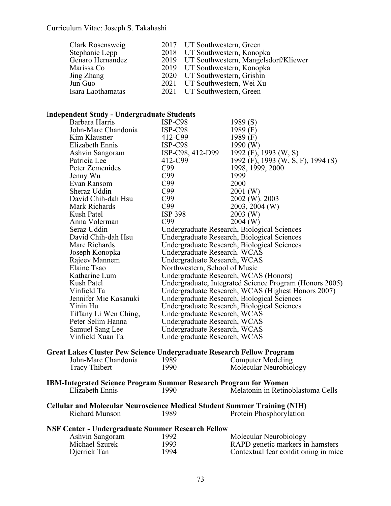| 2017 UT Southwestern, Green               |
|-------------------------------------------|
| 2018 UT Southwestern, Konopka             |
| 2019 UT Southwestern, Mangelsdorf/Kliewer |
| 2019 UT Southwestern, Konopka             |
| 2020 UT Southwestern, Grishin             |
| 2021 UT Southwestern, Wei Xu              |
| 2021 UT Southwestern, Green               |
|                                           |

# I**ndependent Study - Undergraduate Students**

| Barbara Harris                                                        | ISP-C98                               | 1989 (S)                                                |
|-----------------------------------------------------------------------|---------------------------------------|---------------------------------------------------------|
| John-Marc Chandonia                                                   | $ISP-C98$                             | 1989 $(F)$                                              |
| Kim Klausner                                                          | 412-C99                               | 1989 $(F)$                                              |
| Elizabeth Ennis                                                       | ISP-C98                               | 1990 (W)                                                |
| Ashvin Sangoram                                                       | ISP-C98, 412-D99                      | 1992 (F), 1993 (W, S)                                   |
| Patricia Lee                                                          | 412-C99                               | 1992 (F), 1993 (W, S, F), 1994 (S)                      |
| Peter Zemenides                                                       | C99                                   | 1998, 1999, 2000                                        |
| Jenny Wu                                                              | C99                                   | 1999                                                    |
| Evan Ransom                                                           | C99                                   | 2000                                                    |
| Sheraz Uddin                                                          | C99                                   | 2001 (W)                                                |
| David Chih-dah Hsu                                                    | C99                                   | 2002 (W). 2003                                          |
| Mark Richards                                                         | C99                                   | 2003, 2004 (W)                                          |
| Kush Patel                                                            | <b>ISP 398</b>                        | $2003$ (W)                                              |
| Anna Volerman                                                         | C99                                   | $2004$ (W)                                              |
| Seraz Uddin                                                           |                                       | Undergraduate Research, Biological Sciences             |
| David Chih-dah Hsu                                                    |                                       | Undergraduate Research, Biological Sciences             |
| Marc Richards                                                         |                                       | Undergraduate Research, Biological Sciences             |
| Joseph Konopka                                                        | Undergraduate Research. WCAS          |                                                         |
| Rajeev Mannem                                                         | Undergraduate Research, WCAS          |                                                         |
| Elaine Tsao                                                           | Northwestern, School of Music         |                                                         |
| Katharine Lum                                                         | Undergraduate Research, WCAS (Honors) |                                                         |
| Kush Patel                                                            |                                       | Undergraduate, Integrated Science Program (Honors 2005) |
| Vinfield Ta                                                           |                                       | Undergraduate Research, WCAS (Highest Honors 2007)      |
| Jennifer Mie Kasanuki                                                 |                                       | Undergraduate Research, Biological Sciences             |
| Yinin Hu                                                              |                                       | Undergraduate Research, Biological Sciences             |
| Tiffany Li Wen Ching,                                                 | Undergraduate Research, WCAS          |                                                         |
| Peter Selim Hanna                                                     | Undergraduate Research, WCAS          |                                                         |
| Samuel Sang Lee                                                       | Undergraduate Research, WCAS          |                                                         |
| Vinfield Xuan Ta                                                      | Undergraduate Research, WCAS          |                                                         |
| Great Lakes Cluster Pew Science Undergraduate Research Fellow Program |                                       |                                                         |
| John-Marc Chandonia                                                   | 1989                                  | <b>Computer Modeling</b>                                |
| <b>Tracy Thibert</b>                                                  | 1990                                  | Molecular Neurobiology                                  |
|                                                                       |                                       |                                                         |

**IBM-Integrated Science Program Summer Research Program for Women**

| Elizabeth Ennis | .990 | Melatonin in Retinoblastoma Cells |  |  |  |
|-----------------|------|-----------------------------------|--|--|--|
|-----------------|------|-----------------------------------|--|--|--|

**Cellular and Molecular Neuroscience Medical Student Summer Training (NIH)** Richard Munson 1989 Protein Phosphorylation

|  | <b>NSF Center - Undergraduate Summer Research Fellow</b> |  |  |
|--|----------------------------------------------------------|--|--|
|  |                                                          |  |  |

| Ashvin Sangoram | 1992 | Molecular Neurobiology               |
|-----------------|------|--------------------------------------|
| Michael Szurek  | 1993 | RAPD genetic markers in hamsters     |
| Djerrick Tan    | 1994 | Contextual fear conditioning in mice |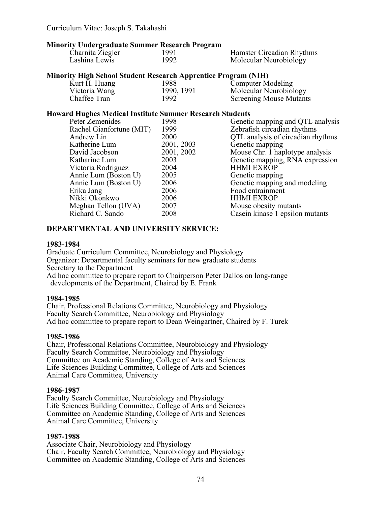## **Minority Undergraduate Summer Research Program**

| Charnita Ziegler | 1991 | Hamster Circadian Rhythms |
|------------------|------|---------------------------|
| Lashina Lewis    | 1992 | Molecular Neurobiology    |

## **Minority High School Student Research Apprentice Program (NIH)**

| Kurt H. Huang | 1988       | <b>Computer Modeling</b>       |
|---------------|------------|--------------------------------|
| Victoria Wang | 1990, 1991 | Molecular Neurobiology         |
| Chaffee Tran  | 1992       | <b>Screening Mouse Mutants</b> |

## **Howard Hughes Medical Institute Summer Research Students**

| Peter Zemenides          | 1998       | Genetic mapping and QTL analysis  |
|--------------------------|------------|-----------------------------------|
| Rachel Gianfortune (MIT) | 1999       | Zebrafish circadian rhythms       |
| Andrew Lin               | 2000       | QTL analysis of circadian rhythms |
| Katherine Lum            | 2001, 2003 | Genetic mapping                   |
| David Jacobson           | 2001, 2002 | Mouse Chr. 1 haplotype analysis   |
| Katharine Lum            | 2003       | Genetic mapping, RNA expression   |
| Victoria Rodriguez       | 2004       | <b>HHMI EXROP</b>                 |
| Annie Lum (Boston U)     | 2005       | Genetic mapping                   |
| Annie Lum (Boston U)     | 2006       | Genetic mapping and modeling      |
| Erika Jang               | 2006       | Food entrainment                  |
| Nikki Okonkwo            | 2006       | <b>HHMI EXROP</b>                 |
| Meghan Tellon (UVA)      | 2007       | Mouse obesity mutants             |
| Richard C. Sando         | 2008       | Casein kinase 1 epsilon mutants   |
|                          |            |                                   |

## **DEPARTMENTAL AND UNIVERSITY SERVICE:**

## **1983-1984**

Graduate Curriculum Committee, Neurobiology and Physiology Organizer: Departmental faculty seminars for new graduate students Secretary to the Department Ad hoc committee to prepare report to Chairperson Peter Dallos on long-range developments of the Department, Chaired by E. Frank

## **1984-1985**

Chair, Professional Relations Committee, Neurobiology and Physiology Faculty Search Committee, Neurobiology and Physiology Ad hoc committee to prepare report to Dean Weingartner, Chaired by F. Turek

## **1985-1986**

Chair, Professional Relations Committee, Neurobiology and Physiology Faculty Search Committee, Neurobiology and Physiology Committee on Academic Standing, College of Arts and Sciences Life Sciences Building Committee, College of Arts and Sciences Animal Care Committee, University

## **1986-1987**

Faculty Search Committee, Neurobiology and Physiology Life Sciences Building Committee, College of Arts and Sciences Committee on Academic Standing, College of Arts and Sciences Animal Care Committee, University

## **1987-1988**

Associate Chair, Neurobiology and Physiology Chair, Faculty Search Committee, Neurobiology and Physiology Committee on Academic Standing, College of Arts and Sciences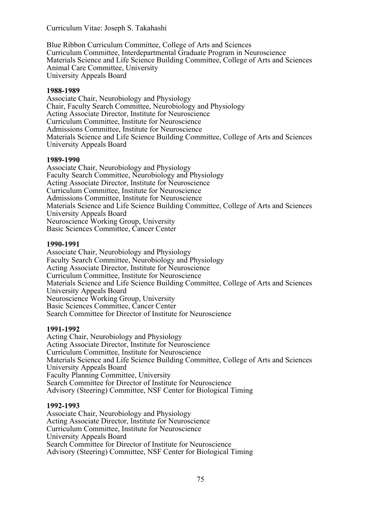Blue Ribbon Curriculum Committee, College of Arts and Sciences Curriculum Committee, Interdepartmental Graduate Program in Neuroscience Materials Science and Life Science Building Committee, College of Arts and Sciences Animal Care Committee, University University Appeals Board

#### **1988-1989**

Associate Chair, Neurobiology and Physiology Chair, Faculty Search Committee, Neurobiology and Physiology Acting Associate Director, Institute for Neuroscience Curriculum Committee, Institute for Neuroscience Admissions Committee, Institute for Neuroscience Materials Science and Life Science Building Committee, College of Arts and Sciences University Appeals Board

#### **1989-1990**

Associate Chair, Neurobiology and Physiology Faculty Search Committee, Neurobiology and Physiology Acting Associate Director, Institute for Neuroscience Curriculum Committee, Institute for Neuroscience Admissions Committee, Institute for Neuroscience Materials Science and Life Science Building Committee, College of Arts and Sciences University Appeals Board Neuroscience Working Group, University Basic Sciences Committee, Cancer Center

#### **1990-1991**

Associate Chair, Neurobiology and Physiology Faculty Search Committee, Neurobiology and Physiology Acting Associate Director, Institute for Neuroscience Curriculum Committee, Institute for Neuroscience Materials Science and Life Science Building Committee, College of Arts and Sciences University Appeals Board Neuroscience Working Group, University Basic Sciences Committee, Cancer Center Search Committee for Director of Institute for Neuroscience

## **1991-1992**

Acting Chair, Neurobiology and Physiology Acting Associate Director, Institute for Neuroscience Curriculum Committee, Institute for Neuroscience Materials Science and Life Science Building Committee, College of Arts and Sciences University Appeals Board Faculty Planning Committee, University Search Committee for Director of Institute for Neuroscience Advisory (Steering) Committee, NSF Center for Biological Timing

## **1992-1993**

Associate Chair, Neurobiology and Physiology Acting Associate Director, Institute for Neuroscience Curriculum Committee, Institute for Neuroscience University Appeals Board Search Committee for Director of Institute for Neuroscience Advisory (Steering) Committee, NSF Center for Biological Timing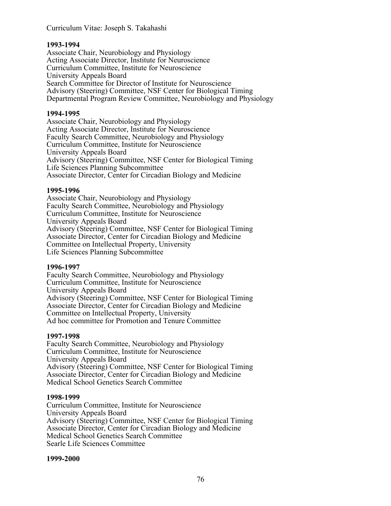## **1993-1994**

Associate Chair, Neurobiology and Physiology Acting Associate Director, Institute for Neuroscience Curriculum Committee, Institute for Neuroscience University Appeals Board Search Committee for Director of Institute for Neuroscience Advisory (Steering) Committee, NSF Center for Biological Timing Departmental Program Review Committee, Neurobiology and Physiology

## **1994-1995**

Associate Chair, Neurobiology and Physiology Acting Associate Director, Institute for Neuroscience Faculty Search Committee, Neurobiology and Physiology Curriculum Committee, Institute for Neuroscience University Appeals Board Advisory (Steering) Committee, NSF Center for Biological Timing Life Sciences Planning Subcommittee Associate Director, Center for Circadian Biology and Medicine

## **1995-1996**

Associate Chair, Neurobiology and Physiology Faculty Search Committee, Neurobiology and Physiology Curriculum Committee, Institute for Neuroscience University Appeals Board Advisory (Steering) Committee, NSF Center for Biological Timing Associate Director, Center for Circadian Biology and Medicine Committee on Intellectual Property, University Life Sciences Planning Subcommittee

## **1996-1997**

Faculty Search Committee, Neurobiology and Physiology Curriculum Committee, Institute for Neuroscience University Appeals Board Advisory (Steering) Committee, NSF Center for Biological Timing Associate Director, Center for Circadian Biology and Medicine Committee on Intellectual Property, University Ad hoc committee for Promotion and Tenure Committee

## **1997-1998**

Faculty Search Committee, Neurobiology and Physiology Curriculum Committee, Institute for Neuroscience University Appeals Board Advisory (Steering) Committee, NSF Center for Biological Timing Associate Director, Center for Circadian Biology and Medicine Medical School Genetics Search Committee

## **1998-1999**

Curriculum Committee, Institute for Neuroscience University Appeals Board Advisory (Steering) Committee, NSF Center for Biological Timing Associate Director, Center for Circadian Biology and Medicine Medical School Genetics Search Committee Searle Life Sciences Committee

## **1999-2000**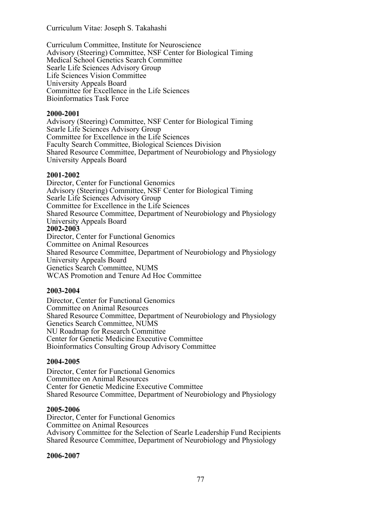Curriculum Committee, Institute for Neuroscience Advisory (Steering) Committee, NSF Center for Biological Timing Medical School Genetics Search Committee Searle Life Sciences Advisory Group Life Sciences Vision Committee University Appeals Board Committee for Excellence in the Life Sciences Bioinformatics Task Force

#### **2000-2001**

Advisory (Steering) Committee, NSF Center for Biological Timing Searle Life Sciences Advisory Group Committee for Excellence in the Life Sciences Faculty Search Committee, Biological Sciences Division Shared Resource Committee, Department of Neurobiology and Physiology University Appeals Board

#### **2001-2002**

Director, Center for Functional Genomics Advisory (Steering) Committee, NSF Center for Biological Timing Searle Life Sciences Advisory Group Committee for Excellence in the Life Sciences Shared Resource Committee, Department of Neurobiology and Physiology University Appeals Board **2002-2003** Director, Center for Functional Genomics Committee on Animal Resources Shared Resource Committee, Department of Neurobiology and Physiology University Appeals Board Genetics Search Committee, NUMS

WCAS Promotion and Tenure Ad Hoc Committee

## **2003-2004**

Director, Center for Functional Genomics Committee on Animal Resources Shared Resource Committee, Department of Neurobiology and Physiology Genetics Search Committee, NUMS NU Roadmap for Research Committee Center for Genetic Medicine Executive Committee Bioinformatics Consulting Group Advisory Committee

## **2004-2005**

Director, Center for Functional Genomics Committee on Animal Resources Center for Genetic Medicine Executive Committee Shared Resource Committee, Department of Neurobiology and Physiology

## **2005-2006**

Director, Center for Functional Genomics Committee on Animal Resources Advisory Committee for the Selection of Searle Leadership Fund Recipients Shared Resource Committee, Department of Neurobiology and Physiology

## **2006-2007**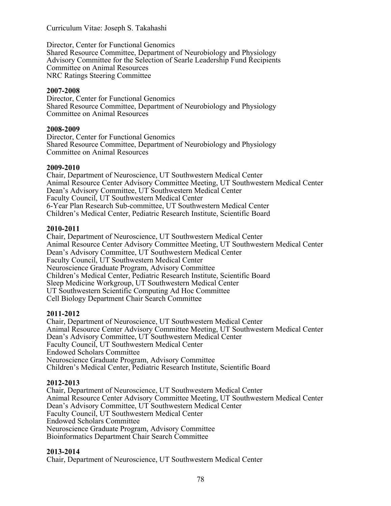Director, Center for Functional Genomics Shared Resource Committee, Department of Neurobiology and Physiology Advisory Committee for the Selection of Searle Leadership Fund Recipients Committee on Animal Resources NRC Ratings Steering Committee

## **2007-2008**

Director, Center for Functional Genomics Shared Resource Committee, Department of Neurobiology and Physiology Committee on Animal Resources

## **2008-2009**

Director, Center for Functional Genomics Shared Resource Committee, Department of Neurobiology and Physiology Committee on Animal Resources

## **2009-2010**

Chair, Department of Neuroscience, UT Southwestern Medical Center Animal Resource Center Advisory Committee Meeting, UT Southwestern Medical Center Dean's Advisory Committee, UT Southwestern Medical Center Faculty Council, UT Southwestern Medical Center 6-Year Plan Research Sub-committee, UT Southwestern Medical Center Children's Medical Center, Pediatric Research Institute, Scientific Board

## **2010-2011**

Chair, Department of Neuroscience, UT Southwestern Medical Center Animal Resource Center Advisory Committee Meeting, UT Southwestern Medical Center Dean's Advisory Committee, UT Southwestern Medical Center Faculty Council, UT Southwestern Medical Center Neuroscience Graduate Program, Advisory Committee Children's Medical Center, Pediatric Research Institute, Scientific Board Sleep Medicine Workgroup, UT Southwestern Medical Center UT Southwestern Scientific Computing Ad Hoc Committee Cell Biology Department Chair Search Committee

## **2011-2012**

Chair, Department of Neuroscience, UT Southwestern Medical Center Animal Resource Center Advisory Committee Meeting, UT Southwestern Medical Center Dean's Advisory Committee, UT Southwestern Medical Center Faculty Council, UT Southwestern Medical Center Endowed Scholars Committee Neuroscience Graduate Program, Advisory Committee Children's Medical Center, Pediatric Research Institute, Scientific Board

## **2012-2013**

Chair, Department of Neuroscience, UT Southwestern Medical Center Animal Resource Center Advisory Committee Meeting, UT Southwestern Medical Center Dean's Advisory Committee, UT Southwestern Medical Center Faculty Council, UT Southwestern Medical Center Endowed Scholars Committee Neuroscience Graduate Program, Advisory Committee Bioinformatics Department Chair Search Committee

## **2013-2014**

Chair, Department of Neuroscience, UT Southwestern Medical Center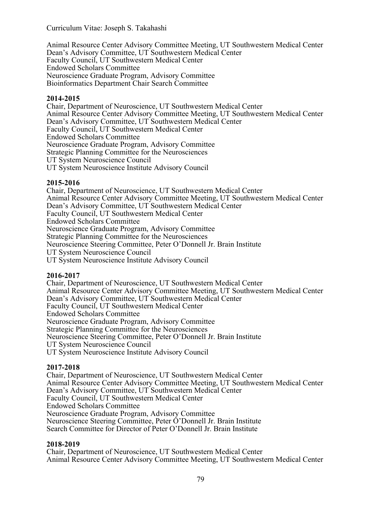Animal Resource Center Advisory Committee Meeting, UT Southwestern Medical Center Dean's Advisory Committee, UT Southwestern Medical Center Faculty Council, UT Southwestern Medical Center Endowed Scholars Committee Neuroscience Graduate Program, Advisory Committee Bioinformatics Department Chair Search Committee

## **2014-2015**

Chair, Department of Neuroscience, UT Southwestern Medical Center Animal Resource Center Advisory Committee Meeting, UT Southwestern Medical Center Dean's Advisory Committee, UT Southwestern Medical Center Faculty Council, UT Southwestern Medical Center Endowed Scholars Committee Neuroscience Graduate Program, Advisory Committee Strategic Planning Committee for the Neurosciences UT System Neuroscience Council UT System Neuroscience Institute Advisory Council

## **2015-2016**

Chair, Department of Neuroscience, UT Southwestern Medical Center Animal Resource Center Advisory Committee Meeting, UT Southwestern Medical Center Dean's Advisory Committee, UT Southwestern Medical Center Faculty Council, UT Southwestern Medical Center Endowed Scholars Committee Neuroscience Graduate Program, Advisory Committee Strategic Planning Committee for the Neurosciences Neuroscience Steering Committee, Peter O'Donnell Jr. Brain Institute UT System Neuroscience Council UT System Neuroscience Institute Advisory Council

## **2016-2017**

Chair, Department of Neuroscience, UT Southwestern Medical Center Animal Resource Center Advisory Committee Meeting, UT Southwestern Medical Center Dean's Advisory Committee, UT Southwestern Medical Center Faculty Council, UT Southwestern Medical Center Endowed Scholars Committee Neuroscience Graduate Program, Advisory Committee Strategic Planning Committee for the Neurosciences Neuroscience Steering Committee, Peter O'Donnell Jr. Brain Institute UT System Neuroscience Council UT System Neuroscience Institute Advisory Council

## **2017-2018**

Chair, Department of Neuroscience, UT Southwestern Medical Center Animal Resource Center Advisory Committee Meeting, UT Southwestern Medical Center Dean's Advisory Committee, UT Southwestern Medical Center Faculty Council, UT Southwestern Medical Center Endowed Scholars Committee Neuroscience Graduate Program, Advisory Committee Neuroscience Steering Committee, Peter O'Donnell Jr. Brain Institute Search Committee for Director of Peter O'Donnell Jr. Brain Institute

## **2018-2019**

Chair, Department of Neuroscience, UT Southwestern Medical Center Animal Resource Center Advisory Committee Meeting, UT Southwestern Medical Center